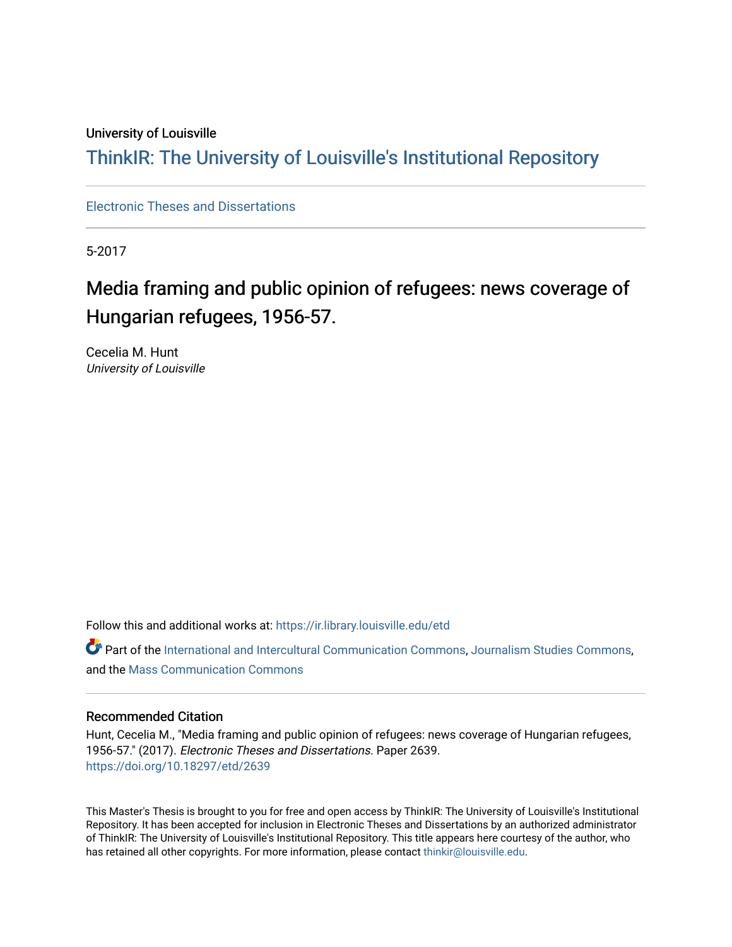#### University of Louisville

## ThinkIR: The Univ[ersity of Louisville's Institutional Reposit](https://ir.library.louisville.edu/)ory

[Electronic Theses and Dissertations](https://ir.library.louisville.edu/etd)

5-2017

## Media framing and public opinion of refugees: news coverage of Hungarian refugees, 1956-57.

Cecelia M. Hunt University of Louisville

Follow this and additional works at: [https://ir.library.louisville.edu/etd](https://ir.library.louisville.edu/etd?utm_source=ir.library.louisville.edu%2Fetd%2F2639&utm_medium=PDF&utm_campaign=PDFCoverPages) 

Part of the [International and Intercultural Communication Commons,](http://network.bepress.com/hgg/discipline/331?utm_source=ir.library.louisville.edu%2Fetd%2F2639&utm_medium=PDF&utm_campaign=PDFCoverPages) [Journalism Studies Commons](http://network.bepress.com/hgg/discipline/333?utm_source=ir.library.louisville.edu%2Fetd%2F2639&utm_medium=PDF&utm_campaign=PDFCoverPages), and the [Mass Communication Commons](http://network.bepress.com/hgg/discipline/334?utm_source=ir.library.louisville.edu%2Fetd%2F2639&utm_medium=PDF&utm_campaign=PDFCoverPages) 

#### Recommended Citation

Hunt, Cecelia M., "Media framing and public opinion of refugees: news coverage of Hungarian refugees, 1956-57." (2017). Electronic Theses and Dissertations. Paper 2639. <https://doi.org/10.18297/etd/2639>

This Master's Thesis is brought to you for free and open access by ThinkIR: The University of Louisville's Institutional Repository. It has been accepted for inclusion in Electronic Theses and Dissertations by an authorized administrator of ThinkIR: The University of Louisville's Institutional Repository. This title appears here courtesy of the author, who has retained all other copyrights. For more information, please contact [thinkir@louisville.edu](mailto:thinkir@louisville.edu).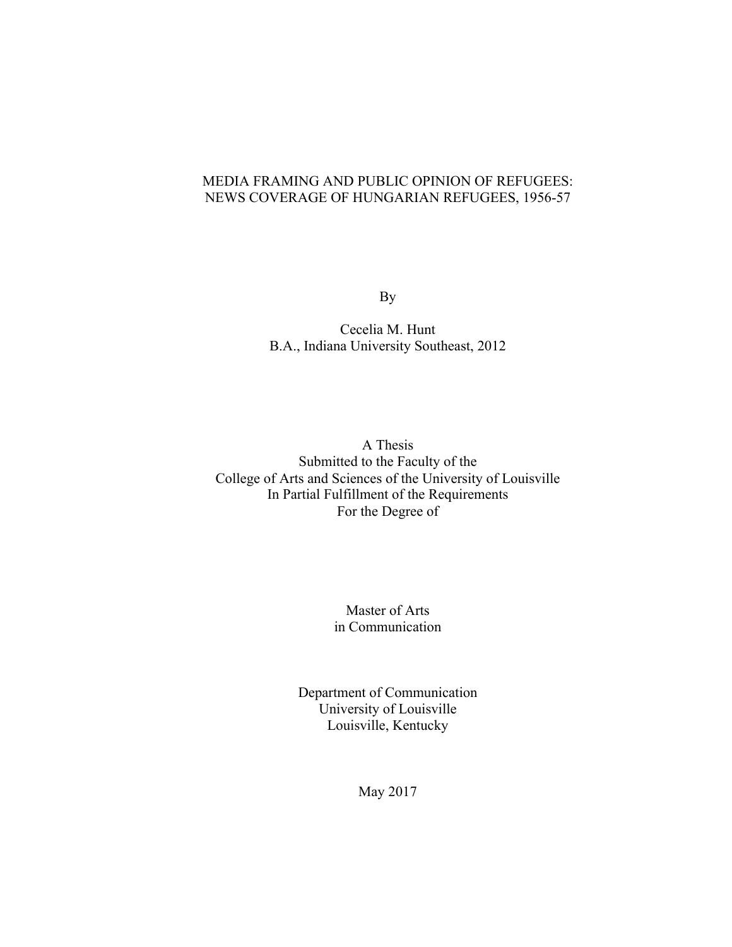#### MEDIA FRAMING AND PUBLIC OPINION OF REFUGEES: NEWS COVERAGE OF HUNGARIAN REFUGEES, 1956-57

By

Cecelia M. Hunt B.A., Indiana University Southeast, 2012

A Thesis Submitted to the Faculty of the College of Arts and Sciences of the University of Louisville In Partial Fulfillment of the Requirements For the Degree of

> Master of Arts in Communication

Department of Communication University of Louisville Louisville, Kentucky

May 2017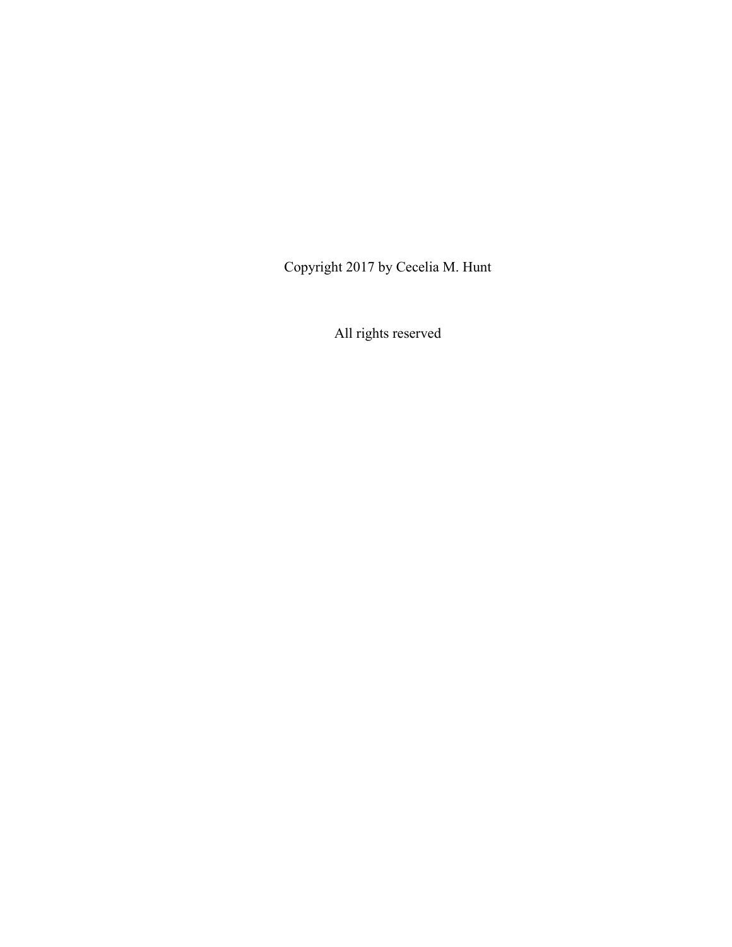Copyright 2017 by Cecelia M. Hunt

All rights reserved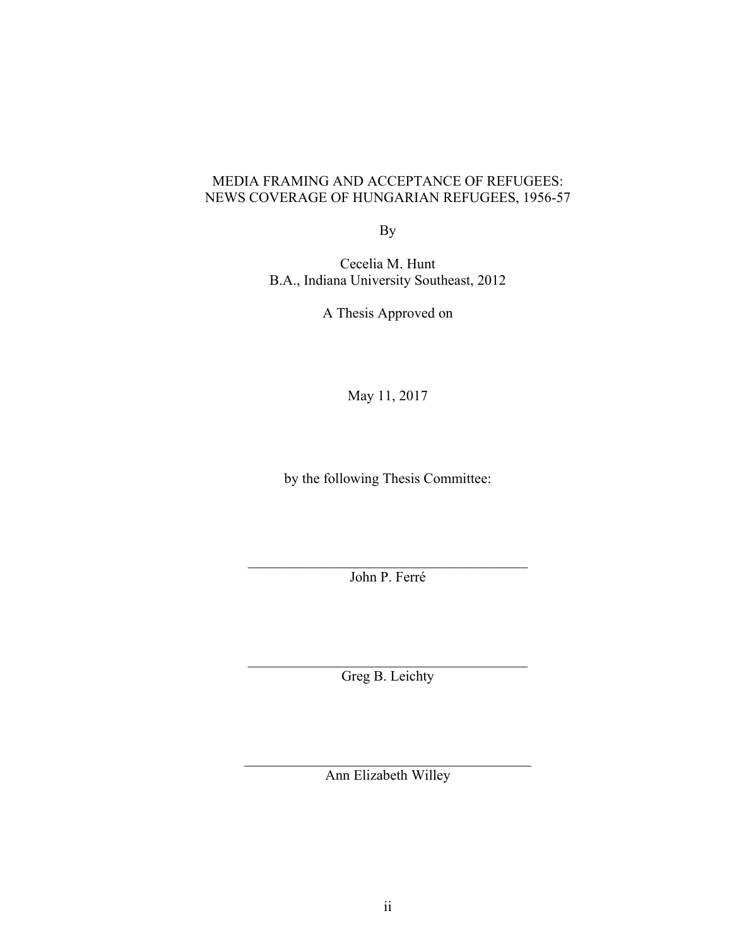#### MEDIA FRAMING AND ACCEPTANCE OF REFUGEES: NEWS COVERAGE OF HUNGARIAN REFUGEES, 1956-57

By

Cecelia M. Hunt B.A., Indiana University Southeast, 2012

A Thesis Approved on

May 11, 2017

by the following Thesis Committee:

 $\mathcal{L}_\text{max}$  and  $\mathcal{L}_\text{max}$  and  $\mathcal{L}_\text{max}$  and  $\mathcal{L}_\text{max}$ John P. Ferré

 $\mathcal{L}_\text{max}$ Greg B. Leichty

 $\mathcal{L}_\text{max}$  , and the contract of the contract of the contract of the contract of the contract of the contract of the contract of the contract of the contract of the contract of the contract of the contract of the contr Ann Elizabeth Willey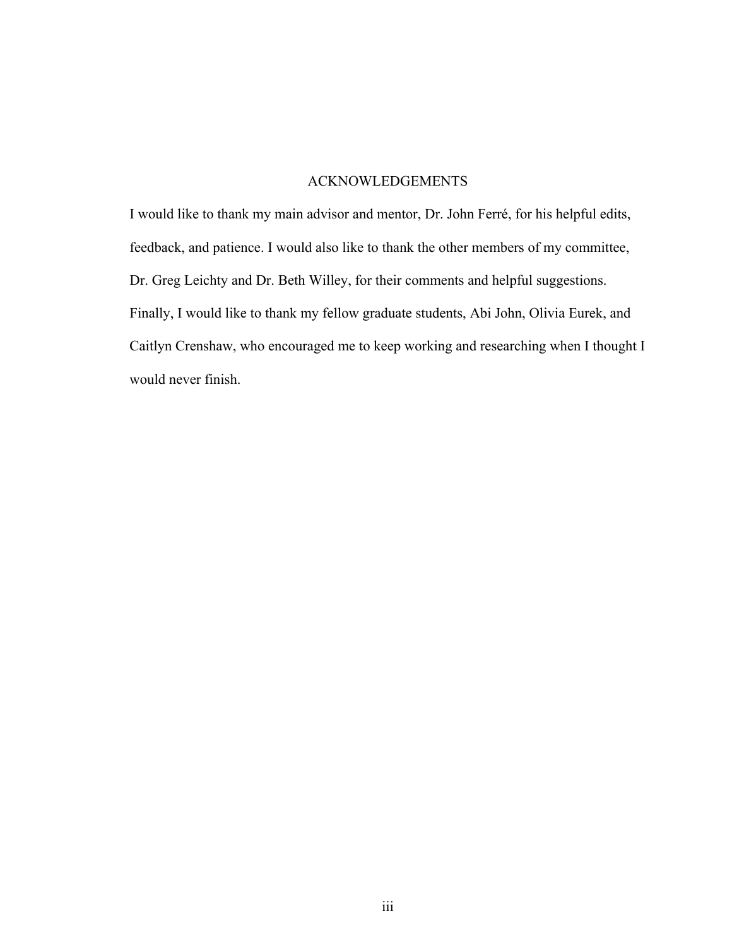#### ACKNOWLEDGEMENTS

I would like to thank my main advisor and mentor, Dr. John Ferré, for his helpful edits, feedback, and patience. I would also like to thank the other members of my committee, Dr. Greg Leichty and Dr. Beth Willey, for their comments and helpful suggestions. Finally, I would like to thank my fellow graduate students, Abi John, Olivia Eurek, and Caitlyn Crenshaw, who encouraged me to keep working and researching when I thought I would never finish.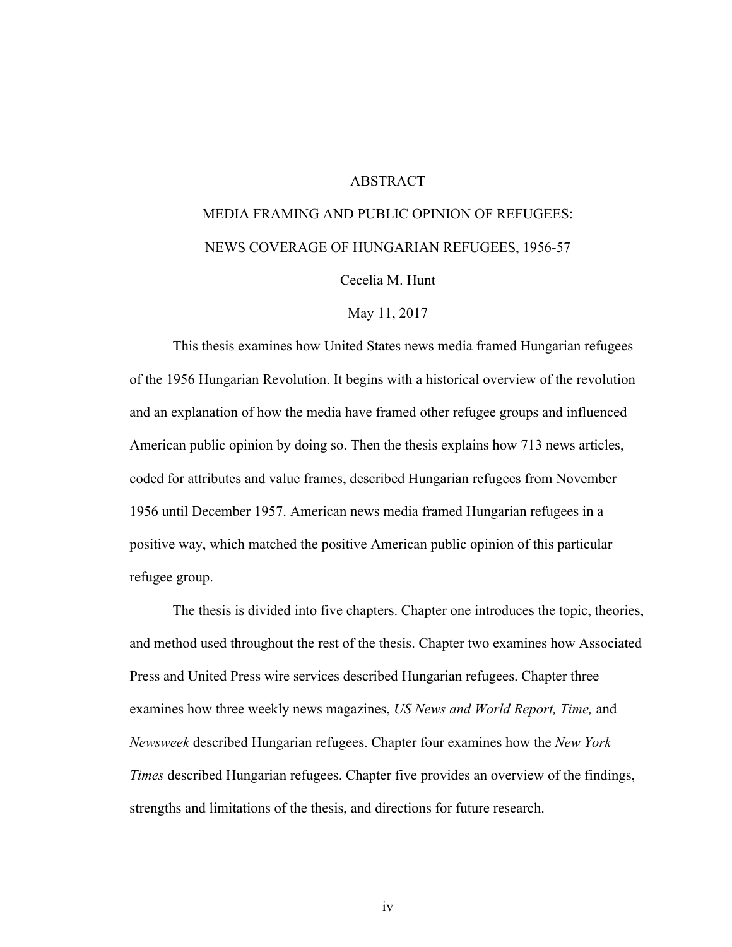#### **ABSTRACT**

# MEDIA FRAMING AND PUBLIC OPINION OF REFUGEES: NEWS COVERAGE OF HUNGARIAN REFUGEES, 1956-57

Cecelia M. Hunt

May 11, 2017

This thesis examines how United States news media framed Hungarian refugees of the 1956 Hungarian Revolution. It begins with a historical overview of the revolution and an explanation of how the media have framed other refugee groups and influenced American public opinion by doing so. Then the thesis explains how 713 news articles, coded for attributes and value frames, described Hungarian refugees from November 1956 until December 1957. American news media framed Hungarian refugees in a positive way, which matched the positive American public opinion of this particular refugee group.

The thesis is divided into five chapters. Chapter one introduces the topic, theories, and method used throughout the rest of the thesis. Chapter two examines how Associated Press and United Press wire services described Hungarian refugees. Chapter three examines how three weekly news magazines, *US News and World Report, Time,* and *Newsweek* described Hungarian refugees. Chapter four examines how the *New York Times* described Hungarian refugees. Chapter five provides an overview of the findings, strengths and limitations of the thesis, and directions for future research.

iv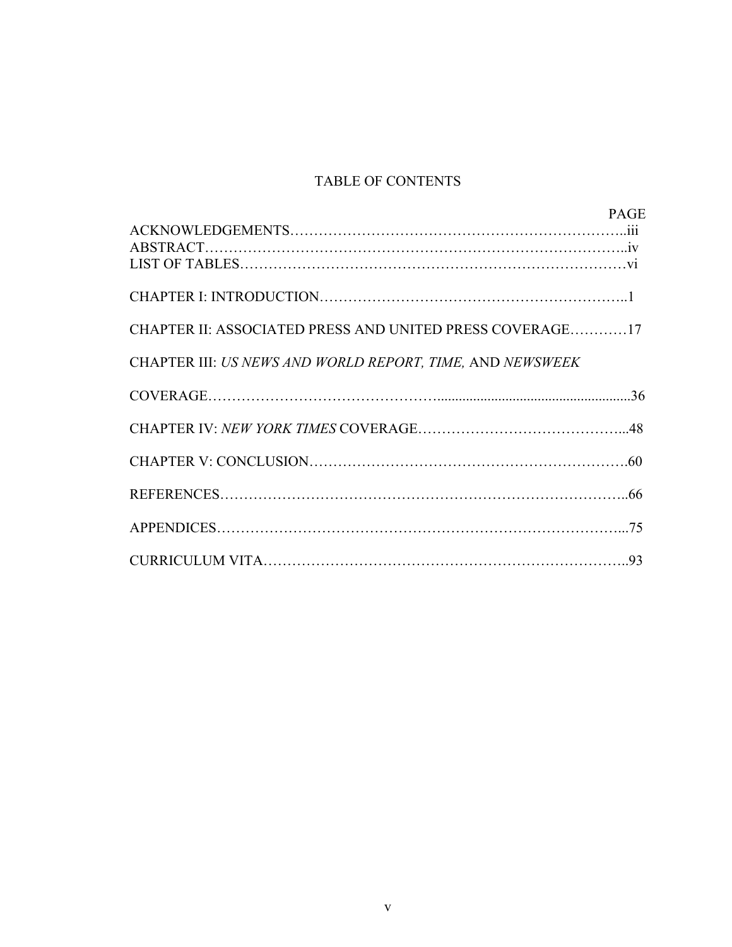## TABLE OF CONTENTS

|                                                           | <b>PAGE</b> |
|-----------------------------------------------------------|-------------|
|                                                           |             |
|                                                           |             |
|                                                           |             |
|                                                           |             |
| CHAPTER II: ASSOCIATED PRESS AND UNITED PRESS COVERAGE17  |             |
| CHAPTER III: US NEWS AND WORLD REPORT, TIME, AND NEWSWEEK |             |
|                                                           |             |
|                                                           |             |
|                                                           |             |
|                                                           |             |
|                                                           |             |
|                                                           |             |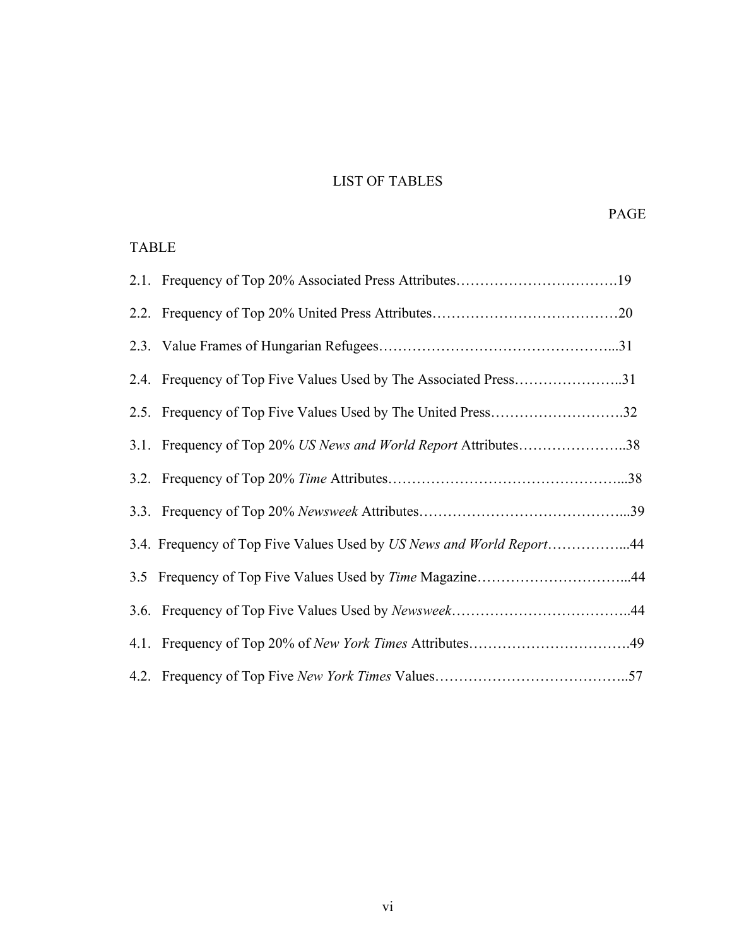## LIST OF TABLES

### TABLE

| 2.4. Frequency of Top Five Values Used by The Associated Press31     |  |
|----------------------------------------------------------------------|--|
| 2.5. Frequency of Top Five Values Used by The United Press32         |  |
| 3.1. Frequency of Top 20% US News and World Report Attributes38      |  |
|                                                                      |  |
|                                                                      |  |
| 3.4. Frequency of Top Five Values Used by US News and World Report44 |  |
| 3.5 Frequency of Top Five Values Used by Time Magazine44             |  |
|                                                                      |  |
|                                                                      |  |
|                                                                      |  |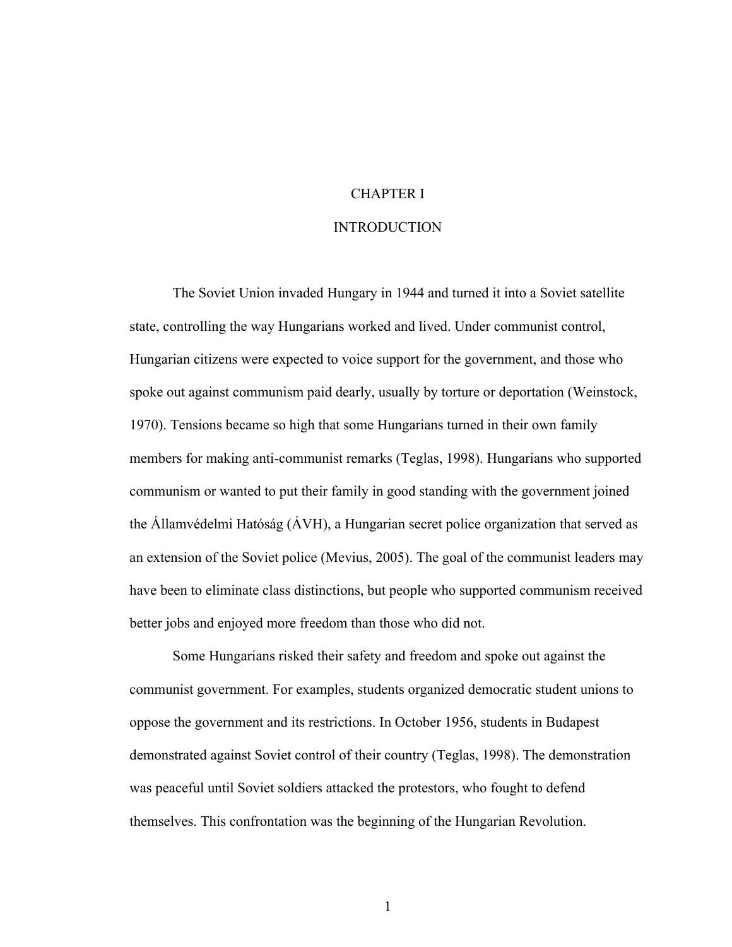## CHAPTER I

#### INTRODUCTION

The Soviet Union invaded Hungary in 1944 and turned it into a Soviet satellite state, controlling the way Hungarians worked and lived. Under communist control, Hungarian citizens were expected to voice support for the government, and those who spoke out against communism paid dearly, usually by torture or deportation (Weinstock, 1970). Tensions became so high that some Hungarians turned in their own family members for making anti-communist remarks (Teglas, 1998). Hungarians who supported communism or wanted to put their family in good standing with the government joined the Államvédelmi Hatóság (ÁVH), a Hungarian secret police organization that served as an extension of the Soviet police (Mevius, 2005). The goal of the communist leaders may have been to eliminate class distinctions, but people who supported communism received better jobs and enjoyed more freedom than those who did not.

Some Hungarians risked their safety and freedom and spoke out against the communist government. For examples, students organized democratic student unions to oppose the government and its restrictions. In October 1956, students in Budapest demonstrated against Soviet control of their country (Teglas, 1998). The demonstration was peaceful until Soviet soldiers attacked the protestors, who fought to defend themselves. This confrontation was the beginning of the Hungarian Revolution.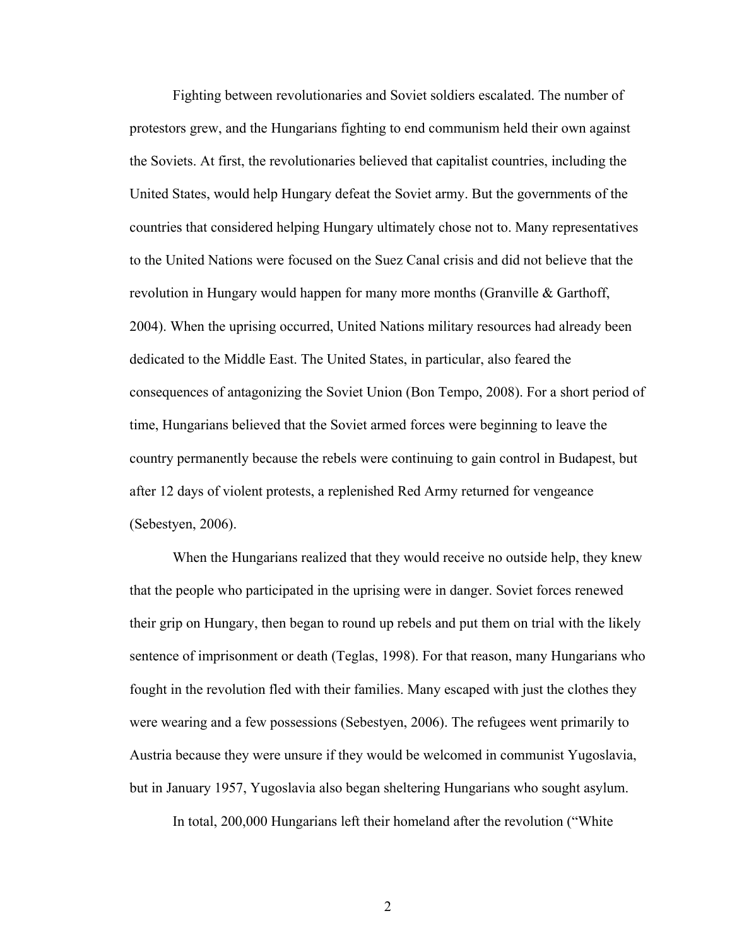Fighting between revolutionaries and Soviet soldiers escalated. The number of protestors grew, and the Hungarians fighting to end communism held their own against the Soviets. At first, the revolutionaries believed that capitalist countries, including the United States, would help Hungary defeat the Soviet army. But the governments of the countries that considered helping Hungary ultimately chose not to. Many representatives to the United Nations were focused on the Suez Canal crisis and did not believe that the revolution in Hungary would happen for many more months (Granville & Garthoff, 2004). When the uprising occurred, United Nations military resources had already been dedicated to the Middle East. The United States, in particular, also feared the consequences of antagonizing the Soviet Union (Bon Tempo, 2008). For a short period of time, Hungarians believed that the Soviet armed forces were beginning to leave the country permanently because the rebels were continuing to gain control in Budapest, but after 12 days of violent protests, a replenished Red Army returned for vengeance (Sebestyen, 2006).

When the Hungarians realized that they would receive no outside help, they knew that the people who participated in the uprising were in danger. Soviet forces renewed their grip on Hungary, then began to round up rebels and put them on trial with the likely sentence of imprisonment or death (Teglas, 1998). For that reason, many Hungarians who fought in the revolution fled with their families. Many escaped with just the clothes they were wearing and a few possessions (Sebestyen, 2006). The refugees went primarily to Austria because they were unsure if they would be welcomed in communist Yugoslavia, but in January 1957, Yugoslavia also began sheltering Hungarians who sought asylum.

In total, 200,000 Hungarians left their homeland after the revolution ("White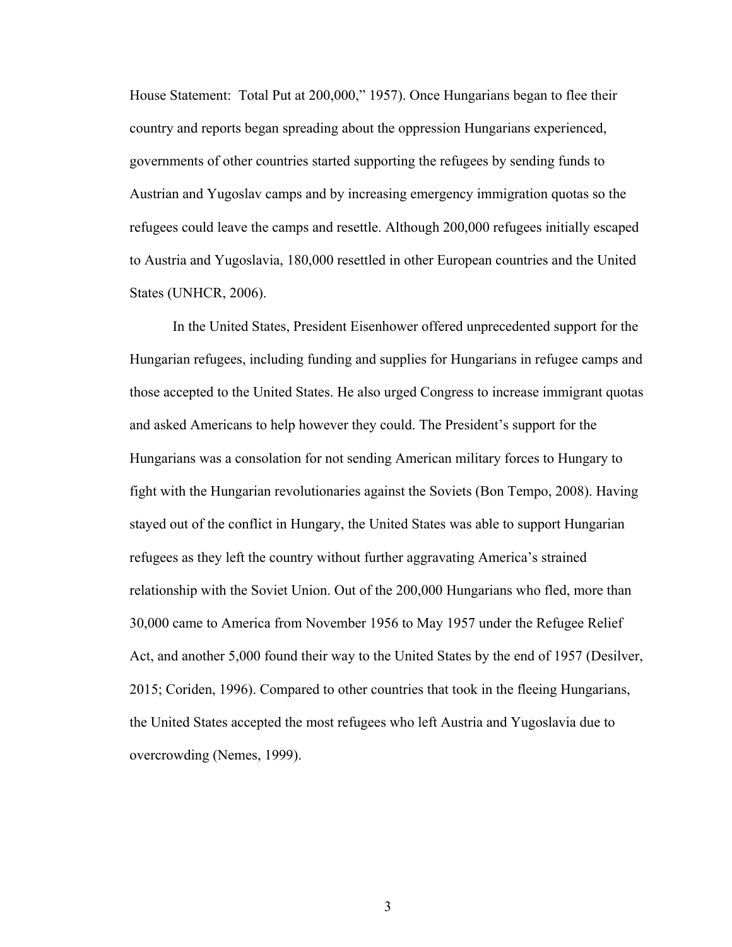House Statement: Total Put at 200,000," 1957). Once Hungarians began to flee their country and reports began spreading about the oppression Hungarians experienced, governments of other countries started supporting the refugees by sending funds to Austrian and Yugoslav camps and by increasing emergency immigration quotas so the refugees could leave the camps and resettle. Although 200,000 refugees initially escaped to Austria and Yugoslavia, 180,000 resettled in other European countries and the United States (UNHCR, 2006).

In the United States, President Eisenhower offered unprecedented support for the Hungarian refugees, including funding and supplies for Hungarians in refugee camps and those accepted to the United States. He also urged Congress to increase immigrant quotas and asked Americans to help however they could. The President's support for the Hungarians was a consolation for not sending American military forces to Hungary to fight with the Hungarian revolutionaries against the Soviets (Bon Tempo, 2008). Having stayed out of the conflict in Hungary, the United States was able to support Hungarian refugees as they left the country without further aggravating America's strained relationship with the Soviet Union. Out of the 200,000 Hungarians who fled, more than 30,000 came to America from November 1956 to May 1957 under the Refugee Relief Act, and another 5,000 found their way to the United States by the end of 1957 (Desilver, 2015; Coriden, 1996). Compared to other countries that took in the fleeing Hungarians, the United States accepted the most refugees who left Austria and Yugoslavia due to overcrowding (Nemes, 1999).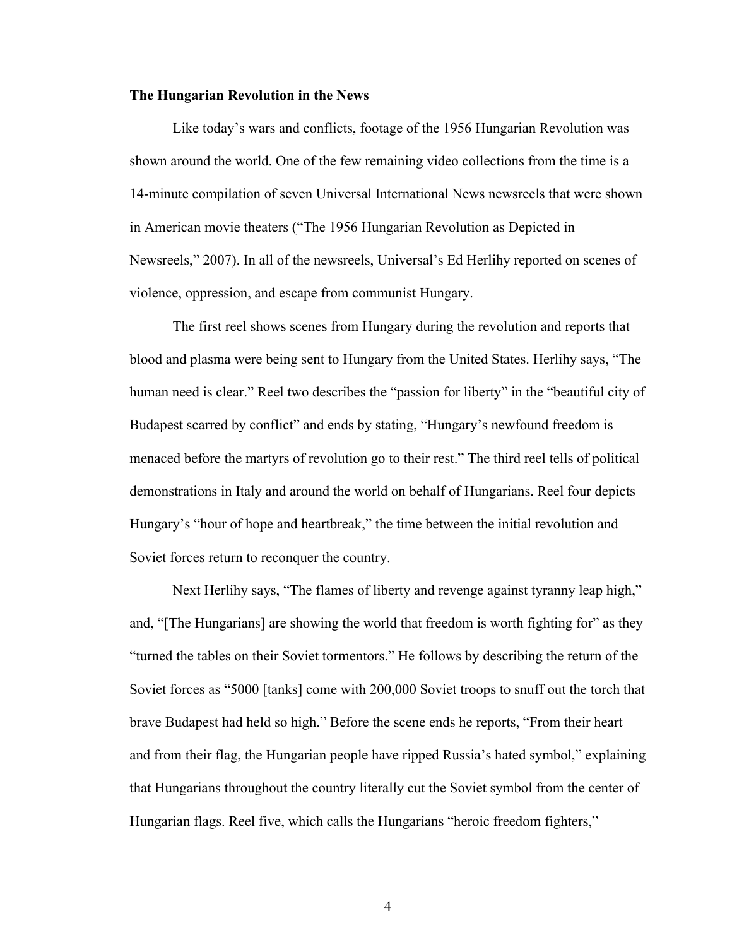#### **The Hungarian Revolution in the News**

Like today's wars and conflicts, footage of the 1956 Hungarian Revolution was shown around the world. One of the few remaining video collections from the time is a 14-minute compilation of seven Universal International News newsreels that were shown in American movie theaters ("The 1956 Hungarian Revolution as Depicted in Newsreels," 2007). In all of the newsreels, Universal's Ed Herlihy reported on scenes of violence, oppression, and escape from communist Hungary.

The first reel shows scenes from Hungary during the revolution and reports that blood and plasma were being sent to Hungary from the United States. Herlihy says, "The human need is clear." Reel two describes the "passion for liberty" in the "beautiful city of Budapest scarred by conflict" and ends by stating, "Hungary's newfound freedom is menaced before the martyrs of revolution go to their rest." The third reel tells of political demonstrations in Italy and around the world on behalf of Hungarians. Reel four depicts Hungary's "hour of hope and heartbreak," the time between the initial revolution and Soviet forces return to reconquer the country.

Next Herlihy says, "The flames of liberty and revenge against tyranny leap high," and, "[The Hungarians] are showing the world that freedom is worth fighting for" as they "turned the tables on their Soviet tormentors." He follows by describing the return of the Soviet forces as "5000 [tanks] come with 200,000 Soviet troops to snuff out the torch that brave Budapest had held so high." Before the scene ends he reports, "From their heart and from their flag, the Hungarian people have ripped Russia's hated symbol," explaining that Hungarians throughout the country literally cut the Soviet symbol from the center of Hungarian flags. Reel five, which calls the Hungarians "heroic freedom fighters,"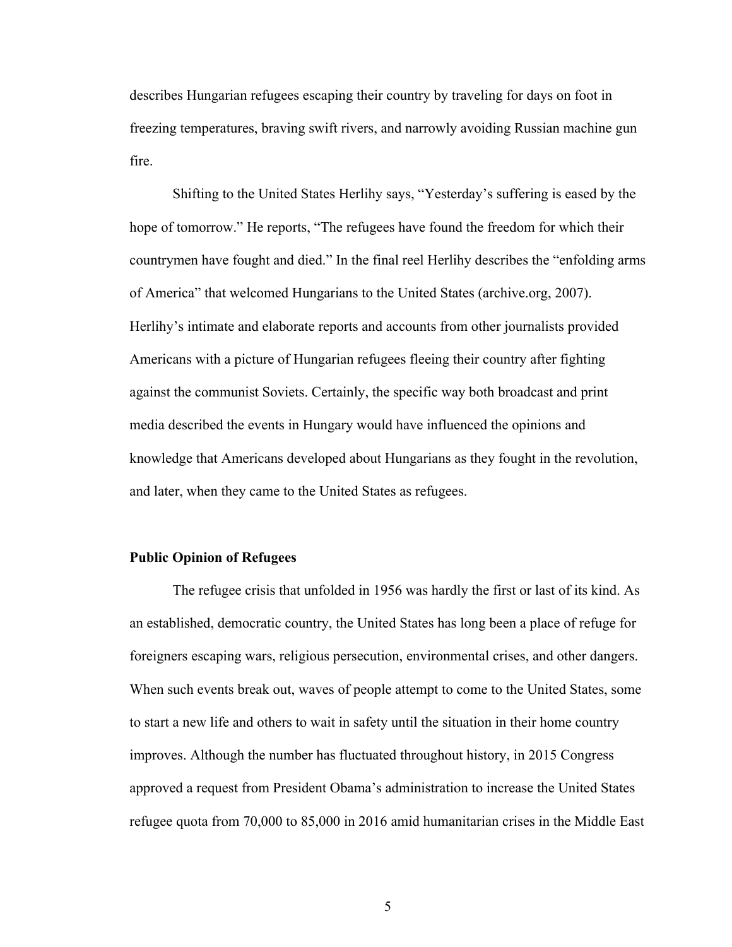describes Hungarian refugees escaping their country by traveling for days on foot in freezing temperatures, braving swift rivers, and narrowly avoiding Russian machine gun fire.

Shifting to the United States Herlihy says, "Yesterday's suffering is eased by the hope of tomorrow." He reports, "The refugees have found the freedom for which their countrymen have fought and died." In the final reel Herlihy describes the "enfolding arms of America" that welcomed Hungarians to the United States (archive.org, 2007). Herlihy's intimate and elaborate reports and accounts from other journalists provided Americans with a picture of Hungarian refugees fleeing their country after fighting against the communist Soviets. Certainly, the specific way both broadcast and print media described the events in Hungary would have influenced the opinions and knowledge that Americans developed about Hungarians as they fought in the revolution, and later, when they came to the United States as refugees.

#### **Public Opinion of Refugees**

The refugee crisis that unfolded in 1956 was hardly the first or last of its kind. As an established, democratic country, the United States has long been a place of refuge for foreigners escaping wars, religious persecution, environmental crises, and other dangers. When such events break out, waves of people attempt to come to the United States, some to start a new life and others to wait in safety until the situation in their home country improves. Although the number has fluctuated throughout history, in 2015 Congress approved a request from President Obama's administration to increase the United States refugee quota from 70,000 to 85,000 in 2016 amid humanitarian crises in the Middle East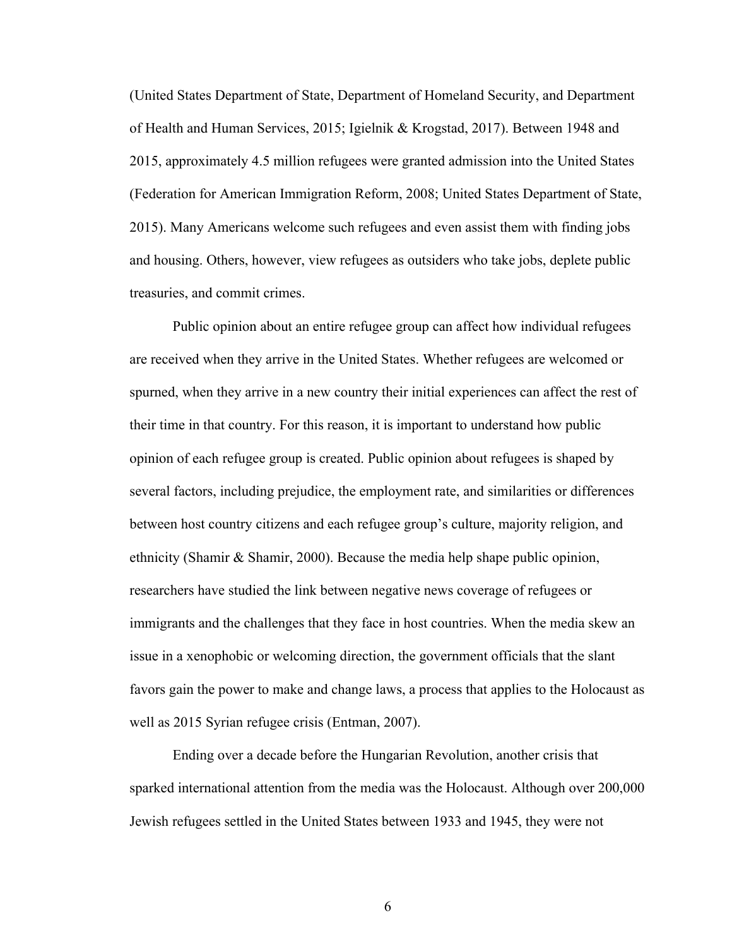(United States Department of State, Department of Homeland Security, and Department of Health and Human Services, 2015; Igielnik & Krogstad, 2017). Between 1948 and 2015, approximately 4.5 million refugees were granted admission into the United States (Federation for American Immigration Reform, 2008; United States Department of State, 2015). Many Americans welcome such refugees and even assist them with finding jobs and housing. Others, however, view refugees as outsiders who take jobs, deplete public treasuries, and commit crimes.

Public opinion about an entire refugee group can affect how individual refugees are received when they arrive in the United States. Whether refugees are welcomed or spurned, when they arrive in a new country their initial experiences can affect the rest of their time in that country. For this reason, it is important to understand how public opinion of each refugee group is created. Public opinion about refugees is shaped by several factors, including prejudice, the employment rate, and similarities or differences between host country citizens and each refugee group's culture, majority religion, and ethnicity (Shamir & Shamir, 2000). Because the media help shape public opinion, researchers have studied the link between negative news coverage of refugees or immigrants and the challenges that they face in host countries. When the media skew an issue in a xenophobic or welcoming direction, the government officials that the slant favors gain the power to make and change laws, a process that applies to the Holocaust as well as 2015 Syrian refugee crisis (Entman, 2007).

Ending over a decade before the Hungarian Revolution, another crisis that sparked international attention from the media was the Holocaust. Although over 200,000 Jewish refugees settled in the United States between 1933 and 1945, they were not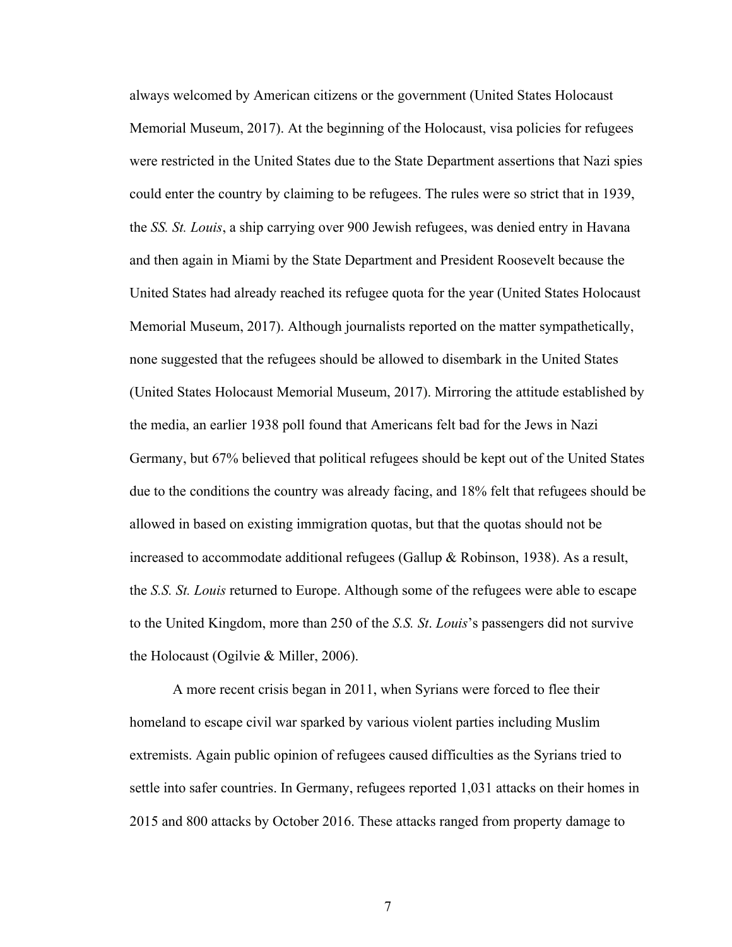always welcomed by American citizens or the government (United States Holocaust Memorial Museum, 2017). At the beginning of the Holocaust, visa policies for refugees were restricted in the United States due to the State Department assertions that Nazi spies could enter the country by claiming to be refugees. The rules were so strict that in 1939, the *SS. St. Louis*, a ship carrying over 900 Jewish refugees, was denied entry in Havana and then again in Miami by the State Department and President Roosevelt because the United States had already reached its refugee quota for the year (United States Holocaust Memorial Museum, 2017). Although journalists reported on the matter sympathetically, none suggested that the refugees should be allowed to disembark in the United States (United States Holocaust Memorial Museum, 2017). Mirroring the attitude established by the media, an earlier 1938 poll found that Americans felt bad for the Jews in Nazi Germany, but 67% believed that political refugees should be kept out of the United States due to the conditions the country was already facing, and 18% felt that refugees should be allowed in based on existing immigration quotas, but that the quotas should not be increased to accommodate additional refugees (Gallup & Robinson, 1938). As a result, the *S.S. St. Louis* returned to Europe. Although some of the refugees were able to escape to the United Kingdom, more than 250 of the *S.S. St*. *Louis*'s passengers did not survive the Holocaust (Ogilvie & Miller, 2006).

A more recent crisis began in 2011, when Syrians were forced to flee their homeland to escape civil war sparked by various violent parties including Muslim extremists. Again public opinion of refugees caused difficulties as the Syrians tried to settle into safer countries. In Germany, refugees reported 1,031 attacks on their homes in 2015 and 800 attacks by October 2016. These attacks ranged from property damage to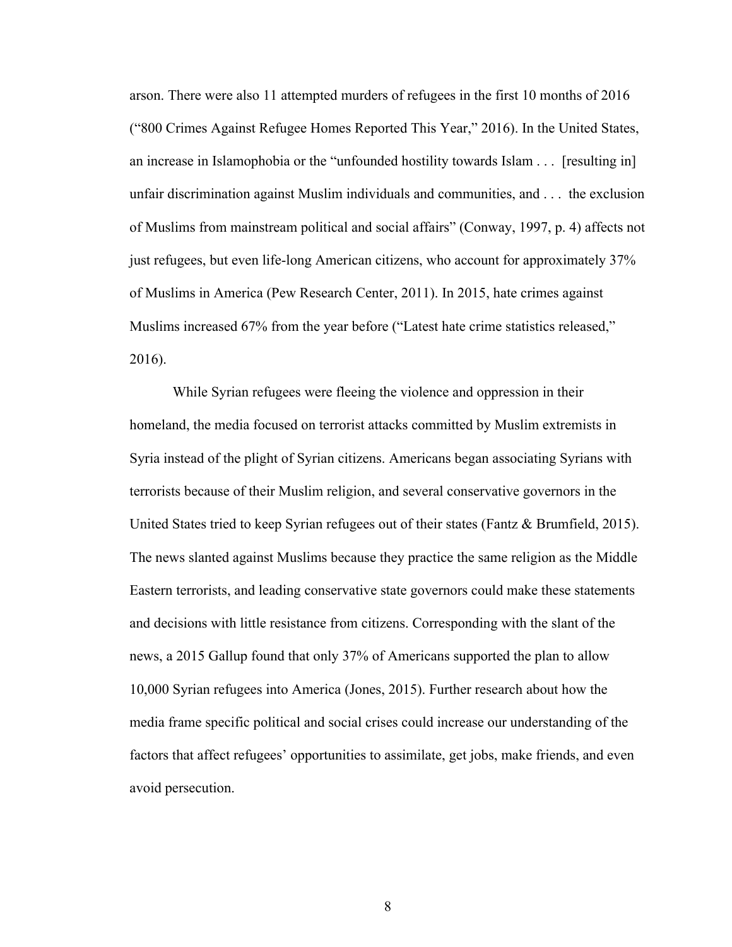arson. There were also 11 attempted murders of refugees in the first 10 months of 2016 ("800 Crimes Against Refugee Homes Reported This Year," 2016). In the United States, an increase in Islamophobia or the "unfounded hostility towards Islam . . . [resulting in] unfair discrimination against Muslim individuals and communities, and . . . the exclusion of Muslims from mainstream political and social affairs" (Conway, 1997, p. 4) affects not just refugees, but even life-long American citizens, who account for approximately 37% of Muslims in America (Pew Research Center, 2011). In 2015, hate crimes against Muslims increased 67% from the year before ("Latest hate crime statistics released," 2016).

While Syrian refugees were fleeing the violence and oppression in their homeland, the media focused on terrorist attacks committed by Muslim extremists in Syria instead of the plight of Syrian citizens. Americans began associating Syrians with terrorists because of their Muslim religion, and several conservative governors in the United States tried to keep Syrian refugees out of their states (Fantz & Brumfield, 2015). The news slanted against Muslims because they practice the same religion as the Middle Eastern terrorists, and leading conservative state governors could make these statements and decisions with little resistance from citizens. Corresponding with the slant of the news, a 2015 Gallup found that only 37% of Americans supported the plan to allow 10,000 Syrian refugees into America (Jones, 2015). Further research about how the media frame specific political and social crises could increase our understanding of the factors that affect refugees' opportunities to assimilate, get jobs, make friends, and even avoid persecution.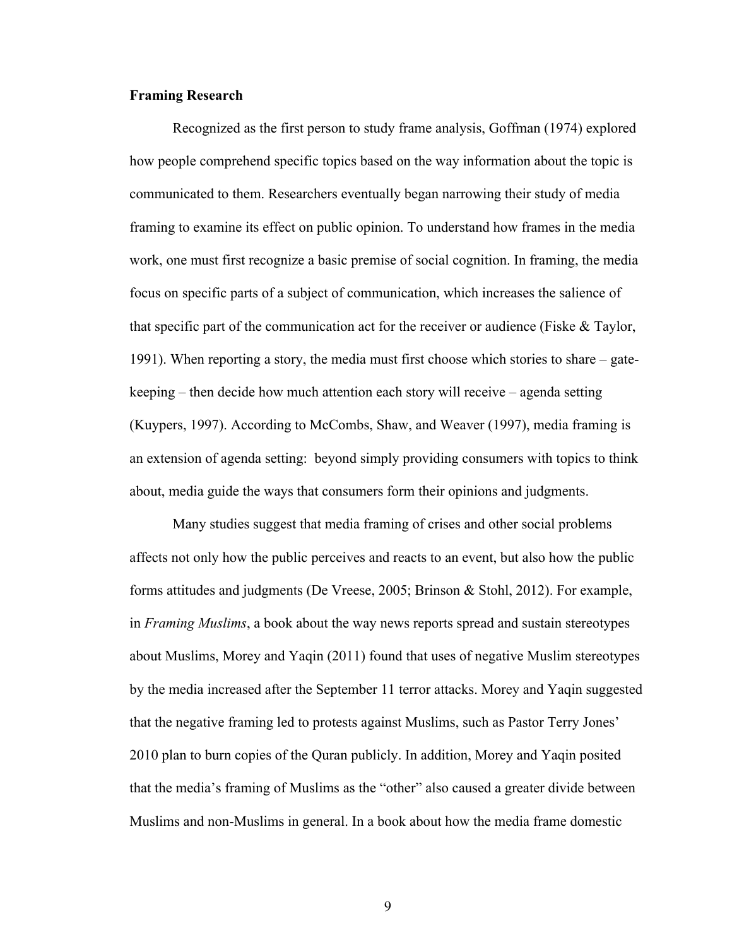#### **Framing Research**

Recognized as the first person to study frame analysis, Goffman (1974) explored how people comprehend specific topics based on the way information about the topic is communicated to them. Researchers eventually began narrowing their study of media framing to examine its effect on public opinion. To understand how frames in the media work, one must first recognize a basic premise of social cognition. In framing, the media focus on specific parts of a subject of communication, which increases the salience of that specific part of the communication act for the receiver or audience (Fiske & Taylor, 1991). When reporting a story, the media must first choose which stories to share – gatekeeping – then decide how much attention each story will receive – agenda setting (Kuypers, 1997). According to McCombs, Shaw, and Weaver (1997), media framing is an extension of agenda setting: beyond simply providing consumers with topics to think about, media guide the ways that consumers form their opinions and judgments.

Many studies suggest that media framing of crises and other social problems affects not only how the public perceives and reacts to an event, but also how the public forms attitudes and judgments (De Vreese, 2005; Brinson & Stohl, 2012). For example, in *Framing Muslims*, a book about the way news reports spread and sustain stereotypes about Muslims, Morey and Yaqin (2011) found that uses of negative Muslim stereotypes by the media increased after the September 11 terror attacks. Morey and Yaqin suggested that the negative framing led to protests against Muslims, such as Pastor Terry Jones' 2010 plan to burn copies of the Quran publicly. In addition, Morey and Yaqin posited that the media's framing of Muslims as the "other" also caused a greater divide between Muslims and non-Muslims in general. In a book about how the media frame domestic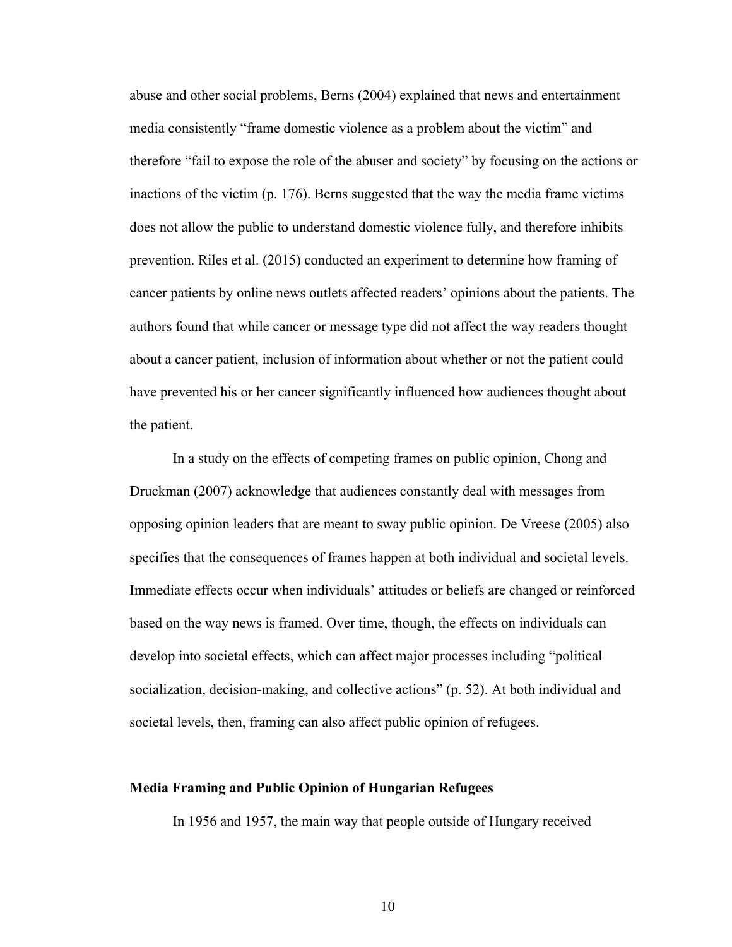abuse and other social problems, Berns (2004) explained that news and entertainment media consistently "frame domestic violence as a problem about the victim" and therefore "fail to expose the role of the abuser and society" by focusing on the actions or inactions of the victim (p. 176). Berns suggested that the way the media frame victims does not allow the public to understand domestic violence fully, and therefore inhibits prevention. Riles et al. (2015) conducted an experiment to determine how framing of cancer patients by online news outlets affected readers' opinions about the patients. The authors found that while cancer or message type did not affect the way readers thought about a cancer patient, inclusion of information about whether or not the patient could have prevented his or her cancer significantly influenced how audiences thought about the patient.

In a study on the effects of competing frames on public opinion, Chong and Druckman (2007) acknowledge that audiences constantly deal with messages from opposing opinion leaders that are meant to sway public opinion. De Vreese (2005) also specifies that the consequences of frames happen at both individual and societal levels. Immediate effects occur when individuals' attitudes or beliefs are changed or reinforced based on the way news is framed. Over time, though, the effects on individuals can develop into societal effects, which can affect major processes including "political socialization, decision-making, and collective actions" (p. 52). At both individual and societal levels, then, framing can also affect public opinion of refugees.

#### **Media Framing and Public Opinion of Hungarian Refugees**

In 1956 and 1957, the main way that people outside of Hungary received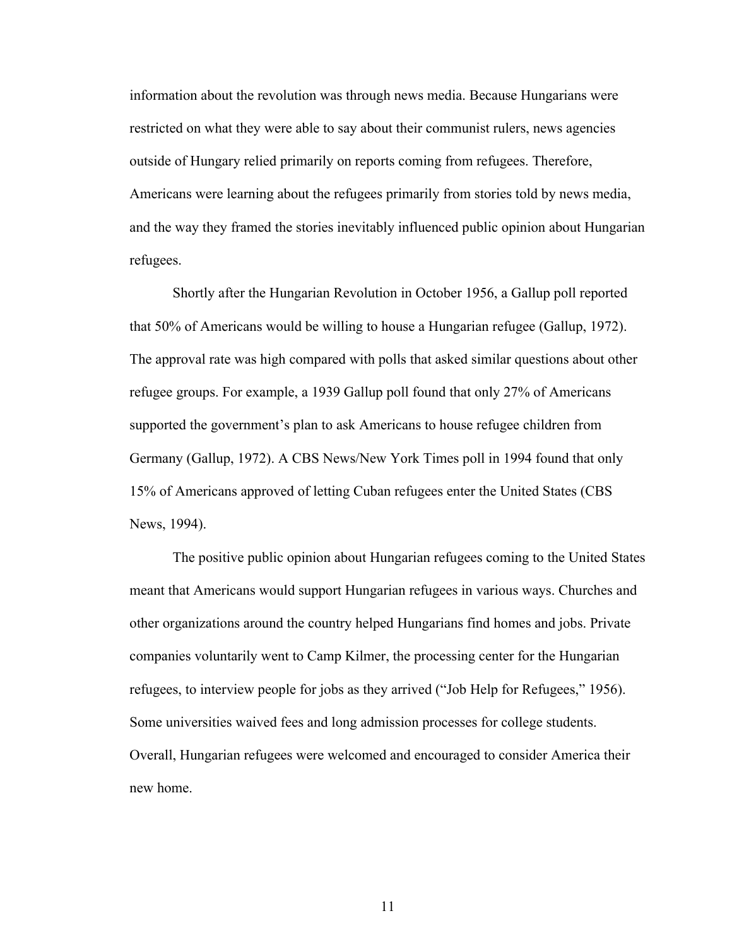information about the revolution was through news media. Because Hungarians were restricted on what they were able to say about their communist rulers, news agencies outside of Hungary relied primarily on reports coming from refugees. Therefore, Americans were learning about the refugees primarily from stories told by news media, and the way they framed the stories inevitably influenced public opinion about Hungarian refugees.

Shortly after the Hungarian Revolution in October 1956, a Gallup poll reported that 50% of Americans would be willing to house a Hungarian refugee (Gallup, 1972). The approval rate was high compared with polls that asked similar questions about other refugee groups. For example, a 1939 Gallup poll found that only 27% of Americans supported the government's plan to ask Americans to house refugee children from Germany (Gallup, 1972). A CBS News/New York Times poll in 1994 found that only 15% of Americans approved of letting Cuban refugees enter the United States (CBS News, 1994).

The positive public opinion about Hungarian refugees coming to the United States meant that Americans would support Hungarian refugees in various ways. Churches and other organizations around the country helped Hungarians find homes and jobs. Private companies voluntarily went to Camp Kilmer, the processing center for the Hungarian refugees, to interview people for jobs as they arrived ("Job Help for Refugees," 1956). Some universities waived fees and long admission processes for college students. Overall, Hungarian refugees were welcomed and encouraged to consider America their new home.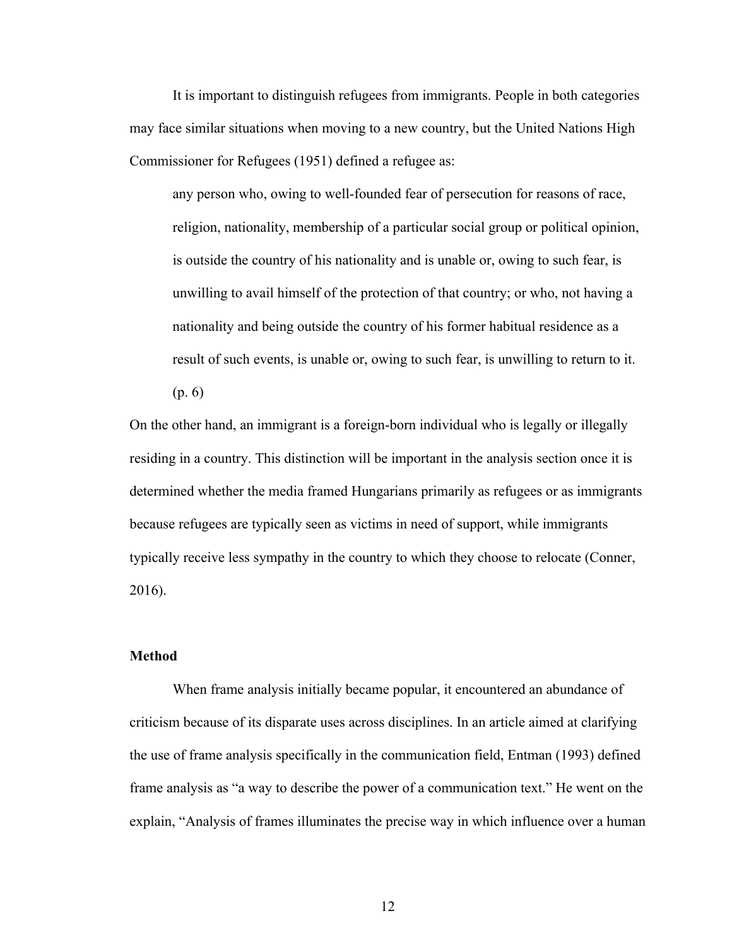It is important to distinguish refugees from immigrants. People in both categories may face similar situations when moving to a new country, but the United Nations High Commissioner for Refugees (1951) defined a refugee as:

any person who, owing to well-founded fear of persecution for reasons of race, religion, nationality, membership of a particular social group or political opinion, is outside the country of his nationality and is unable or, owing to such fear, is unwilling to avail himself of the protection of that country; or who, not having a nationality and being outside the country of his former habitual residence as a result of such events, is unable or, owing to such fear, is unwilling to return to it.

(p. 6)

On the other hand, an immigrant is a foreign-born individual who is legally or illegally residing in a country. This distinction will be important in the analysis section once it is determined whether the media framed Hungarians primarily as refugees or as immigrants because refugees are typically seen as victims in need of support, while immigrants typically receive less sympathy in the country to which they choose to relocate (Conner, 2016).

#### **Method**

When frame analysis initially became popular, it encountered an abundance of criticism because of its disparate uses across disciplines. In an article aimed at clarifying the use of frame analysis specifically in the communication field, Entman (1993) defined frame analysis as "a way to describe the power of a communication text." He went on the explain, "Analysis of frames illuminates the precise way in which influence over a human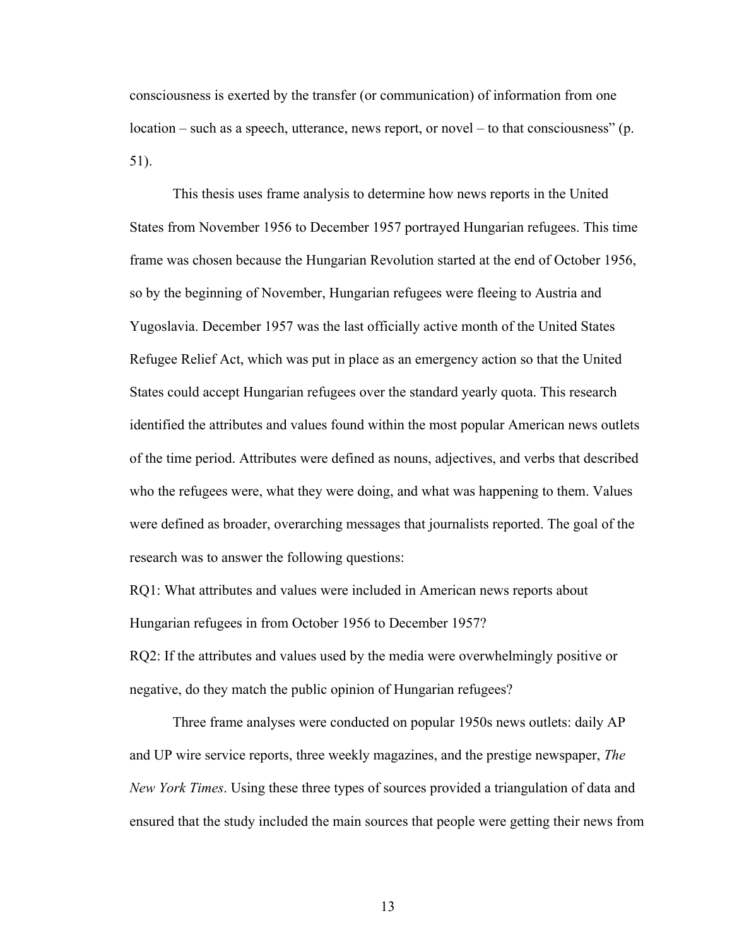consciousness is exerted by the transfer (or communication) of information from one location – such as a speech, utterance, news report, or novel – to that consciousness" (p. 51).

This thesis uses frame analysis to determine how news reports in the United States from November 1956 to December 1957 portrayed Hungarian refugees. This time frame was chosen because the Hungarian Revolution started at the end of October 1956, so by the beginning of November, Hungarian refugees were fleeing to Austria and Yugoslavia. December 1957 was the last officially active month of the United States Refugee Relief Act, which was put in place as an emergency action so that the United States could accept Hungarian refugees over the standard yearly quota. This research identified the attributes and values found within the most popular American news outlets of the time period. Attributes were defined as nouns, adjectives, and verbs that described who the refugees were, what they were doing, and what was happening to them. Values were defined as broader, overarching messages that journalists reported. The goal of the research was to answer the following questions:

RQ1: What attributes and values were included in American news reports about Hungarian refugees in from October 1956 to December 1957?

RQ2: If the attributes and values used by the media were overwhelmingly positive or negative, do they match the public opinion of Hungarian refugees?

Three frame analyses were conducted on popular 1950s news outlets: daily AP and UP wire service reports, three weekly magazines, and the prestige newspaper, *The New York Times*. Using these three types of sources provided a triangulation of data and ensured that the study included the main sources that people were getting their news from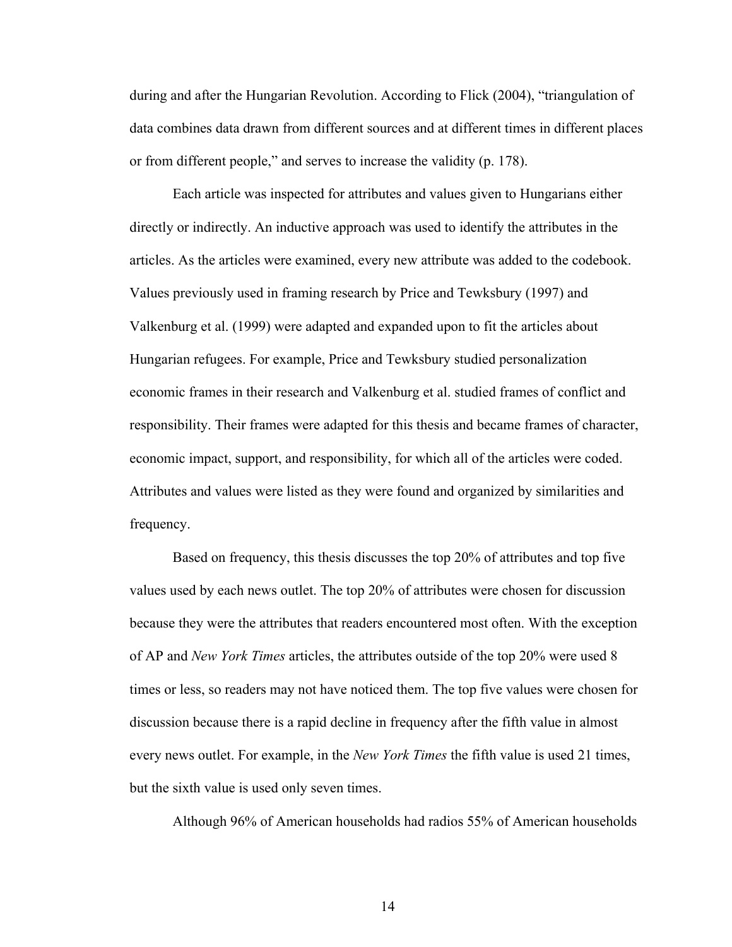during and after the Hungarian Revolution. According to Flick (2004), "triangulation of data combines data drawn from different sources and at different times in different places or from different people," and serves to increase the validity (p. 178).

Each article was inspected for attributes and values given to Hungarians either directly or indirectly. An inductive approach was used to identify the attributes in the articles. As the articles were examined, every new attribute was added to the codebook. Values previously used in framing research by Price and Tewksbury (1997) and Valkenburg et al. (1999) were adapted and expanded upon to fit the articles about Hungarian refugees. For example, Price and Tewksbury studied personalization economic frames in their research and Valkenburg et al. studied frames of conflict and responsibility. Their frames were adapted for this thesis and became frames of character, economic impact, support, and responsibility, for which all of the articles were coded. Attributes and values were listed as they were found and organized by similarities and frequency.

Based on frequency, this thesis discusses the top 20% of attributes and top five values used by each news outlet. The top 20% of attributes were chosen for discussion because they were the attributes that readers encountered most often. With the exception of AP and *New York Times* articles, the attributes outside of the top 20% were used 8 times or less, so readers may not have noticed them. The top five values were chosen for discussion because there is a rapid decline in frequency after the fifth value in almost every news outlet. For example, in the *New York Times* the fifth value is used 21 times, but the sixth value is used only seven times.

Although 96% of American households had radios 55% of American households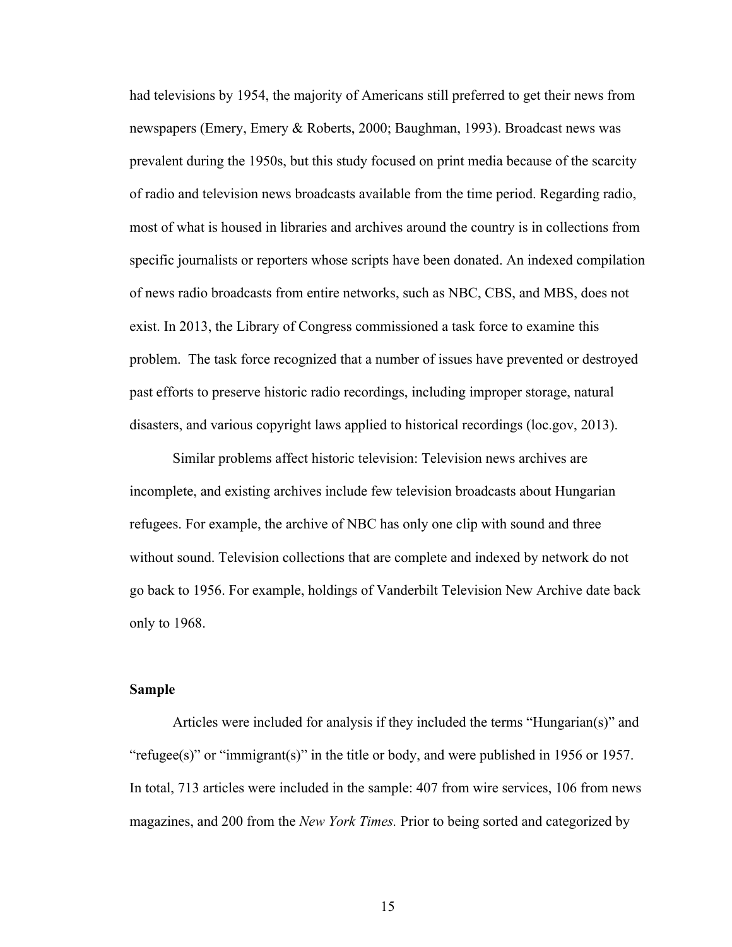had televisions by 1954, the majority of Americans still preferred to get their news from newspapers (Emery, Emery & Roberts, 2000; Baughman, 1993). Broadcast news was prevalent during the 1950s, but this study focused on print media because of the scarcity of radio and television news broadcasts available from the time period. Regarding radio, most of what is housed in libraries and archives around the country is in collections from specific journalists or reporters whose scripts have been donated. An indexed compilation of news radio broadcasts from entire networks, such as NBC, CBS, and MBS, does not exist. In 2013, the Library of Congress commissioned a task force to examine this problem. The task force recognized that a number of issues have prevented or destroyed past efforts to preserve historic radio recordings, including improper storage, natural disasters, and various copyright laws applied to historical recordings (loc.gov, 2013).

Similar problems affect historic television: Television news archives are incomplete, and existing archives include few television broadcasts about Hungarian refugees. For example, the archive of NBC has only one clip with sound and three without sound. Television collections that are complete and indexed by network do not go back to 1956. For example, holdings of Vanderbilt Television New Archive date back only to 1968.

#### **Sample**

Articles were included for analysis if they included the terms "Hungarian(s)" and "refugee(s)" or "immigrant(s)" in the title or body, and were published in 1956 or 1957. In total, 713 articles were included in the sample: 407 from wire services, 106 from news magazines, and 200 from the *New York Times.* Prior to being sorted and categorized by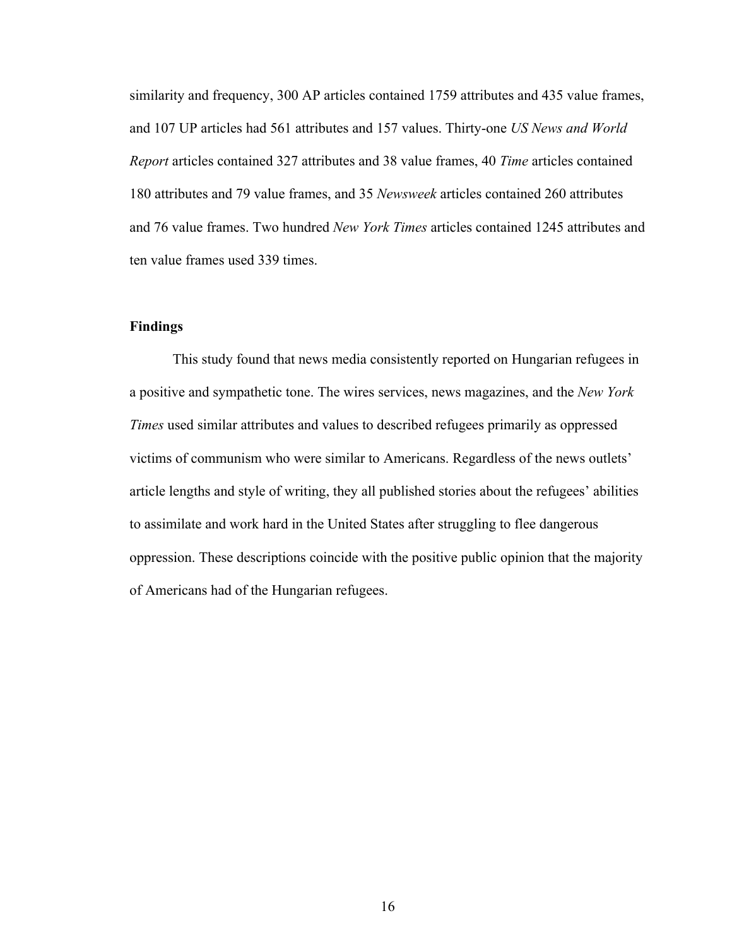similarity and frequency, 300 AP articles contained 1759 attributes and 435 value frames, and 107 UP articles had 561 attributes and 157 values. Thirty-one *US News and World Report* articles contained 327 attributes and 38 value frames, 40 *Time* articles contained 180 attributes and 79 value frames, and 35 *Newsweek* articles contained 260 attributes and 76 value frames. Two hundred *New York Times* articles contained 1245 attributes and ten value frames used 339 times.

#### **Findings**

This study found that news media consistently reported on Hungarian refugees in a positive and sympathetic tone. The wires services, news magazines, and the *New York Times* used similar attributes and values to described refugees primarily as oppressed victims of communism who were similar to Americans. Regardless of the news outlets' article lengths and style of writing, they all published stories about the refugees' abilities to assimilate and work hard in the United States after struggling to flee dangerous oppression. These descriptions coincide with the positive public opinion that the majority of Americans had of the Hungarian refugees.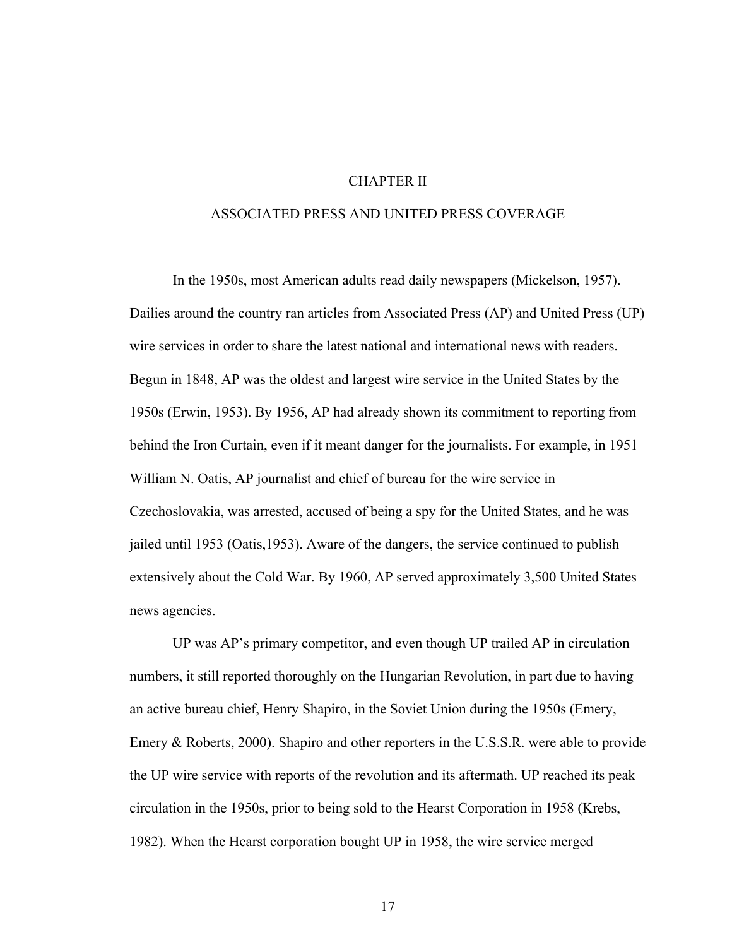#### CHAPTER II

#### ASSOCIATED PRESS AND UNITED PRESS COVERAGE

In the 1950s, most American adults read daily newspapers (Mickelson, 1957). Dailies around the country ran articles from Associated Press (AP) and United Press (UP) wire services in order to share the latest national and international news with readers. Begun in 1848, AP was the oldest and largest wire service in the United States by the 1950s (Erwin, 1953). By 1956, AP had already shown its commitment to reporting from behind the Iron Curtain, even if it meant danger for the journalists. For example, in 1951 William N. Oatis, AP journalist and chief of bureau for the wire service in Czechoslovakia, was arrested, accused of being a spy for the United States, and he was jailed until 1953 (Oatis,1953). Aware of the dangers, the service continued to publish extensively about the Cold War. By 1960, AP served approximately 3,500 United States news agencies.

UP was AP's primary competitor, and even though UP trailed AP in circulation numbers, it still reported thoroughly on the Hungarian Revolution, in part due to having an active bureau chief, Henry Shapiro, in the Soviet Union during the 1950s (Emery, Emery & Roberts, 2000). Shapiro and other reporters in the U.S.S.R. were able to provide the UP wire service with reports of the revolution and its aftermath. UP reached its peak circulation in the 1950s, prior to being sold to the Hearst Corporation in 1958 (Krebs, 1982). When the Hearst corporation bought UP in 1958, the wire service merged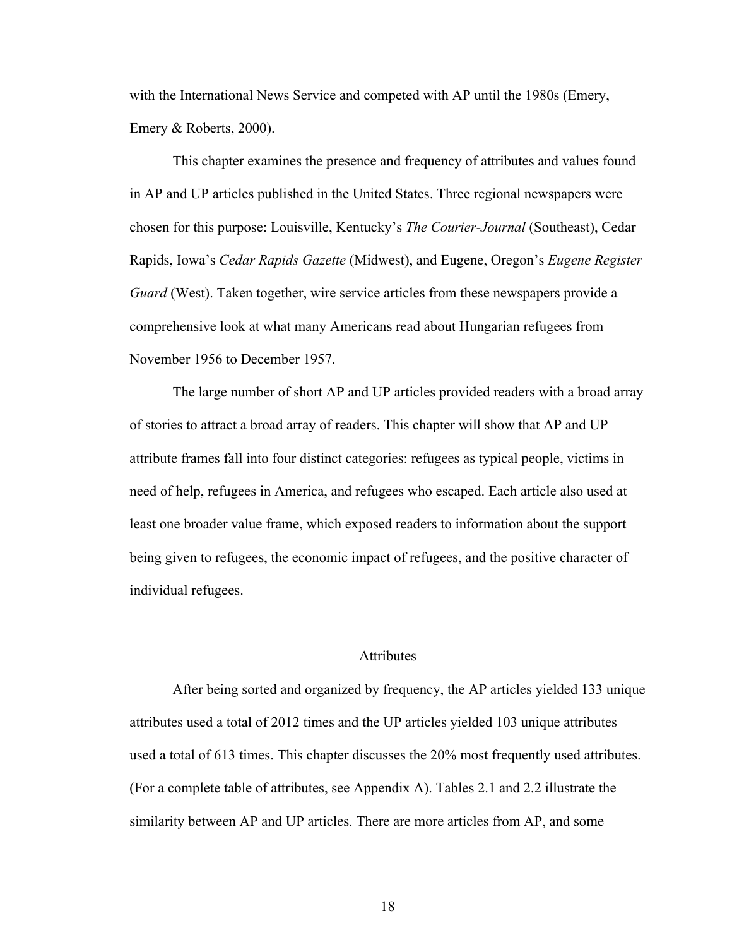with the International News Service and competed with AP until the 1980s (Emery, Emery & Roberts, 2000).

This chapter examines the presence and frequency of attributes and values found in AP and UP articles published in the United States. Three regional newspapers were chosen for this purpose: Louisville, Kentucky's *The Courier-Journal* (Southeast), Cedar Rapids, Iowa's *Cedar Rapids Gazette* (Midwest), and Eugene, Oregon's *Eugene Register Guard* (West). Taken together, wire service articles from these newspapers provide a comprehensive look at what many Americans read about Hungarian refugees from November 1956 to December 1957.

The large number of short AP and UP articles provided readers with a broad array of stories to attract a broad array of readers. This chapter will show that AP and UP attribute frames fall into four distinct categories: refugees as typical people, victims in need of help, refugees in America, and refugees who escaped. Each article also used at least one broader value frame, which exposed readers to information about the support being given to refugees, the economic impact of refugees, and the positive character of individual refugees.

#### Attributes

After being sorted and organized by frequency, the AP articles yielded 133 unique attributes used a total of 2012 times and the UP articles yielded 103 unique attributes used a total of 613 times. This chapter discusses the 20% most frequently used attributes. (For a complete table of attributes, see Appendix A). Tables 2.1 and 2.2 illustrate the similarity between AP and UP articles. There are more articles from AP, and some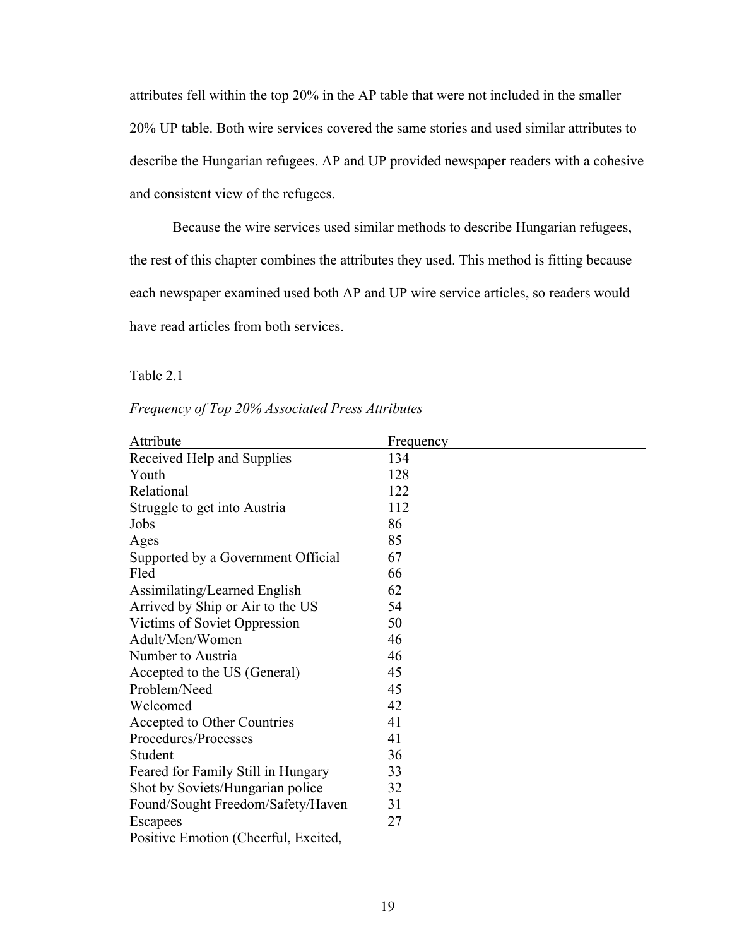attributes fell within the top 20% in the AP table that were not included in the smaller 20% UP table. Both wire services covered the same stories and used similar attributes to describe the Hungarian refugees. AP and UP provided newspaper readers with a cohesive and consistent view of the refugees.

Because the wire services used similar methods to describe Hungarian refugees, the rest of this chapter combines the attributes they used. This method is fitting because each newspaper examined used both AP and UP wire service articles, so readers would have read articles from both services.

Table 2.1

| Frequency of Top 20% Associated Press Attributes |  |
|--------------------------------------------------|--|
|--------------------------------------------------|--|

| Attribute                            | Frequency |
|--------------------------------------|-----------|
| Received Help and Supplies           | 134       |
| Youth                                | 128       |
| Relational                           | 122       |
| Struggle to get into Austria         | 112       |
| Jobs                                 | 86        |
| Ages                                 | 85        |
| Supported by a Government Official   | 67        |
| Fled                                 | 66        |
| Assimilating/Learned English         | 62        |
| Arrived by Ship or Air to the US     | 54        |
| Victims of Soviet Oppression         | 50        |
| Adult/Men/Women                      | 46        |
| Number to Austria                    | 46        |
| Accepted to the US (General)         | 45        |
| Problem/Need                         | 45        |
| Welcomed                             | 42        |
| Accepted to Other Countries          | 41        |
| Procedures/Processes                 | 41        |
| Student                              | 36        |
| Feared for Family Still in Hungary   | 33        |
| Shot by Soviets/Hungarian police     | 32        |
| Found/Sought Freedom/Safety/Haven    | 31        |
| Escapees                             | 27        |
| Positive Emotion (Cheerful, Excited, |           |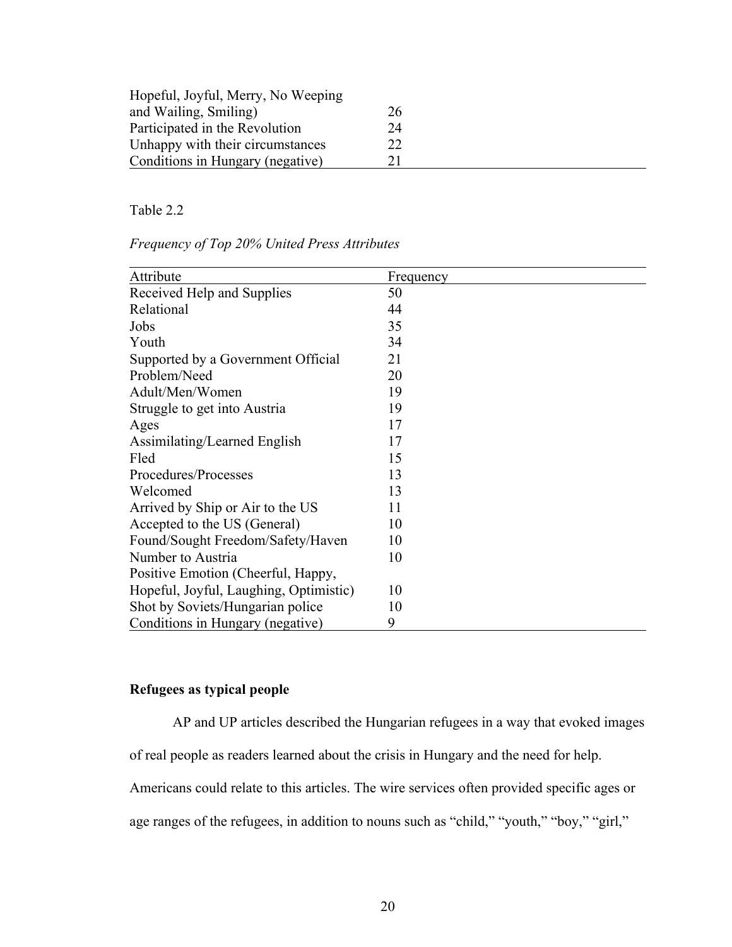| Hopeful, Joyful, Merry, No Weeping |    |
|------------------------------------|----|
| and Wailing, Smiling)              | 26 |
| Participated in the Revolution     | 24 |
| Unhappy with their circumstances   | 22 |
| Conditions in Hungary (negative)   | 21 |

#### Table 2.2

*Frequency of Top 20% United Press Attributes*

| Attribute                              | Frequency |
|----------------------------------------|-----------|
| Received Help and Supplies             | 50        |
| Relational                             | 44        |
| Jobs                                   | 35        |
| Youth                                  | 34        |
| Supported by a Government Official     | 21        |
| Problem/Need                           | 20        |
| Adult/Men/Women                        | 19        |
| Struggle to get into Austria           | 19        |
| Ages                                   | 17        |
| Assimilating/Learned English           | 17        |
| Fled                                   | 15        |
| Procedures/Processes                   | 13        |
| Welcomed                               | 13        |
| Arrived by Ship or Air to the US       | 11        |
| Accepted to the US (General)           | 10        |
| Found/Sought Freedom/Safety/Haven      | 10        |
| Number to Austria                      | 10        |
| Positive Emotion (Cheerful, Happy,     |           |
| Hopeful, Joyful, Laughing, Optimistic) | 10        |
| Shot by Soviets/Hungarian police       | 10        |
| Conditions in Hungary (negative)       | 9         |

#### **Refugees as typical people**

AP and UP articles described the Hungarian refugees in a way that evoked images of real people as readers learned about the crisis in Hungary and the need for help. Americans could relate to this articles. The wire services often provided specific ages or age ranges of the refugees, in addition to nouns such as "child," "youth," "boy," "girl,"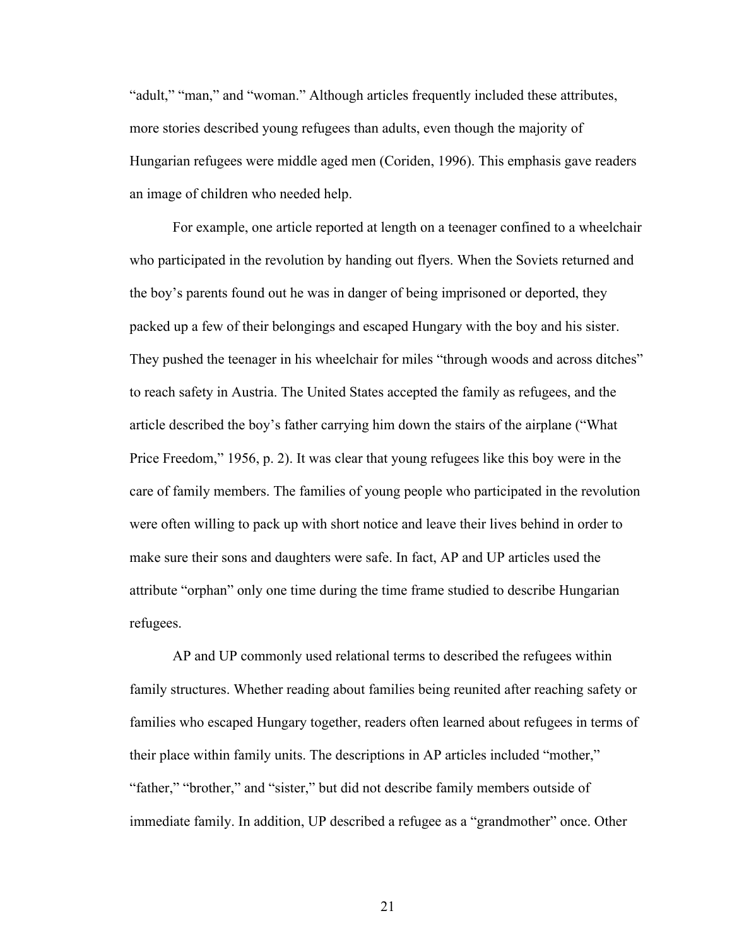"adult," "man," and "woman." Although articles frequently included these attributes, more stories described young refugees than adults, even though the majority of Hungarian refugees were middle aged men (Coriden, 1996). This emphasis gave readers an image of children who needed help.

For example, one article reported at length on a teenager confined to a wheelchair who participated in the revolution by handing out flyers. When the Soviets returned and the boy's parents found out he was in danger of being imprisoned or deported, they packed up a few of their belongings and escaped Hungary with the boy and his sister. They pushed the teenager in his wheelchair for miles "through woods and across ditches" to reach safety in Austria. The United States accepted the family as refugees, and the article described the boy's father carrying him down the stairs of the airplane ("What Price Freedom," 1956, p. 2). It was clear that young refugees like this boy were in the care of family members. The families of young people who participated in the revolution were often willing to pack up with short notice and leave their lives behind in order to make sure their sons and daughters were safe. In fact, AP and UP articles used the attribute "orphan" only one time during the time frame studied to describe Hungarian refugees.

AP and UP commonly used relational terms to described the refugees within family structures. Whether reading about families being reunited after reaching safety or families who escaped Hungary together, readers often learned about refugees in terms of their place within family units. The descriptions in AP articles included "mother," "father," "brother," and "sister," but did not describe family members outside of immediate family. In addition, UP described a refugee as a "grandmother" once. Other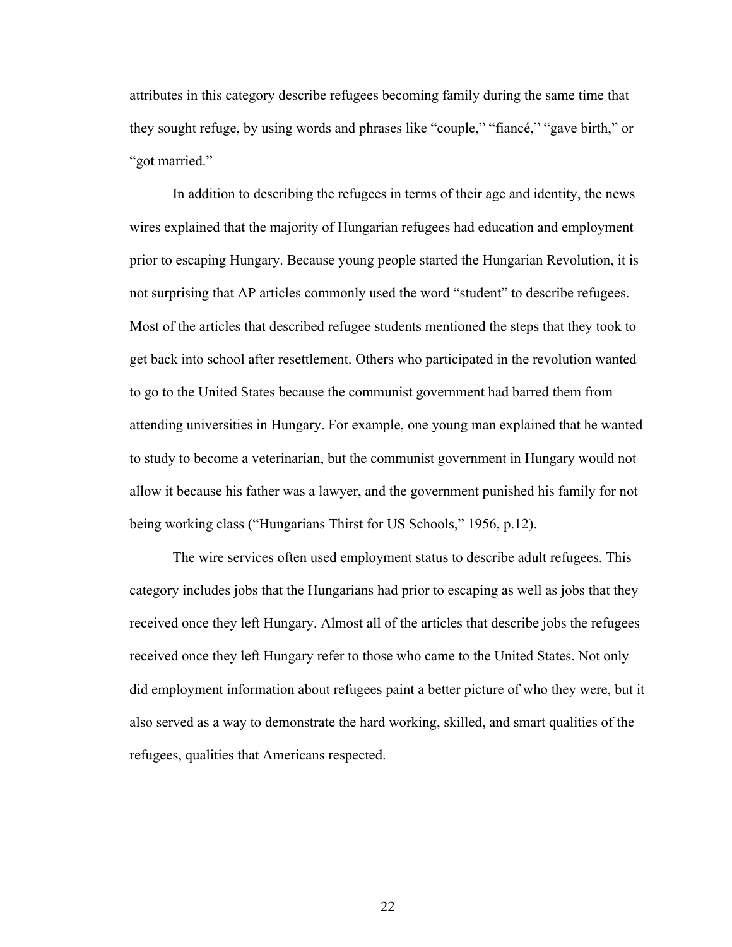attributes in this category describe refugees becoming family during the same time that they sought refuge, by using words and phrases like "couple," "fiancé," "gave birth," or "got married."

In addition to describing the refugees in terms of their age and identity, the news wires explained that the majority of Hungarian refugees had education and employment prior to escaping Hungary. Because young people started the Hungarian Revolution, it is not surprising that AP articles commonly used the word "student" to describe refugees. Most of the articles that described refugee students mentioned the steps that they took to get back into school after resettlement. Others who participated in the revolution wanted to go to the United States because the communist government had barred them from attending universities in Hungary. For example, one young man explained that he wanted to study to become a veterinarian, but the communist government in Hungary would not allow it because his father was a lawyer, and the government punished his family for not being working class ("Hungarians Thirst for US Schools," 1956, p.12).

The wire services often used employment status to describe adult refugees. This category includes jobs that the Hungarians had prior to escaping as well as jobs that they received once they left Hungary. Almost all of the articles that describe jobs the refugees received once they left Hungary refer to those who came to the United States. Not only did employment information about refugees paint a better picture of who they were, but it also served as a way to demonstrate the hard working, skilled, and smart qualities of the refugees, qualities that Americans respected.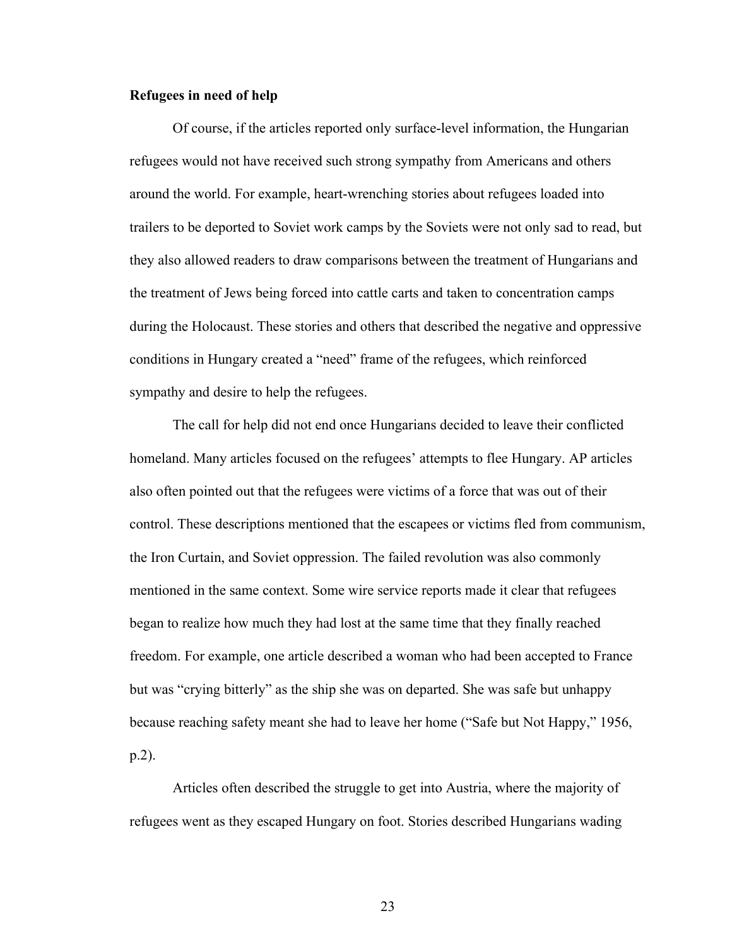#### **Refugees in need of help**

Of course, if the articles reported only surface-level information, the Hungarian refugees would not have received such strong sympathy from Americans and others around the world. For example, heart-wrenching stories about refugees loaded into trailers to be deported to Soviet work camps by the Soviets were not only sad to read, but they also allowed readers to draw comparisons between the treatment of Hungarians and the treatment of Jews being forced into cattle carts and taken to concentration camps during the Holocaust. These stories and others that described the negative and oppressive conditions in Hungary created a "need" frame of the refugees, which reinforced sympathy and desire to help the refugees.

The call for help did not end once Hungarians decided to leave their conflicted homeland. Many articles focused on the refugees' attempts to flee Hungary. AP articles also often pointed out that the refugees were victims of a force that was out of their control. These descriptions mentioned that the escapees or victims fled from communism, the Iron Curtain, and Soviet oppression. The failed revolution was also commonly mentioned in the same context. Some wire service reports made it clear that refugees began to realize how much they had lost at the same time that they finally reached freedom. For example, one article described a woman who had been accepted to France but was "crying bitterly" as the ship she was on departed. She was safe but unhappy because reaching safety meant she had to leave her home ("Safe but Not Happy," 1956, p.2).

Articles often described the struggle to get into Austria, where the majority of refugees went as they escaped Hungary on foot. Stories described Hungarians wading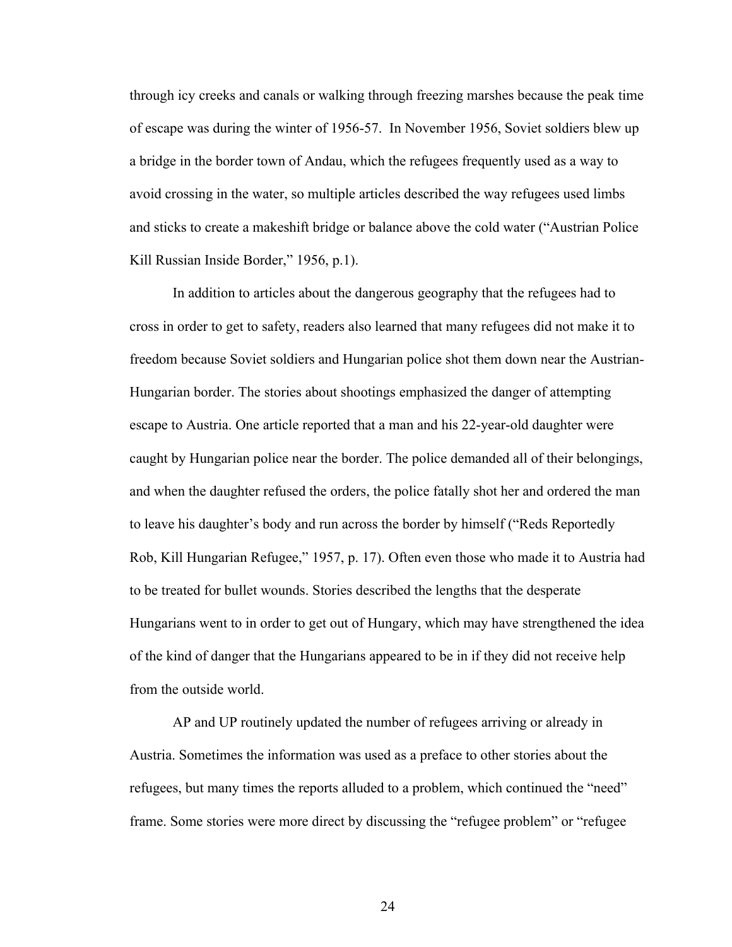through icy creeks and canals or walking through freezing marshes because the peak time of escape was during the winter of 1956-57. In November 1956, Soviet soldiers blew up a bridge in the border town of Andau, which the refugees frequently used as a way to avoid crossing in the water, so multiple articles described the way refugees used limbs and sticks to create a makeshift bridge or balance above the cold water ("Austrian Police Kill Russian Inside Border," 1956, p.1).

In addition to articles about the dangerous geography that the refugees had to cross in order to get to safety, readers also learned that many refugees did not make it to freedom because Soviet soldiers and Hungarian police shot them down near the Austrian-Hungarian border. The stories about shootings emphasized the danger of attempting escape to Austria. One article reported that a man and his 22-year-old daughter were caught by Hungarian police near the border. The police demanded all of their belongings, and when the daughter refused the orders, the police fatally shot her and ordered the man to leave his daughter's body and run across the border by himself ("Reds Reportedly Rob, Kill Hungarian Refugee," 1957, p. 17). Often even those who made it to Austria had to be treated for bullet wounds. Stories described the lengths that the desperate Hungarians went to in order to get out of Hungary, which may have strengthened the idea of the kind of danger that the Hungarians appeared to be in if they did not receive help from the outside world.

AP and UP routinely updated the number of refugees arriving or already in Austria. Sometimes the information was used as a preface to other stories about the refugees, but many times the reports alluded to a problem, which continued the "need" frame. Some stories were more direct by discussing the "refugee problem" or "refugee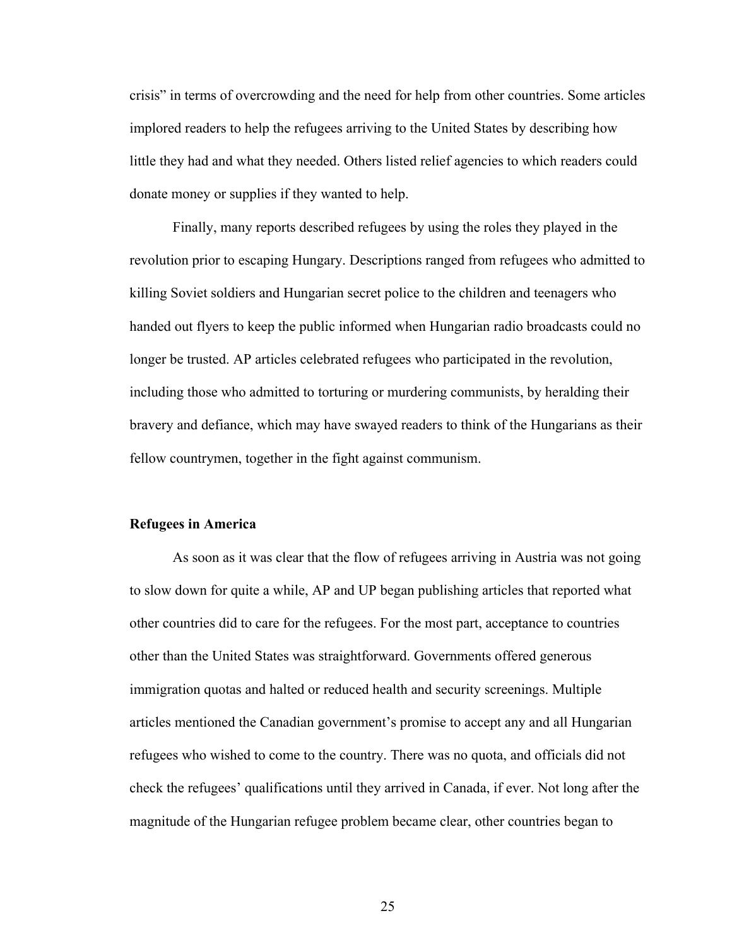crisis" in terms of overcrowding and the need for help from other countries. Some articles implored readers to help the refugees arriving to the United States by describing how little they had and what they needed. Others listed relief agencies to which readers could donate money or supplies if they wanted to help.

Finally, many reports described refugees by using the roles they played in the revolution prior to escaping Hungary. Descriptions ranged from refugees who admitted to killing Soviet soldiers and Hungarian secret police to the children and teenagers who handed out flyers to keep the public informed when Hungarian radio broadcasts could no longer be trusted. AP articles celebrated refugees who participated in the revolution, including those who admitted to torturing or murdering communists, by heralding their bravery and defiance, which may have swayed readers to think of the Hungarians as their fellow countrymen, together in the fight against communism.

#### **Refugees in America**

As soon as it was clear that the flow of refugees arriving in Austria was not going to slow down for quite a while, AP and UP began publishing articles that reported what other countries did to care for the refugees. For the most part, acceptance to countries other than the United States was straightforward. Governments offered generous immigration quotas and halted or reduced health and security screenings. Multiple articles mentioned the Canadian government's promise to accept any and all Hungarian refugees who wished to come to the country. There was no quota, and officials did not check the refugees' qualifications until they arrived in Canada, if ever. Not long after the magnitude of the Hungarian refugee problem became clear, other countries began to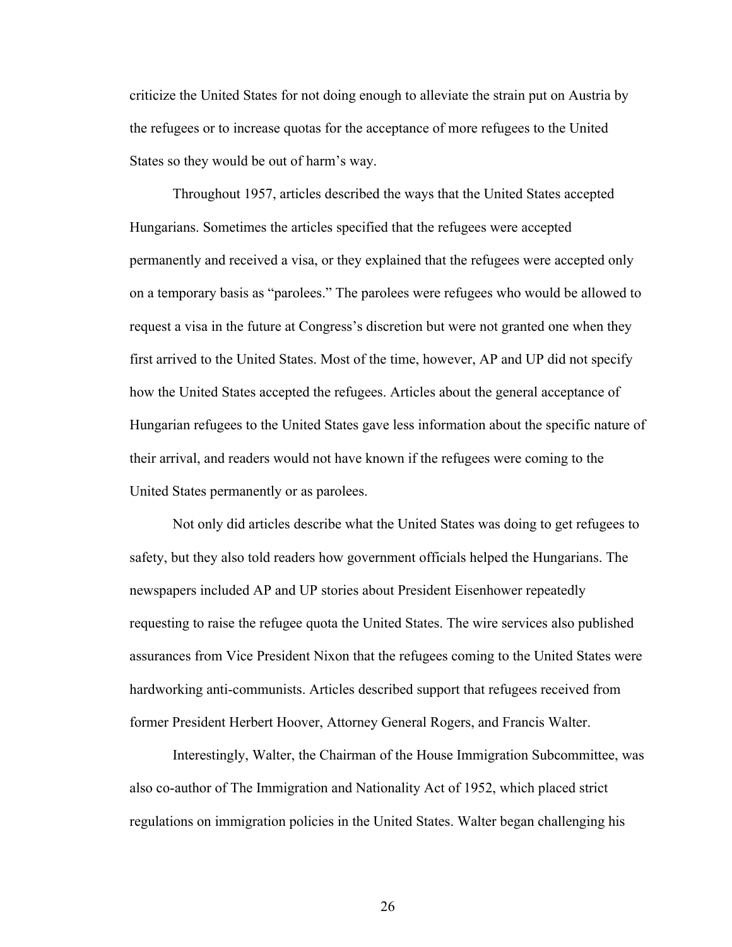criticize the United States for not doing enough to alleviate the strain put on Austria by the refugees or to increase quotas for the acceptance of more refugees to the United States so they would be out of harm's way.

Throughout 1957, articles described the ways that the United States accepted Hungarians. Sometimes the articles specified that the refugees were accepted permanently and received a visa, or they explained that the refugees were accepted only on a temporary basis as "parolees." The parolees were refugees who would be allowed to request a visa in the future at Congress's discretion but were not granted one when they first arrived to the United States. Most of the time, however, AP and UP did not specify how the United States accepted the refugees. Articles about the general acceptance of Hungarian refugees to the United States gave less information about the specific nature of their arrival, and readers would not have known if the refugees were coming to the United States permanently or as parolees.

Not only did articles describe what the United States was doing to get refugees to safety, but they also told readers how government officials helped the Hungarians. The newspapers included AP and UP stories about President Eisenhower repeatedly requesting to raise the refugee quota the United States. The wire services also published assurances from Vice President Nixon that the refugees coming to the United States were hardworking anti-communists. Articles described support that refugees received from former President Herbert Hoover, Attorney General Rogers, and Francis Walter.

Interestingly, Walter, the Chairman of the House Immigration Subcommittee, was also co-author of The Immigration and Nationality Act of 1952, which placed strict regulations on immigration policies in the United States. Walter began challenging his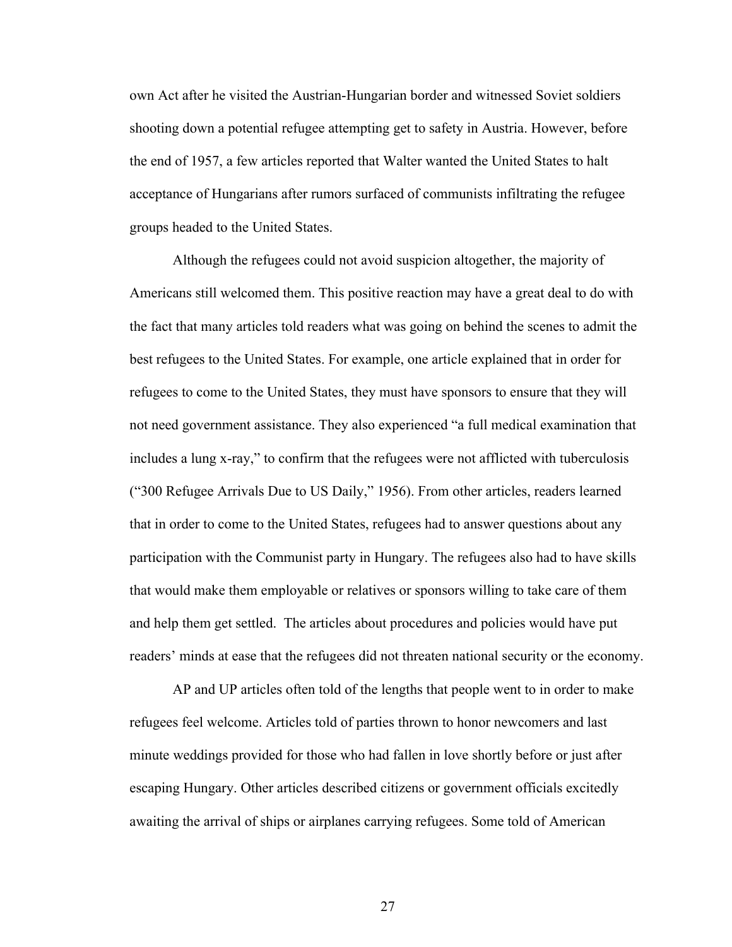own Act after he visited the Austrian-Hungarian border and witnessed Soviet soldiers shooting down a potential refugee attempting get to safety in Austria. However, before the end of 1957, a few articles reported that Walter wanted the United States to halt acceptance of Hungarians after rumors surfaced of communists infiltrating the refugee groups headed to the United States.

Although the refugees could not avoid suspicion altogether, the majority of Americans still welcomed them. This positive reaction may have a great deal to do with the fact that many articles told readers what was going on behind the scenes to admit the best refugees to the United States. For example, one article explained that in order for refugees to come to the United States, they must have sponsors to ensure that they will not need government assistance. They also experienced "a full medical examination that includes a lung x-ray," to confirm that the refugees were not afflicted with tuberculosis ("300 Refugee Arrivals Due to US Daily," 1956). From other articles, readers learned that in order to come to the United States, refugees had to answer questions about any participation with the Communist party in Hungary. The refugees also had to have skills that would make them employable or relatives or sponsors willing to take care of them and help them get settled. The articles about procedures and policies would have put readers' minds at ease that the refugees did not threaten national security or the economy.

AP and UP articles often told of the lengths that people went to in order to make refugees feel welcome. Articles told of parties thrown to honor newcomers and last minute weddings provided for those who had fallen in love shortly before or just after escaping Hungary. Other articles described citizens or government officials excitedly awaiting the arrival of ships or airplanes carrying refugees. Some told of American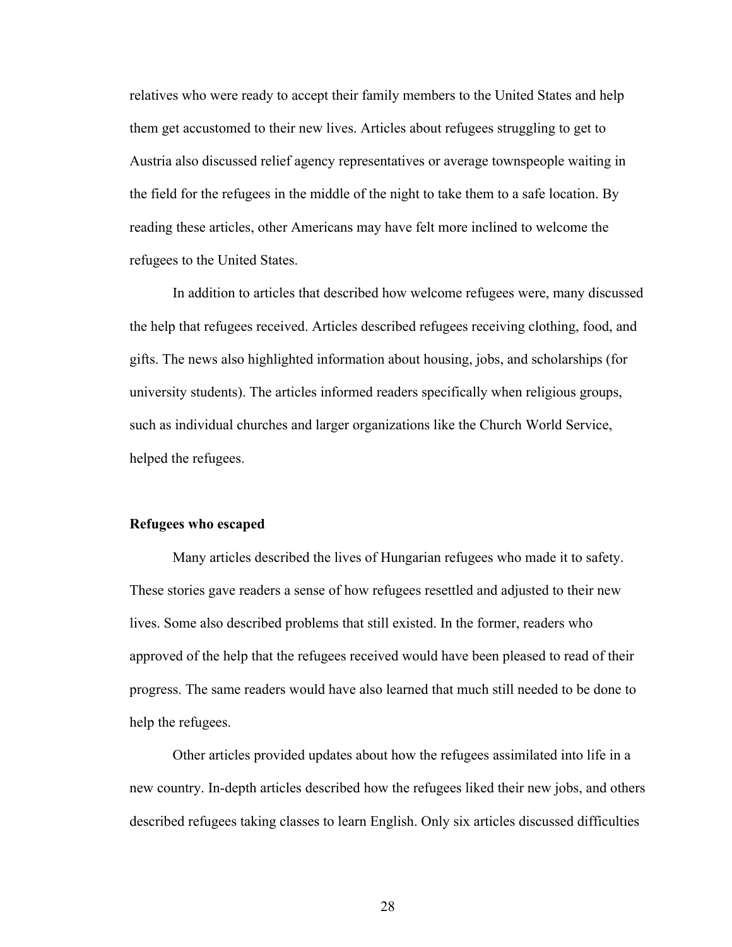relatives who were ready to accept their family members to the United States and help them get accustomed to their new lives. Articles about refugees struggling to get to Austria also discussed relief agency representatives or average townspeople waiting in the field for the refugees in the middle of the night to take them to a safe location. By reading these articles, other Americans may have felt more inclined to welcome the refugees to the United States.

In addition to articles that described how welcome refugees were, many discussed the help that refugees received. Articles described refugees receiving clothing, food, and gifts. The news also highlighted information about housing, jobs, and scholarships (for university students). The articles informed readers specifically when religious groups, such as individual churches and larger organizations like the Church World Service, helped the refugees.

### **Refugees who escaped**

Many articles described the lives of Hungarian refugees who made it to safety. These stories gave readers a sense of how refugees resettled and adjusted to their new lives. Some also described problems that still existed. In the former, readers who approved of the help that the refugees received would have been pleased to read of their progress. The same readers would have also learned that much still needed to be done to help the refugees.

Other articles provided updates about how the refugees assimilated into life in a new country. In-depth articles described how the refugees liked their new jobs, and others described refugees taking classes to learn English. Only six articles discussed difficulties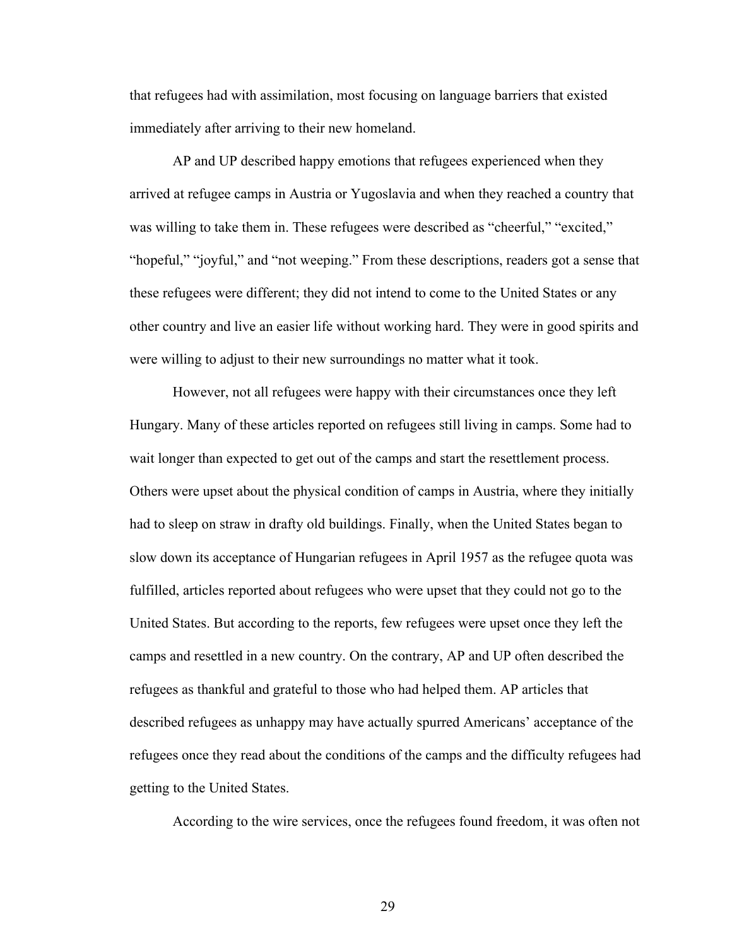that refugees had with assimilation, most focusing on language barriers that existed immediately after arriving to their new homeland.

AP and UP described happy emotions that refugees experienced when they arrived at refugee camps in Austria or Yugoslavia and when they reached a country that was willing to take them in. These refugees were described as "cheerful," "excited," "hopeful," "joyful," and "not weeping." From these descriptions, readers got a sense that these refugees were different; they did not intend to come to the United States or any other country and live an easier life without working hard. They were in good spirits and were willing to adjust to their new surroundings no matter what it took.

However, not all refugees were happy with their circumstances once they left Hungary. Many of these articles reported on refugees still living in camps. Some had to wait longer than expected to get out of the camps and start the resettlement process. Others were upset about the physical condition of camps in Austria, where they initially had to sleep on straw in drafty old buildings. Finally, when the United States began to slow down its acceptance of Hungarian refugees in April 1957 as the refugee quota was fulfilled, articles reported about refugees who were upset that they could not go to the United States. But according to the reports, few refugees were upset once they left the camps and resettled in a new country. On the contrary, AP and UP often described the refugees as thankful and grateful to those who had helped them. AP articles that described refugees as unhappy may have actually spurred Americans' acceptance of the refugees once they read about the conditions of the camps and the difficulty refugees had getting to the United States.

According to the wire services, once the refugees found freedom, it was often not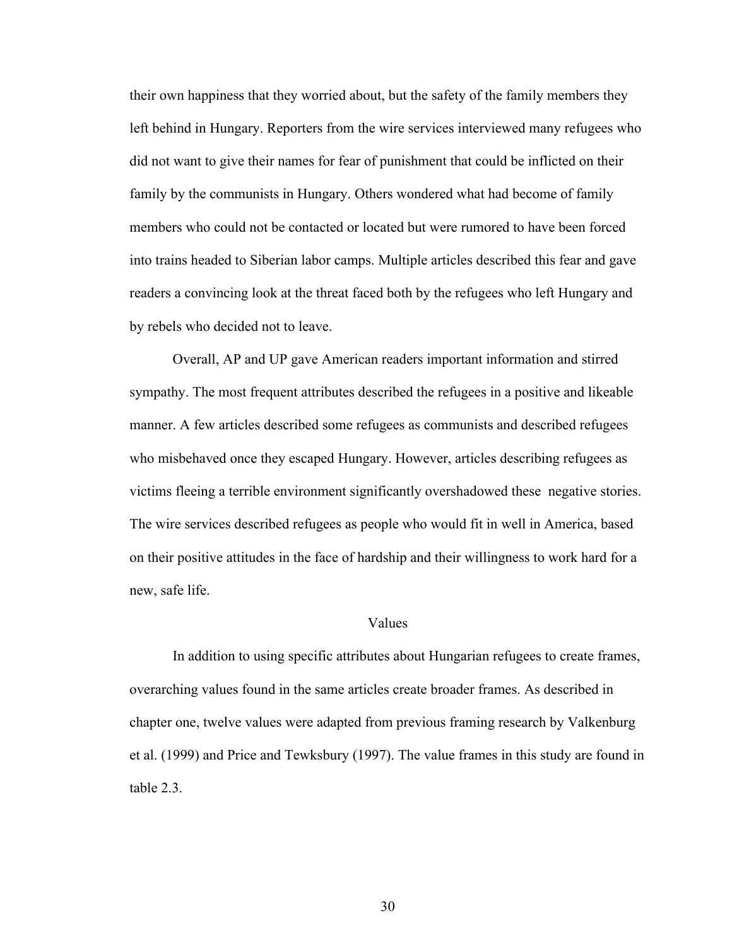their own happiness that they worried about, but the safety of the family members they left behind in Hungary. Reporters from the wire services interviewed many refugees who did not want to give their names for fear of punishment that could be inflicted on their family by the communists in Hungary. Others wondered what had become of family members who could not be contacted or located but were rumored to have been forced into trains headed to Siberian labor camps. Multiple articles described this fear and gave readers a convincing look at the threat faced both by the refugees who left Hungary and by rebels who decided not to leave.

Overall, AP and UP gave American readers important information and stirred sympathy. The most frequent attributes described the refugees in a positive and likeable manner. A few articles described some refugees as communists and described refugees who misbehaved once they escaped Hungary. However, articles describing refugees as victims fleeing a terrible environment significantly overshadowed these negative stories. The wire services described refugees as people who would fit in well in America, based on their positive attitudes in the face of hardship and their willingness to work hard for a new, safe life.

### Values

In addition to using specific attributes about Hungarian refugees to create frames, overarching values found in the same articles create broader frames. As described in chapter one, twelve values were adapted from previous framing research by Valkenburg et al. (1999) and Price and Tewksbury (1997). The value frames in this study are found in table 2.3.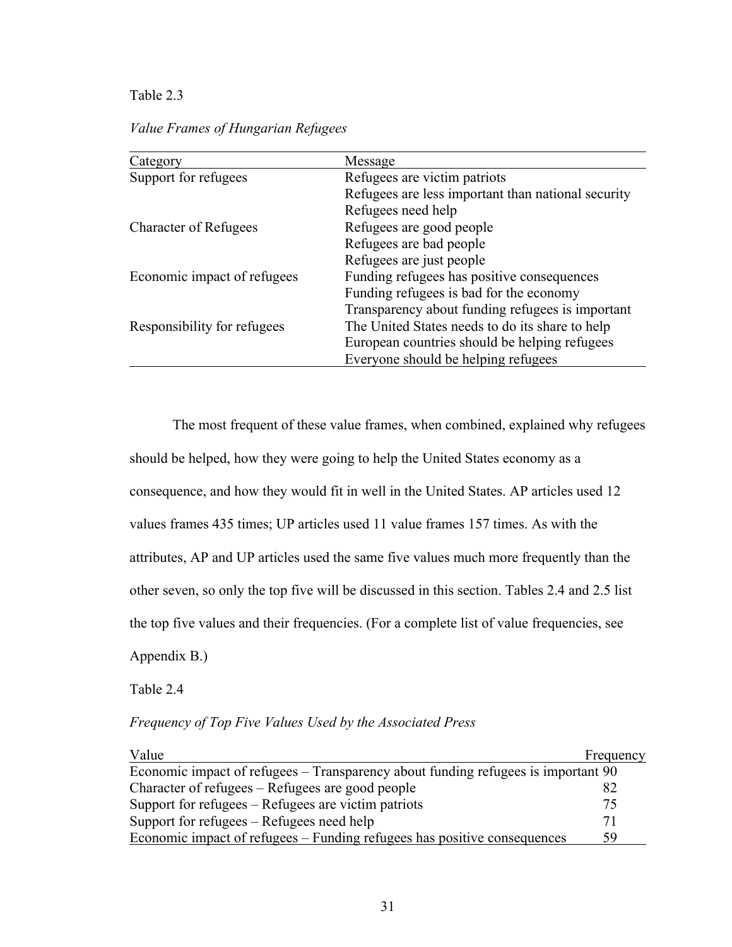## Table 2.3

*Value Frames of Hungarian Refugees*

| Category                     | Message                                            |
|------------------------------|----------------------------------------------------|
| Support for refugees         | Refugees are victim patriots                       |
|                              | Refugees are less important than national security |
|                              | Refugees need help                                 |
| <b>Character of Refugees</b> | Refugees are good people                           |
|                              | Refugees are bad people                            |
|                              | Refugees are just people                           |
| Economic impact of refugees  | Funding refugees has positive consequences         |
|                              | Funding refugees is bad for the economy            |
|                              | Transparency about funding refugees is important   |
| Responsibility for refugees  | The United States needs to do its share to help    |
|                              | European countries should be helping refugees      |
|                              | Everyone should be helping refugees                |

The most frequent of these value frames, when combined, explained why refugees should be helped, how they were going to help the United States economy as a consequence, and how they would fit in well in the United States. AP articles used 12 values frames 435 times; UP articles used 11 value frames 157 times. As with the attributes, AP and UP articles used the same five values much more frequently than the other seven, so only the top five will be discussed in this section. Tables 2.4 and 2.5 list the top five values and their frequencies. (For a complete list of value frequencies, see Appendix B.)

Table 2.4

*Frequency of Top Five Values Used by the Associated Press*

| Value                                                                             | Frequency |
|-----------------------------------------------------------------------------------|-----------|
| Economic impact of refugees – Transparency about funding refugees is important 90 |           |
| Character of refugees – Refugees are good people                                  |           |
| Support for refugees – Refugees are victim patriots                               | 75        |
| Support for refugees – Refugees need help                                         |           |
| Economic impact of refugees – Funding refugees has positive consequences          | 59        |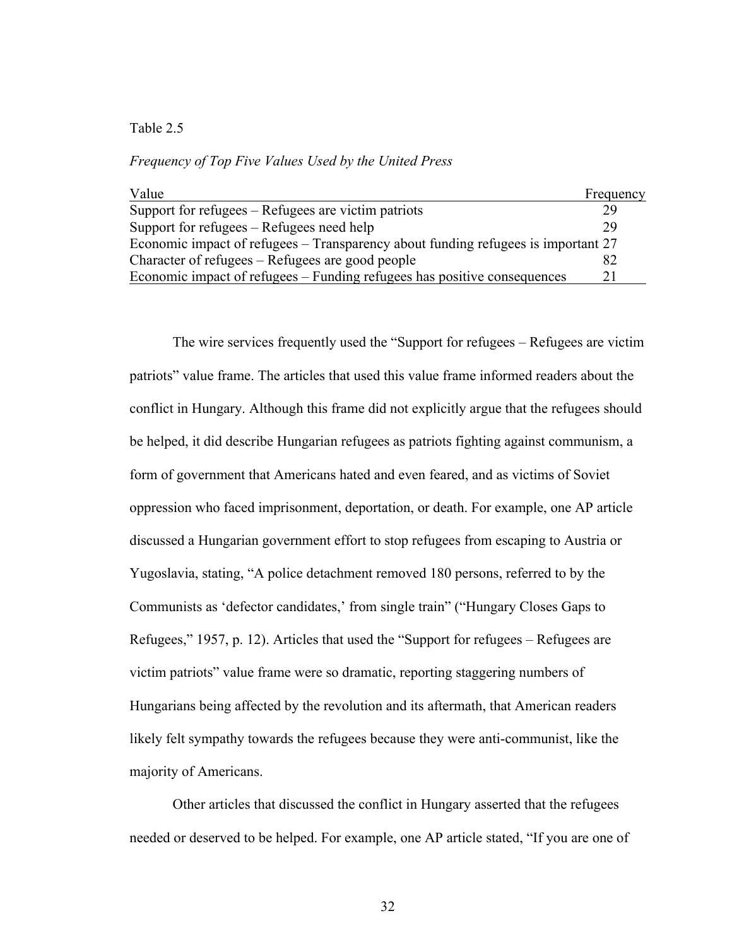## Table 2.5

*Frequency of Top Five Values Used by the United Press*

| Value                                                                             | Frequency |
|-----------------------------------------------------------------------------------|-----------|
| Support for refugees – Refugees are victim patriots                               |           |
| Support for refugees – Refugees need help                                         | 29        |
| Economic impact of refugees – Transparency about funding refugees is important 27 |           |
| Character of refugees – Refugees are good people                                  |           |
| Economic impact of refugees – Funding refugees has positive consequences          |           |

The wire services frequently used the "Support for refugees – Refugees are victim patriots" value frame. The articles that used this value frame informed readers about the conflict in Hungary. Although this frame did not explicitly argue that the refugees should be helped, it did describe Hungarian refugees as patriots fighting against communism, a form of government that Americans hated and even feared, and as victims of Soviet oppression who faced imprisonment, deportation, or death. For example, one AP article discussed a Hungarian government effort to stop refugees from escaping to Austria or Yugoslavia, stating, "A police detachment removed 180 persons, referred to by the Communists as 'defector candidates,' from single train" ("Hungary Closes Gaps to Refugees," 1957, p. 12). Articles that used the "Support for refugees – Refugees are victim patriots" value frame were so dramatic, reporting staggering numbers of Hungarians being affected by the revolution and its aftermath, that American readers likely felt sympathy towards the refugees because they were anti-communist, like the majority of Americans.

Other articles that discussed the conflict in Hungary asserted that the refugees needed or deserved to be helped. For example, one AP article stated, "If you are one of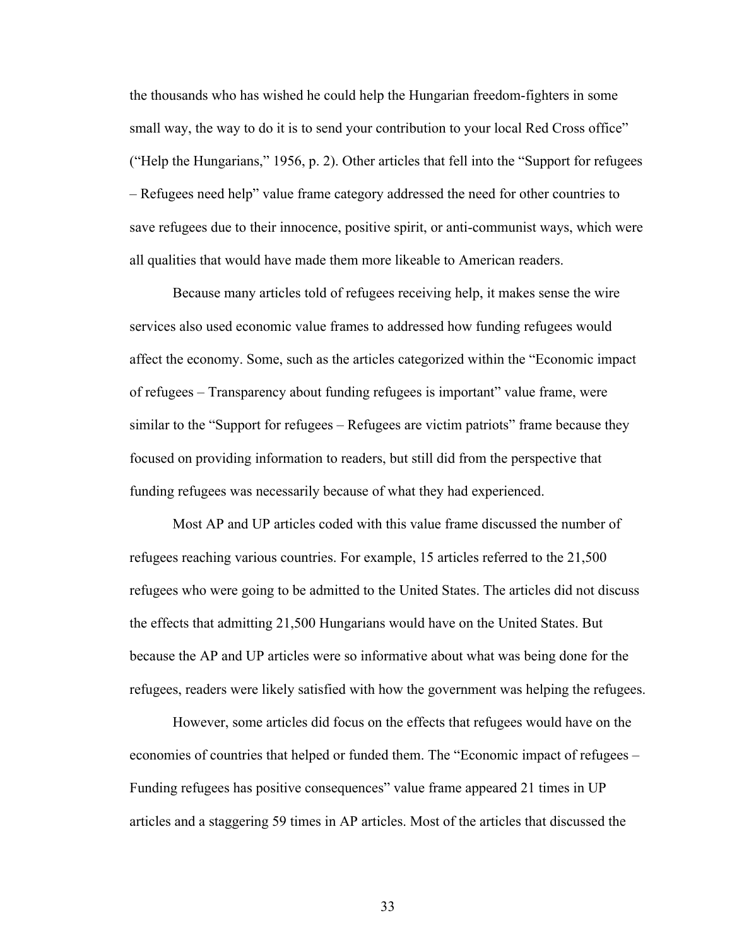the thousands who has wished he could help the Hungarian freedom-fighters in some small way, the way to do it is to send your contribution to your local Red Cross office" ("Help the Hungarians," 1956, p. 2). Other articles that fell into the "Support for refugees – Refugees need help" value frame category addressed the need for other countries to save refugees due to their innocence, positive spirit, or anti-communist ways, which were all qualities that would have made them more likeable to American readers.

Because many articles told of refugees receiving help, it makes sense the wire services also used economic value frames to addressed how funding refugees would affect the economy. Some, such as the articles categorized within the "Economic impact of refugees – Transparency about funding refugees is important" value frame, were similar to the "Support for refugees – Refugees are victim patriots" frame because they focused on providing information to readers, but still did from the perspective that funding refugees was necessarily because of what they had experienced.

Most AP and UP articles coded with this value frame discussed the number of refugees reaching various countries. For example, 15 articles referred to the 21,500 refugees who were going to be admitted to the United States. The articles did not discuss the effects that admitting 21,500 Hungarians would have on the United States. But because the AP and UP articles were so informative about what was being done for the refugees, readers were likely satisfied with how the government was helping the refugees.

However, some articles did focus on the effects that refugees would have on the economies of countries that helped or funded them. The "Economic impact of refugees – Funding refugees has positive consequences" value frame appeared 21 times in UP articles and a staggering 59 times in AP articles. Most of the articles that discussed the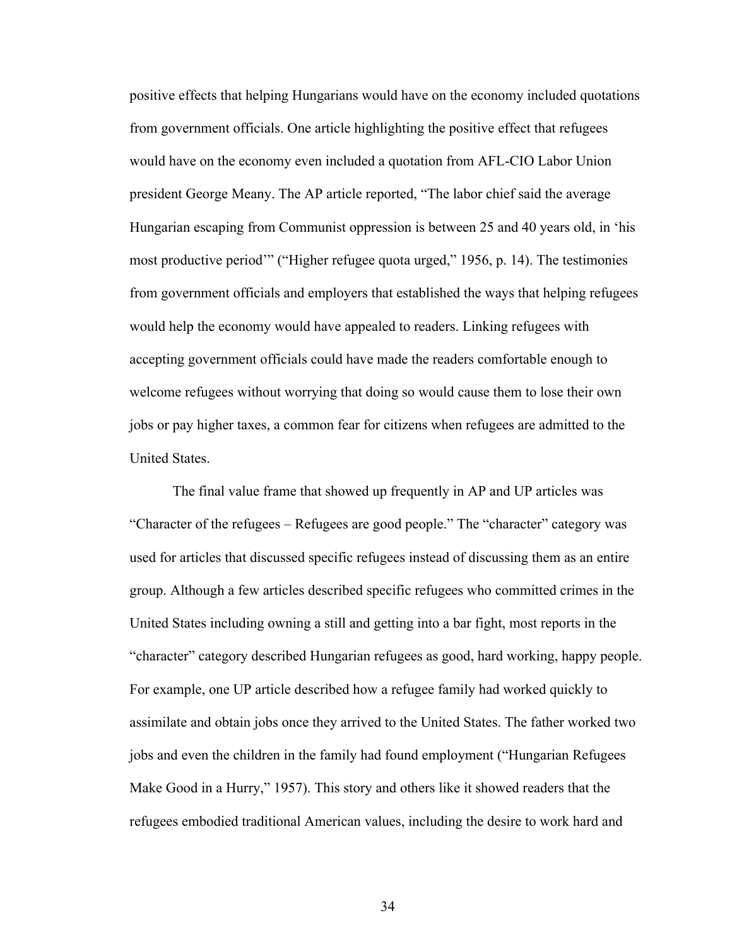positive effects that helping Hungarians would have on the economy included quotations from government officials. One article highlighting the positive effect that refugees would have on the economy even included a quotation from AFL-CIO Labor Union president George Meany. The AP article reported, "The labor chief said the average Hungarian escaping from Communist oppression is between 25 and 40 years old, in 'his most productive period'" ("Higher refugee quota urged," 1956, p. 14). The testimonies from government officials and employers that established the ways that helping refugees would help the economy would have appealed to readers. Linking refugees with accepting government officials could have made the readers comfortable enough to welcome refugees without worrying that doing so would cause them to lose their own jobs or pay higher taxes, a common fear for citizens when refugees are admitted to the United States.

The final value frame that showed up frequently in AP and UP articles was "Character of the refugees – Refugees are good people." The "character" category was used for articles that discussed specific refugees instead of discussing them as an entire group. Although a few articles described specific refugees who committed crimes in the United States including owning a still and getting into a bar fight, most reports in the "character" category described Hungarian refugees as good, hard working, happy people. For example, one UP article described how a refugee family had worked quickly to assimilate and obtain jobs once they arrived to the United States. The father worked two jobs and even the children in the family had found employment ("Hungarian Refugees Make Good in a Hurry," 1957). This story and others like it showed readers that the refugees embodied traditional American values, including the desire to work hard and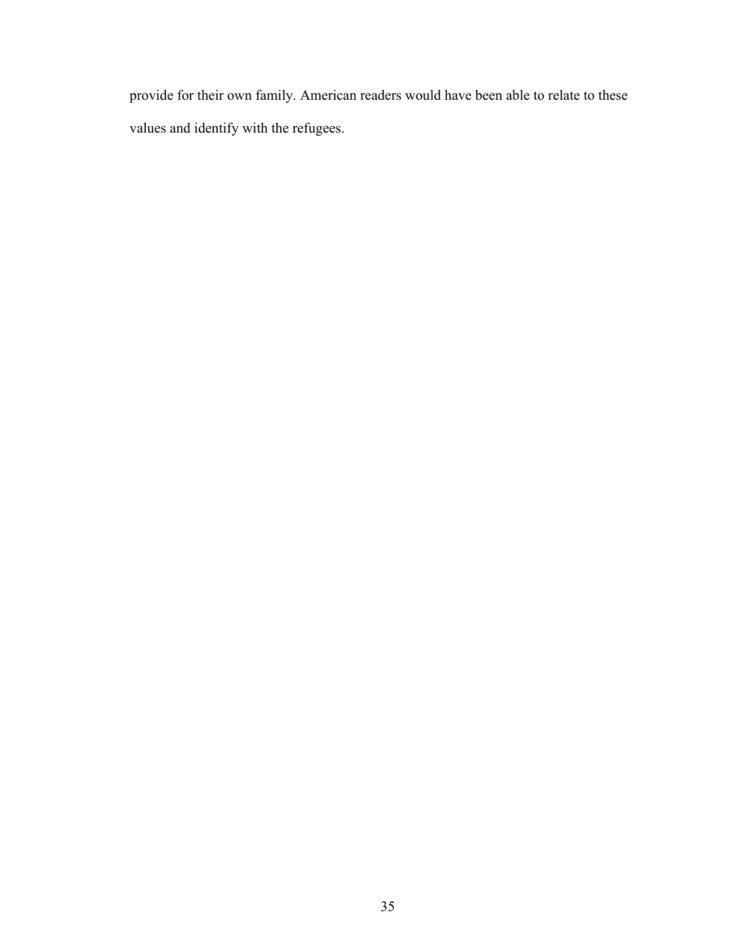provide for their own family. American readers would have been able to relate to these values and identify with the refugees.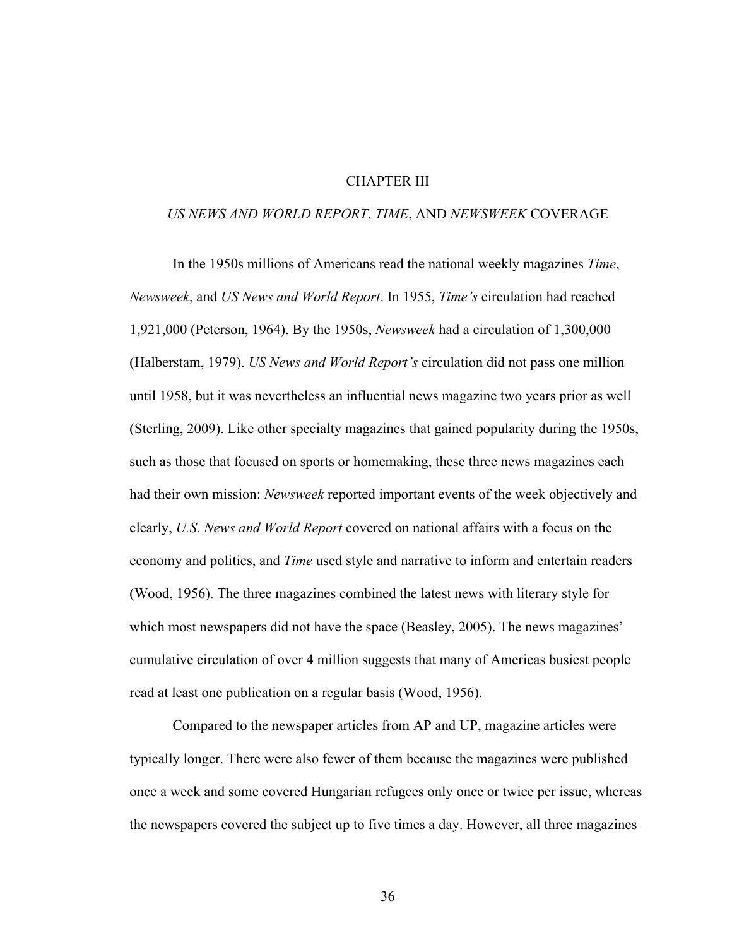## CHAPTER III

### *US NEWS AND WORLD REPORT*, *TIME*, AND *NEWSWEEK* COVERAGE

In the 1950s millions of Americans read the national weekly magazines *Time*, *Newsweek*, and *US News and World Report*. In 1955, *Time's* circulation had reached 1,921,000 (Peterson, 1964). By the 1950s, *Newsweek* had a circulation of 1,300,000 (Halberstam, 1979). *US News and World Report's* circulation did not pass one million until 1958, but it was nevertheless an influential news magazine two years prior as well (Sterling, 2009). Like other specialty magazines that gained popularity during the 1950s, such as those that focused on sports or homemaking, these three news magazines each had their own mission: *Newsweek* reported important events of the week objectively and clearly, *U.S. News and World Report* covered on national affairs with a focus on the economy and politics, and *Time* used style and narrative to inform and entertain readers (Wood, 1956). The three magazines combined the latest news with literary style for which most newspapers did not have the space (Beasley, 2005). The news magazines' cumulative circulation of over 4 million suggests that many of Americas busiest people read at least one publication on a regular basis (Wood, 1956).

Compared to the newspaper articles from AP and UP, magazine articles were typically longer. There were also fewer of them because the magazines were published once a week and some covered Hungarian refugees only once or twice per issue, whereas the newspapers covered the subject up to five times a day. However, all three magazines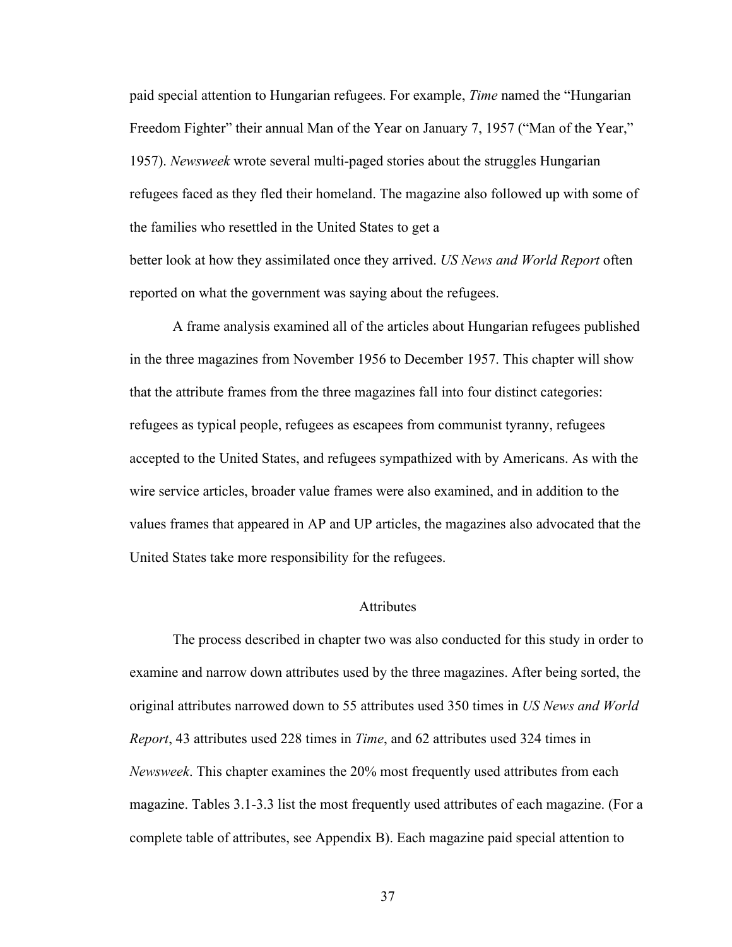paid special attention to Hungarian refugees. For example, *Time* named the "Hungarian Freedom Fighter" their annual Man of the Year on January 7, 1957 ("Man of the Year," 1957). *Newsweek* wrote several multi-paged stories about the struggles Hungarian refugees faced as they fled their homeland. The magazine also followed up with some of the families who resettled in the United States to get a better look at how they assimilated once they arrived. *US News and World Report* often reported on what the government was saying about the refugees.

A frame analysis examined all of the articles about Hungarian refugees published in the three magazines from November 1956 to December 1957. This chapter will show that the attribute frames from the three magazines fall into four distinct categories: refugees as typical people, refugees as escapees from communist tyranny, refugees accepted to the United States, and refugees sympathized with by Americans. As with the wire service articles, broader value frames were also examined, and in addition to the values frames that appeared in AP and UP articles, the magazines also advocated that the United States take more responsibility for the refugees.

## Attributes

The process described in chapter two was also conducted for this study in order to examine and narrow down attributes used by the three magazines. After being sorted, the original attributes narrowed down to 55 attributes used 350 times in *US News and World Report*, 43 attributes used 228 times in *Time*, and 62 attributes used 324 times in *Newsweek*. This chapter examines the 20% most frequently used attributes from each magazine. Tables 3.1-3.3 list the most frequently used attributes of each magazine. (For a complete table of attributes, see Appendix B). Each magazine paid special attention to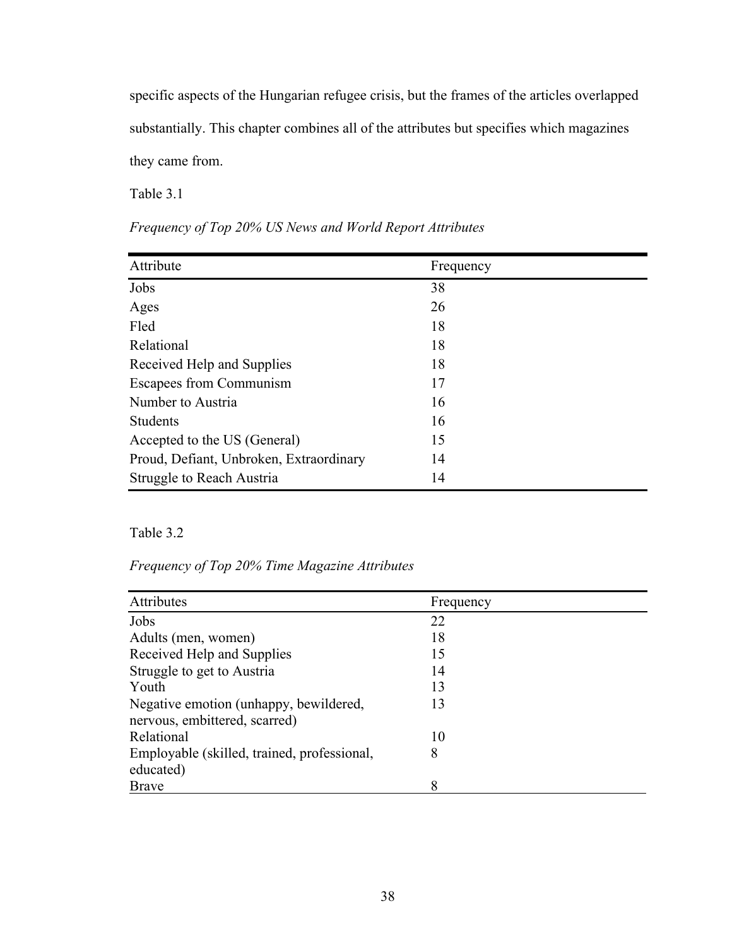specific aspects of the Hungarian refugee crisis, but the frames of the articles overlapped substantially. This chapter combines all of the attributes but specifies which magazines they came from.

Table 3.1

| Attribute                               | Frequency |
|-----------------------------------------|-----------|
| Jobs                                    | 38        |
| Ages                                    | 26        |
| Fled                                    | 18        |
| Relational                              | 18        |
| Received Help and Supplies              | 18        |
| Escapees from Communism                 | 17        |
| Number to Austria                       | 16        |
| <b>Students</b>                         | 16        |
| Accepted to the US (General)            | 15        |
| Proud, Defiant, Unbroken, Extraordinary | 14        |
| Struggle to Reach Austria               | 14        |

# Table 3.2

*Frequency of Top 20% Time Magazine Attributes*

| Attributes                                  | Frequency |
|---------------------------------------------|-----------|
| Jobs                                        | 22        |
| Adults (men, women)                         | 18        |
| Received Help and Supplies                  | 15        |
| Struggle to get to Austria                  | 14        |
| Youth                                       | 13        |
| Negative emotion (unhappy, bewildered,      | 13        |
| nervous, embittered, scarred)               |           |
| Relational                                  | 10        |
| Employable (skilled, trained, professional, | 8         |
| educated)                                   |           |
| <b>Brave</b>                                | 8         |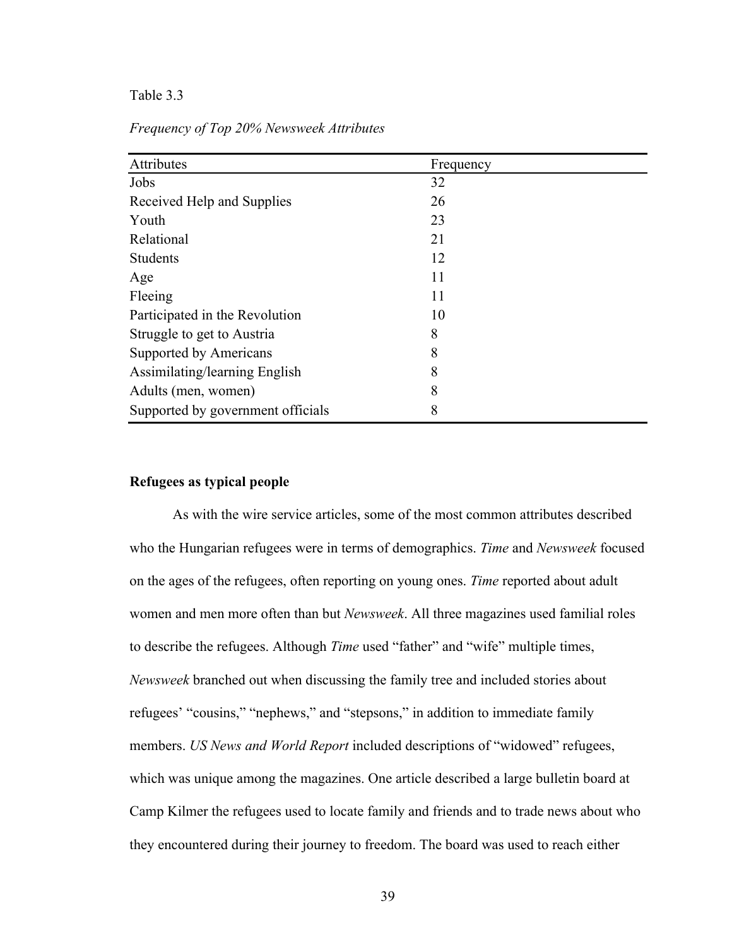## Table 3.3

| Attributes                        | Frequency |
|-----------------------------------|-----------|
| Jobs                              | 32        |
| Received Help and Supplies        | 26        |
| Youth                             | 23        |
| Relational                        | 21        |
| <b>Students</b>                   | 12        |
| Age                               | 11        |
| Fleeing                           | 11        |
| Participated in the Revolution    | 10        |
| Struggle to get to Austria        | 8         |
| Supported by Americans            | 8         |
| Assimilating/learning English     | 8         |
| Adults (men, women)               | 8         |
| Supported by government officials | 8         |

*Frequency of Top 20% Newsweek Attributes*

## **Refugees as typical people**

As with the wire service articles, some of the most common attributes described who the Hungarian refugees were in terms of demographics. *Time* and *Newsweek* focused on the ages of the refugees, often reporting on young ones. *Time* reported about adult women and men more often than but *Newsweek*. All three magazines used familial roles to describe the refugees. Although *Time* used "father" and "wife" multiple times, *Newsweek* branched out when discussing the family tree and included stories about refugees' "cousins," "nephews," and "stepsons," in addition to immediate family members. *US News and World Report* included descriptions of "widowed" refugees, which was unique among the magazines. One article described a large bulletin board at Camp Kilmer the refugees used to locate family and friends and to trade news about who they encountered during their journey to freedom. The board was used to reach either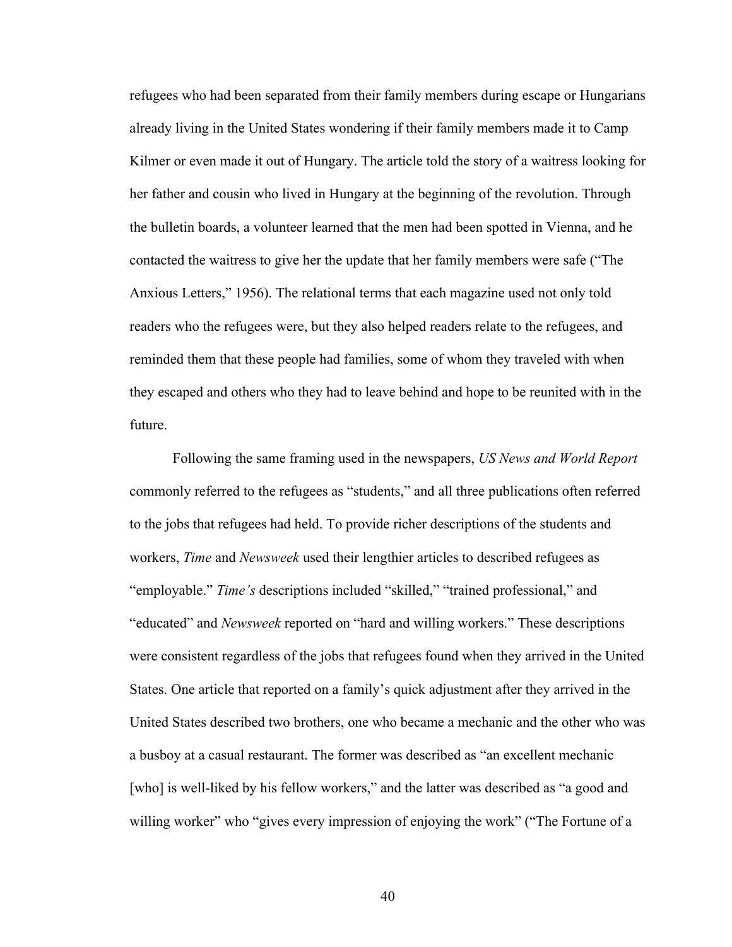refugees who had been separated from their family members during escape or Hungarians already living in the United States wondering if their family members made it to Camp Kilmer or even made it out of Hungary. The article told the story of a waitress looking for her father and cousin who lived in Hungary at the beginning of the revolution. Through the bulletin boards, a volunteer learned that the men had been spotted in Vienna, and he contacted the waitress to give her the update that her family members were safe ("The Anxious Letters," 1956). The relational terms that each magazine used not only told readers who the refugees were, but they also helped readers relate to the refugees, and reminded them that these people had families, some of whom they traveled with when they escaped and others who they had to leave behind and hope to be reunited with in the future.

Following the same framing used in the newspapers, *US News and World Report* commonly referred to the refugees as "students," and all three publications often referred to the jobs that refugees had held. To provide richer descriptions of the students and workers, *Time* and *Newsweek* used their lengthier articles to described refugees as "employable." *Time's* descriptions included "skilled," "trained professional," and "educated" and *Newsweek* reported on "hard and willing workers." These descriptions were consistent regardless of the jobs that refugees found when they arrived in the United States. One article that reported on a family's quick adjustment after they arrived in the United States described two brothers, one who became a mechanic and the other who was a busboy at a casual restaurant. The former was described as "an excellent mechanic [who] is well-liked by his fellow workers," and the latter was described as "a good and willing worker" who "gives every impression of enjoying the work" ("The Fortune of a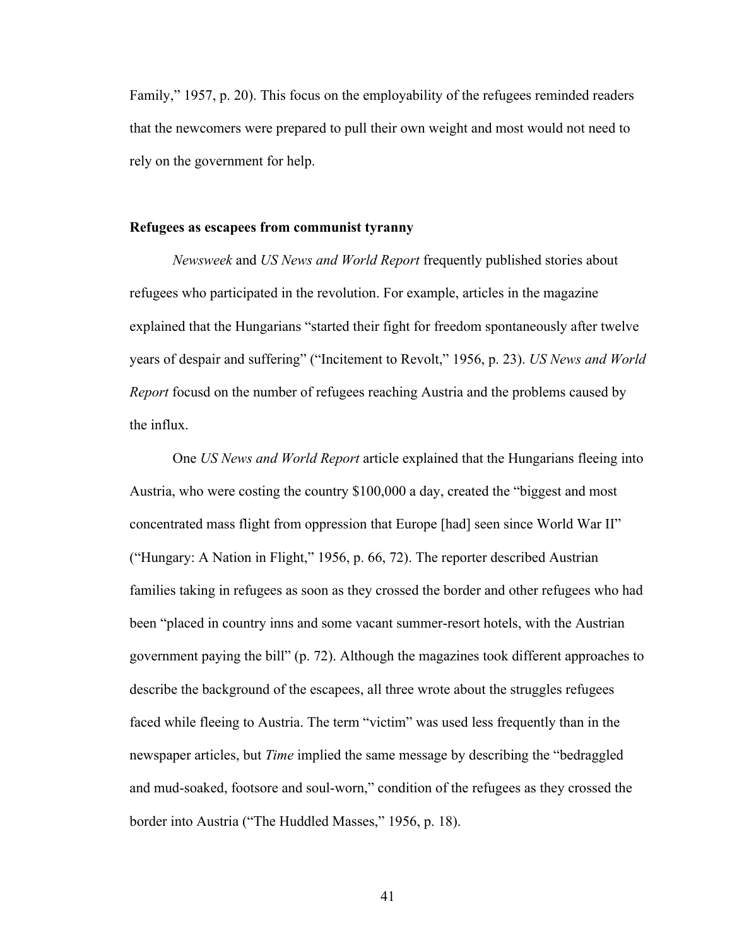Family," 1957, p. 20). This focus on the employability of the refugees reminded readers that the newcomers were prepared to pull their own weight and most would not need to rely on the government for help.

## **Refugees as escapees from communist tyranny**

*Newsweek* and *US News and World Report* frequently published stories about refugees who participated in the revolution. For example, articles in the magazine explained that the Hungarians "started their fight for freedom spontaneously after twelve years of despair and suffering" ("Incitement to Revolt," 1956, p. 23). *US News and World Report* focusd on the number of refugees reaching Austria and the problems caused by the influx.

One *US News and World Report* article explained that the Hungarians fleeing into Austria, who were costing the country \$100,000 a day, created the "biggest and most concentrated mass flight from oppression that Europe [had] seen since World War II" ("Hungary: A Nation in Flight," 1956, p. 66, 72). The reporter described Austrian families taking in refugees as soon as they crossed the border and other refugees who had been "placed in country inns and some vacant summer-resort hotels, with the Austrian government paying the bill" (p. 72). Although the magazines took different approaches to describe the background of the escapees, all three wrote about the struggles refugees faced while fleeing to Austria. The term "victim" was used less frequently than in the newspaper articles, but *Time* implied the same message by describing the "bedraggled and mud-soaked, footsore and soul-worn," condition of the refugees as they crossed the border into Austria ("The Huddled Masses," 1956, p. 18).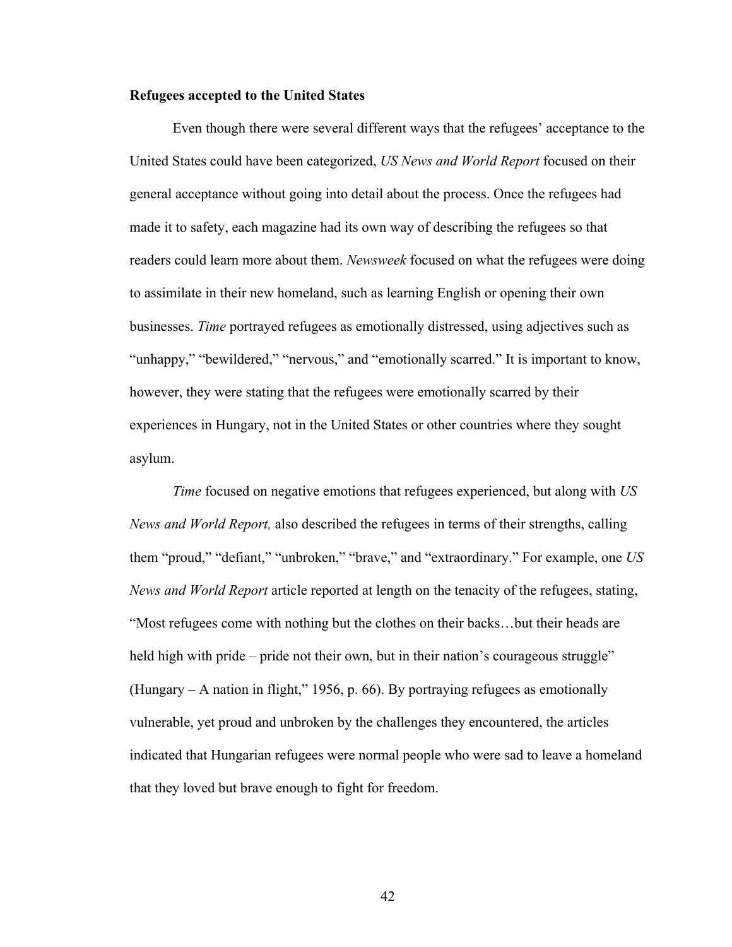### **Refugees accepted to the United States**

Even though there were several different ways that the refugees' acceptance to the United States could have been categorized, *US News and World Report* focused on their general acceptance without going into detail about the process. Once the refugees had made it to safety, each magazine had its own way of describing the refugees so that readers could learn more about them. *Newsweek* focused on what the refugees were doing to assimilate in their new homeland, such as learning English or opening their own businesses. *Time* portrayed refugees as emotionally distressed, using adjectives such as "unhappy," "bewildered," "nervous," and "emotionally scarred." It is important to know, however, they were stating that the refugees were emotionally scarred by their experiences in Hungary, not in the United States or other countries where they sought asylum.

*Time* focused on negative emotions that refugees experienced, but along with *US News and World Report,* also described the refugees in terms of their strengths, calling them "proud," "defiant," "unbroken," "brave," and "extraordinary." For example, one *US News and World Report* article reported at length on the tenacity of the refugees, stating, "Most refugees come with nothing but the clothes on their backs…but their heads are held high with pride – pride not their own, but in their nation's courageous struggle" (Hungary – A nation in flight," 1956, p. 66). By portraying refugees as emotionally vulnerable, yet proud and unbroken by the challenges they encountered, the articles indicated that Hungarian refugees were normal people who were sad to leave a homeland that they loved but brave enough to fight for freedom.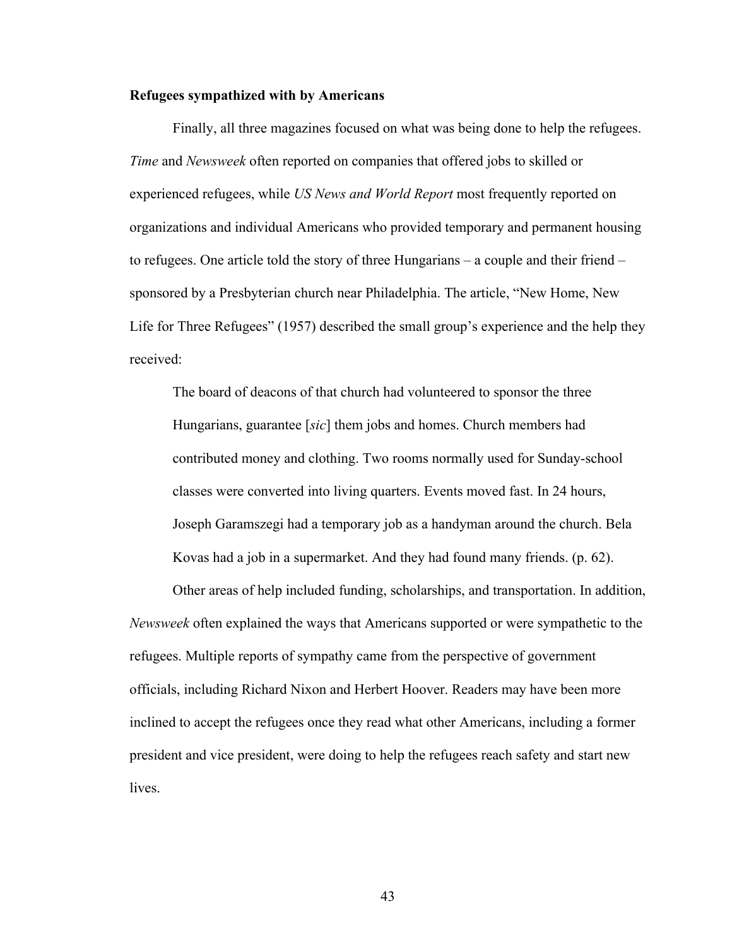### **Refugees sympathized with by Americans**

Finally, all three magazines focused on what was being done to help the refugees. *Time* and *Newsweek* often reported on companies that offered jobs to skilled or experienced refugees, while *US News and World Report* most frequently reported on organizations and individual Americans who provided temporary and permanent housing to refugees. One article told the story of three Hungarians – a couple and their friend – sponsored by a Presbyterian church near Philadelphia. The article, "New Home, New Life for Three Refugees" (1957) described the small group's experience and the help they received:

The board of deacons of that church had volunteered to sponsor the three Hungarians, guarantee [*sic*] them jobs and homes. Church members had contributed money and clothing. Two rooms normally used for Sunday-school classes were converted into living quarters. Events moved fast. In 24 hours, Joseph Garamszegi had a temporary job as a handyman around the church. Bela Kovas had a job in a supermarket. And they had found many friends. (p. 62).

Other areas of help included funding, scholarships, and transportation. In addition, *Newsweek* often explained the ways that Americans supported or were sympathetic to the refugees. Multiple reports of sympathy came from the perspective of government officials, including Richard Nixon and Herbert Hoover. Readers may have been more inclined to accept the refugees once they read what other Americans, including a former president and vice president, were doing to help the refugees reach safety and start new lives.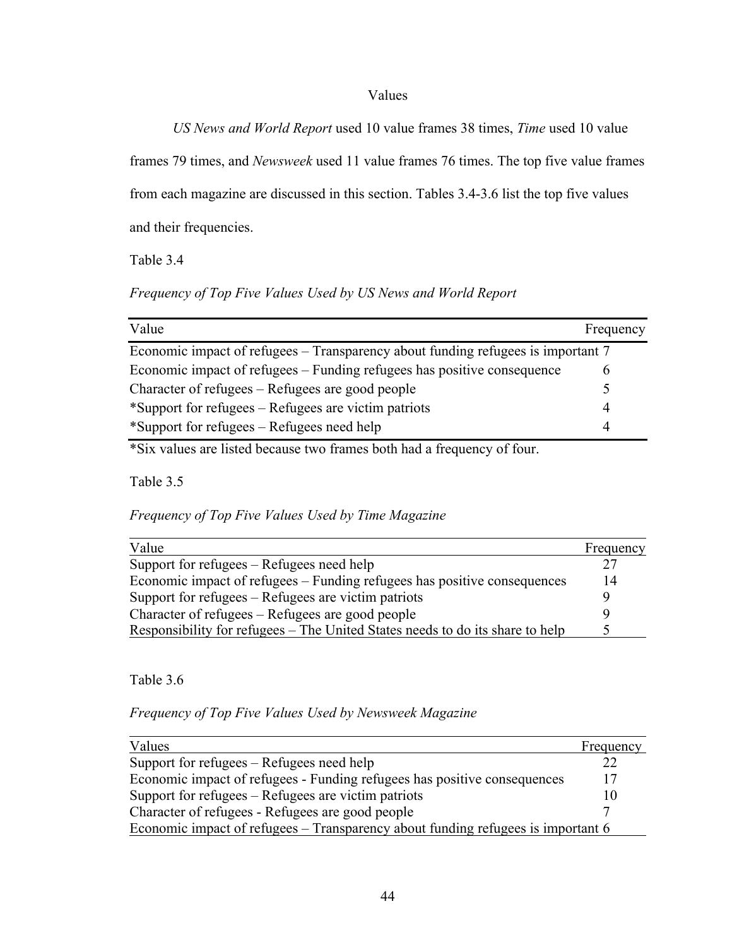## Values

*US News and World Report* used 10 value frames 38 times, *Time* used 10 value

frames 79 times, and *Newsweek* used 11 value frames 76 times. The top five value frames from each magazine are discussed in this section. Tables 3.4-3.6 list the top five values

and their frequencies.

Table 3.4

*Frequency of Top Five Values Used by US News and World Report*

| Value                                                                            | Frequency |  |
|----------------------------------------------------------------------------------|-----------|--|
| Economic impact of refugees – Transparency about funding refugees is important 7 |           |  |
| Economic impact of refugees – Funding refugees has positive consequence          |           |  |
| Character of refugees – Refugees are good people                                 |           |  |
| *Support for refugees – Refugees are victim patriots                             |           |  |
| *Support for refugees – Refugees need help                                       | 4         |  |

\*Six values are listed because two frames both had a frequency of four.

Table 3.5

*Frequency of Top Five Values Used by Time Magazine*

| Value                                                                         | Frequency |
|-------------------------------------------------------------------------------|-----------|
| Support for refugees – Refugees need help                                     | າາ        |
| Economic impact of refugees – Funding refugees has positive consequences      |           |
| Support for refugees – Refugees are victim patriots                           |           |
| Character of refugees – Refugees are good people                              |           |
| Responsibility for refugees – The United States needs to do its share to help |           |

Table 3.6

*Frequency of Top Five Values Used by Newsweek Magazine*

| Values                                                                           | Frequency |
|----------------------------------------------------------------------------------|-----------|
| Support for refugees – Refugees need help                                        | 22        |
| Economic impact of refugees - Funding refugees has positive consequences         | 17        |
| Support for refugees – Refugees are victim patriots                              |           |
| Character of refugees - Refugees are good people                                 |           |
| Economic impact of refugees – Transparency about funding refugees is important 6 |           |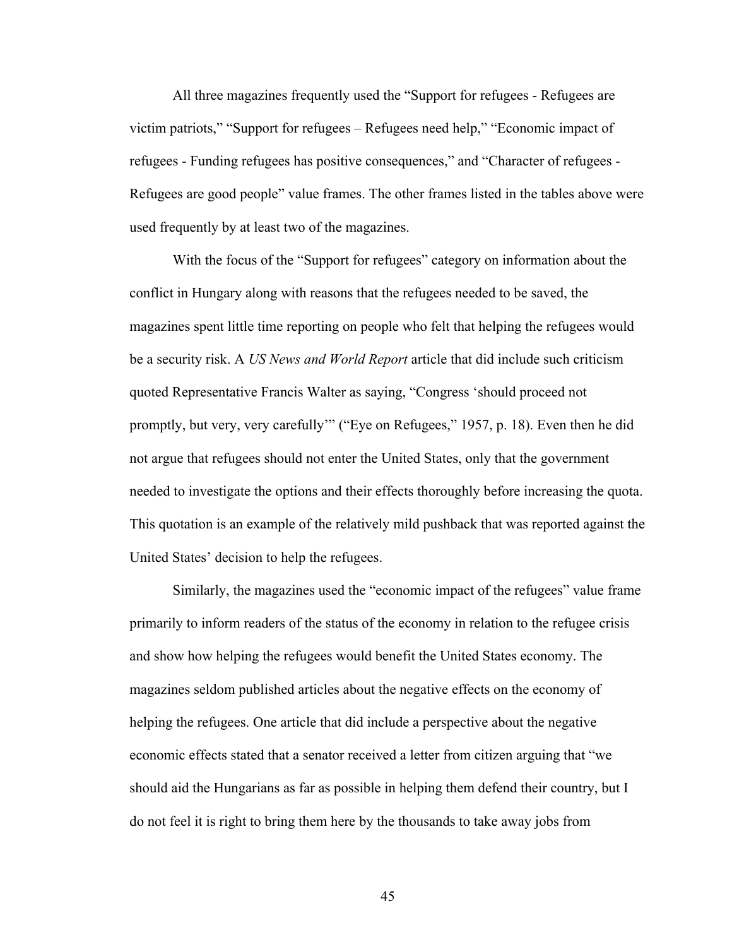All three magazines frequently used the "Support for refugees - Refugees are victim patriots," "Support for refugees – Refugees need help," "Economic impact of refugees - Funding refugees has positive consequences," and "Character of refugees - Refugees are good people" value frames. The other frames listed in the tables above were used frequently by at least two of the magazines.

With the focus of the "Support for refugees" category on information about the conflict in Hungary along with reasons that the refugees needed to be saved, the magazines spent little time reporting on people who felt that helping the refugees would be a security risk. A *US News and World Report* article that did include such criticism quoted Representative Francis Walter as saying, "Congress 'should proceed not promptly, but very, very carefully'" ("Eye on Refugees," 1957, p. 18). Even then he did not argue that refugees should not enter the United States, only that the government needed to investigate the options and their effects thoroughly before increasing the quota. This quotation is an example of the relatively mild pushback that was reported against the United States' decision to help the refugees.

Similarly, the magazines used the "economic impact of the refugees" value frame primarily to inform readers of the status of the economy in relation to the refugee crisis and show how helping the refugees would benefit the United States economy. The magazines seldom published articles about the negative effects on the economy of helping the refugees. One article that did include a perspective about the negative economic effects stated that a senator received a letter from citizen arguing that "we should aid the Hungarians as far as possible in helping them defend their country, but I do not feel it is right to bring them here by the thousands to take away jobs from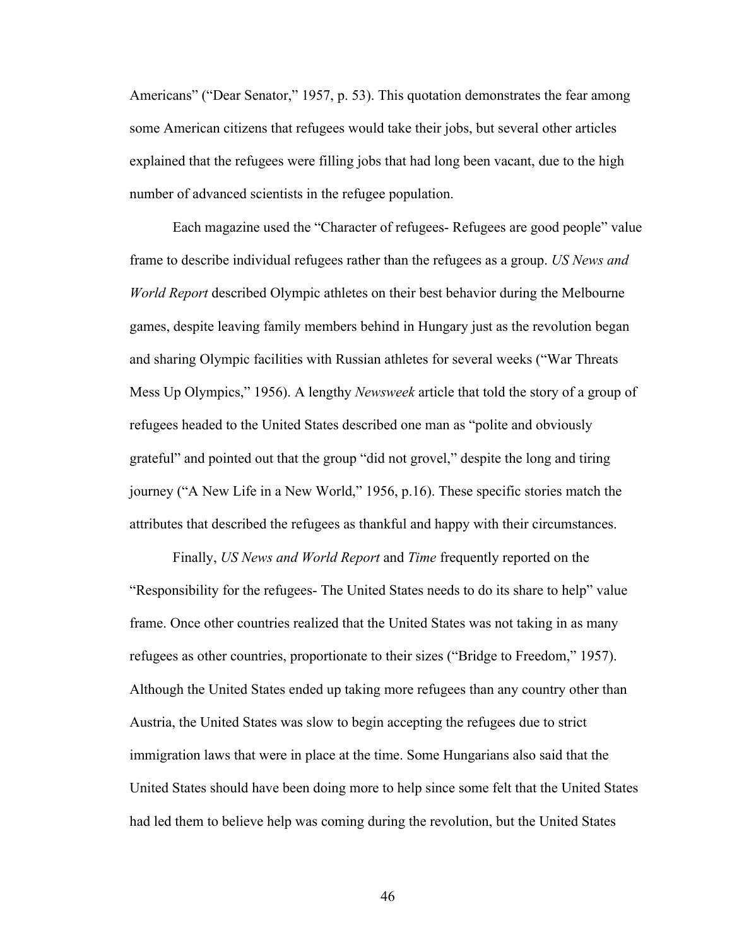Americans" ("Dear Senator," 1957, p. 53). This quotation demonstrates the fear among some American citizens that refugees would take their jobs, but several other articles explained that the refugees were filling jobs that had long been vacant, due to the high number of advanced scientists in the refugee population.

Each magazine used the "Character of refugees- Refugees are good people" value frame to describe individual refugees rather than the refugees as a group. *US News and World Report* described Olympic athletes on their best behavior during the Melbourne games, despite leaving family members behind in Hungary just as the revolution began and sharing Olympic facilities with Russian athletes for several weeks ("War Threats Mess Up Olympics," 1956). A lengthy *Newsweek* article that told the story of a group of refugees headed to the United States described one man as "polite and obviously grateful" and pointed out that the group "did not grovel," despite the long and tiring journey ("A New Life in a New World," 1956, p.16). These specific stories match the attributes that described the refugees as thankful and happy with their circumstances.

Finally, *US News and World Report* and *Time* frequently reported on the "Responsibility for the refugees- The United States needs to do its share to help" value frame. Once other countries realized that the United States was not taking in as many refugees as other countries, proportionate to their sizes ("Bridge to Freedom," 1957). Although the United States ended up taking more refugees than any country other than Austria, the United States was slow to begin accepting the refugees due to strict immigration laws that were in place at the time. Some Hungarians also said that the United States should have been doing more to help since some felt that the United States had led them to believe help was coming during the revolution, but the United States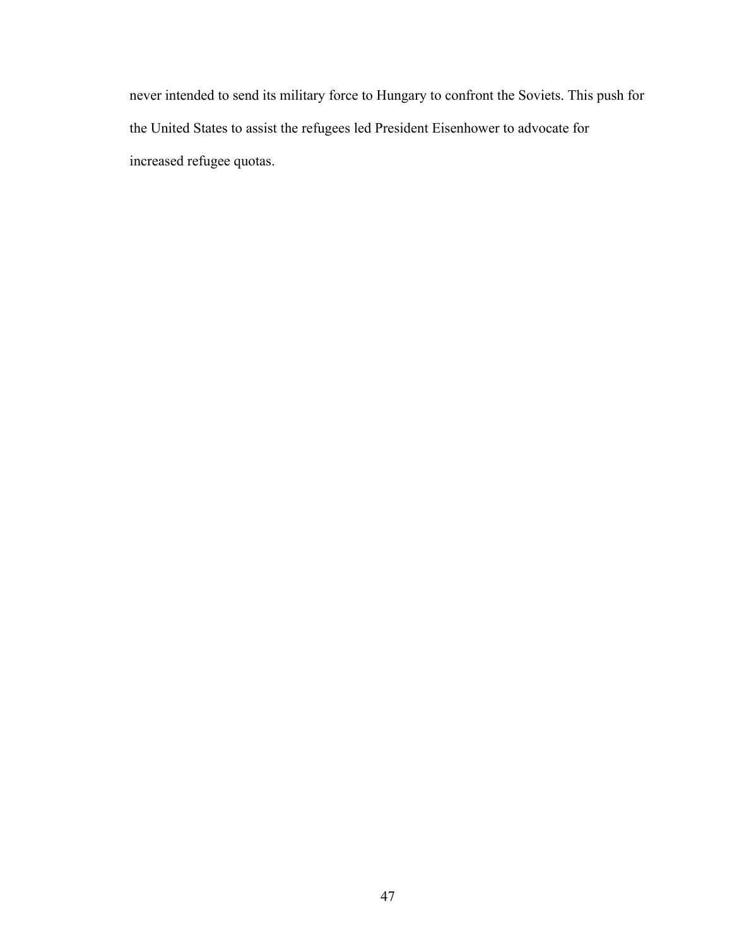never intended to send its military force to Hungary to confront the Soviets. This push for the United States to assist the refugees led President Eisenhower to advocate for increased refugee quotas.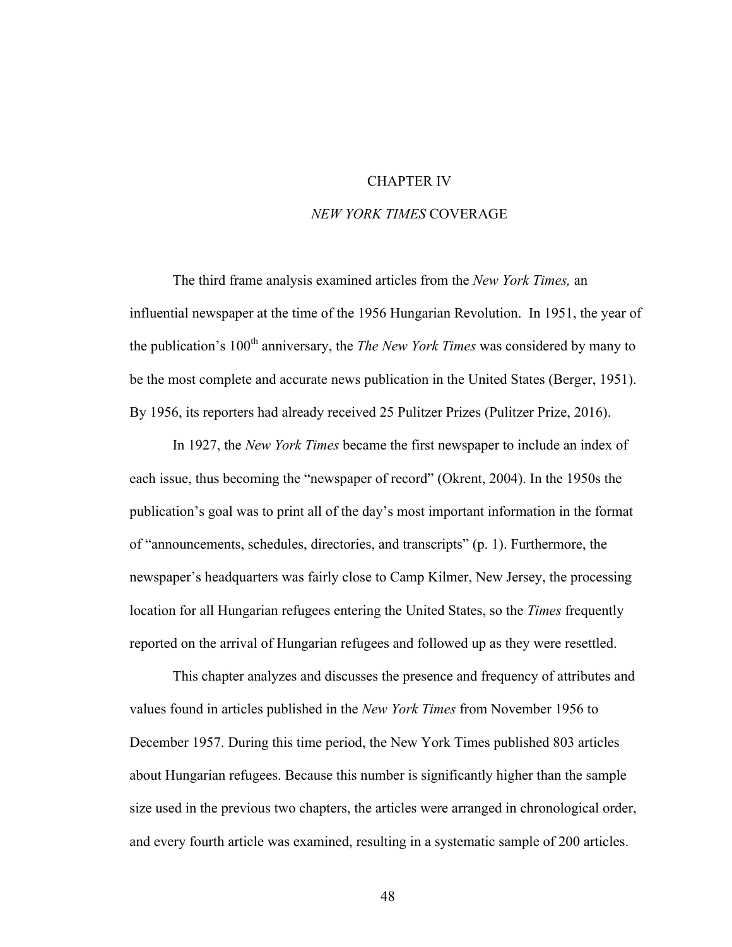## CHAPTER IV

## *NEW YORK TIMES* COVERAGE

The third frame analysis examined articles from the *New York Times,* an influential newspaper at the time of the 1956 Hungarian Revolution. In 1951, the year of the publication's 100<sup>th</sup> anniversary, the *The New York Times* was considered by many to be the most complete and accurate news publication in the United States (Berger, 1951). By 1956, its reporters had already received 25 Pulitzer Prizes (Pulitzer Prize, 2016).

In 1927, the *New York Times* became the first newspaper to include an index of each issue, thus becoming the "newspaper of record" (Okrent, 2004). In the 1950s the publication's goal was to print all of the day's most important information in the format of "announcements, schedules, directories, and transcripts" (p. 1). Furthermore, the newspaper's headquarters was fairly close to Camp Kilmer, New Jersey, the processing location for all Hungarian refugees entering the United States, so the *Times* frequently reported on the arrival of Hungarian refugees and followed up as they were resettled.

This chapter analyzes and discusses the presence and frequency of attributes and values found in articles published in the *New York Times* from November 1956 to December 1957. During this time period, the New York Times published 803 articles about Hungarian refugees. Because this number is significantly higher than the sample size used in the previous two chapters, the articles were arranged in chronological order, and every fourth article was examined, resulting in a systematic sample of 200 articles.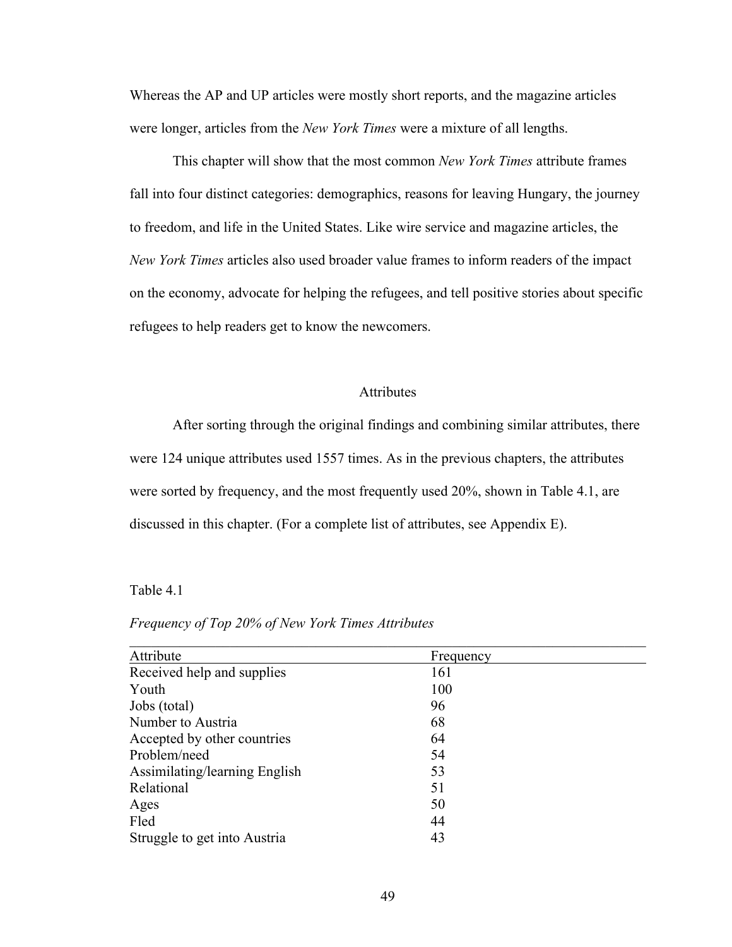Whereas the AP and UP articles were mostly short reports, and the magazine articles were longer, articles from the *New York Times* were a mixture of all lengths.

This chapter will show that the most common *New York Times* attribute frames fall into four distinct categories: demographics, reasons for leaving Hungary, the journey to freedom, and life in the United States. Like wire service and magazine articles, the *New York Times* articles also used broader value frames to inform readers of the impact on the economy, advocate for helping the refugees, and tell positive stories about specific refugees to help readers get to know the newcomers.

### Attributes

After sorting through the original findings and combining similar attributes, there were 124 unique attributes used 1557 times. As in the previous chapters, the attributes were sorted by frequency, and the most frequently used 20%, shown in Table 4.1, are discussed in this chapter. (For a complete list of attributes, see Appendix E).

### Table 4.1

### *Frequency of Top 20% of New York Times Attributes*

| Attribute                     | Frequency |  |
|-------------------------------|-----------|--|
| Received help and supplies    | 161       |  |
| Youth                         | 100       |  |
| Jobs (total)                  | 96        |  |
| Number to Austria             | 68        |  |
| Accepted by other countries   | 64        |  |
| Problem/need                  | 54        |  |
| Assimilating/learning English | 53        |  |
| Relational                    | 51        |  |
| Ages                          | 50        |  |
| Fled                          | 44        |  |
| Struggle to get into Austria  | 43        |  |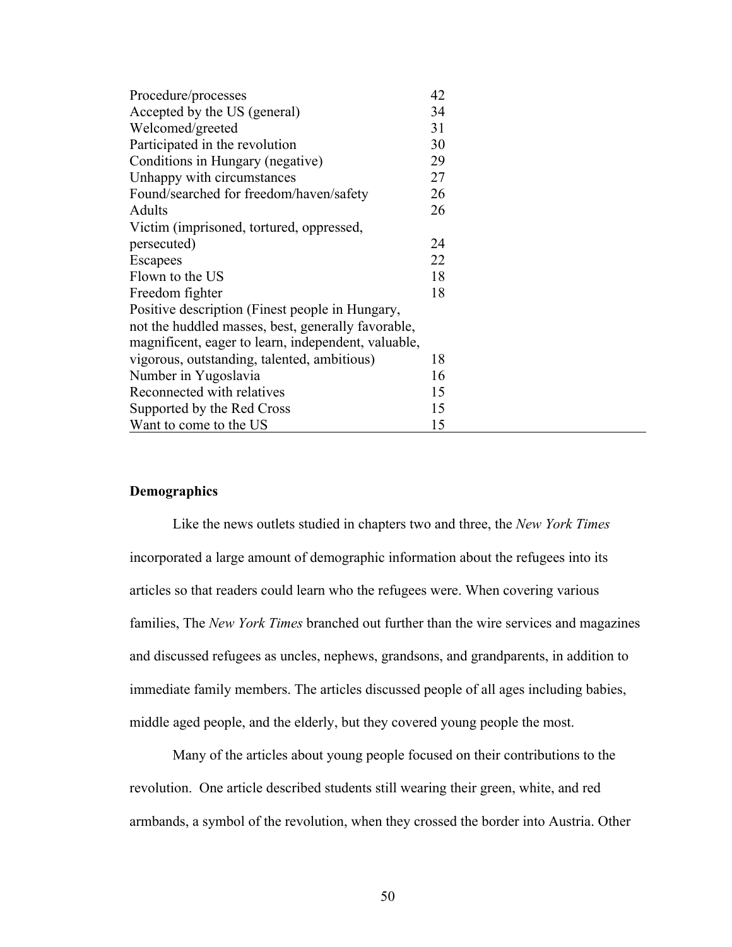| Procedure/processes                                 | 42 |
|-----------------------------------------------------|----|
| Accepted by the US (general)                        | 34 |
| Welcomed/greeted                                    | 31 |
| Participated in the revolution                      | 30 |
| Conditions in Hungary (negative)                    | 29 |
| Unhappy with circumstances                          | 27 |
| Found/searched for freedom/haven/safety             | 26 |
| Adults                                              | 26 |
| Victim (imprisoned, tortured, oppressed,            |    |
| persecuted)                                         | 24 |
| Escapees                                            | 22 |
| Flown to the US                                     | 18 |
| Freedom fighter                                     | 18 |
| Positive description (Finest people in Hungary,     |    |
| not the huddled masses, best, generally favorable,  |    |
| magnificent, eager to learn, independent, valuable, |    |
| vigorous, outstanding, talented, ambitious)         | 18 |
| Number in Yugoslavia                                | 16 |
| Reconnected with relatives                          | 15 |
| Supported by the Red Cross                          | 15 |
| Want to come to the US                              | 15 |

## **Demographics**

Like the news outlets studied in chapters two and three, the *New York Times* incorporated a large amount of demographic information about the refugees into its articles so that readers could learn who the refugees were. When covering various families, The *New York Times* branched out further than the wire services and magazines and discussed refugees as uncles, nephews, grandsons, and grandparents, in addition to immediate family members. The articles discussed people of all ages including babies, middle aged people, and the elderly, but they covered young people the most.

Many of the articles about young people focused on their contributions to the revolution. One article described students still wearing their green, white, and red armbands, a symbol of the revolution, when they crossed the border into Austria. Other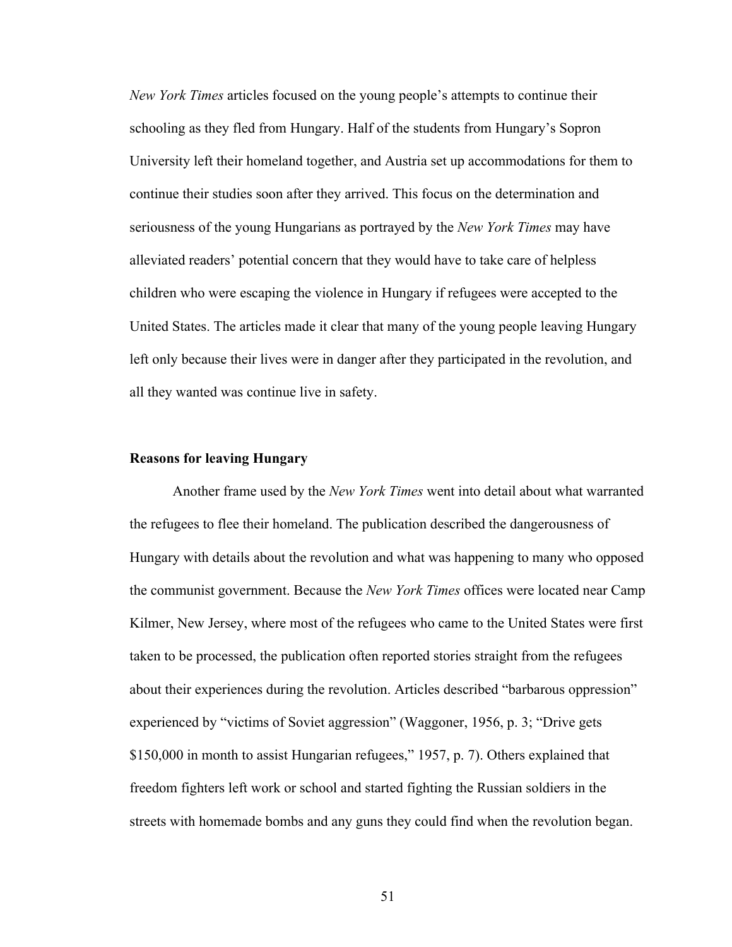*New York Times* articles focused on the young people's attempts to continue their schooling as they fled from Hungary. Half of the students from Hungary's Sopron University left their homeland together, and Austria set up accommodations for them to continue their studies soon after they arrived. This focus on the determination and seriousness of the young Hungarians as portrayed by the *New York Times* may have alleviated readers' potential concern that they would have to take care of helpless children who were escaping the violence in Hungary if refugees were accepted to the United States. The articles made it clear that many of the young people leaving Hungary left only because their lives were in danger after they participated in the revolution, and all they wanted was continue live in safety.

### **Reasons for leaving Hungary**

Another frame used by the *New York Times* went into detail about what warranted the refugees to flee their homeland. The publication described the dangerousness of Hungary with details about the revolution and what was happening to many who opposed the communist government. Because the *New York Times* offices were located near Camp Kilmer, New Jersey, where most of the refugees who came to the United States were first taken to be processed, the publication often reported stories straight from the refugees about their experiences during the revolution. Articles described "barbarous oppression" experienced by "victims of Soviet aggression" (Waggoner, 1956, p. 3; "Drive gets \$150,000 in month to assist Hungarian refugees," 1957, p. 7). Others explained that freedom fighters left work or school and started fighting the Russian soldiers in the streets with homemade bombs and any guns they could find when the revolution began.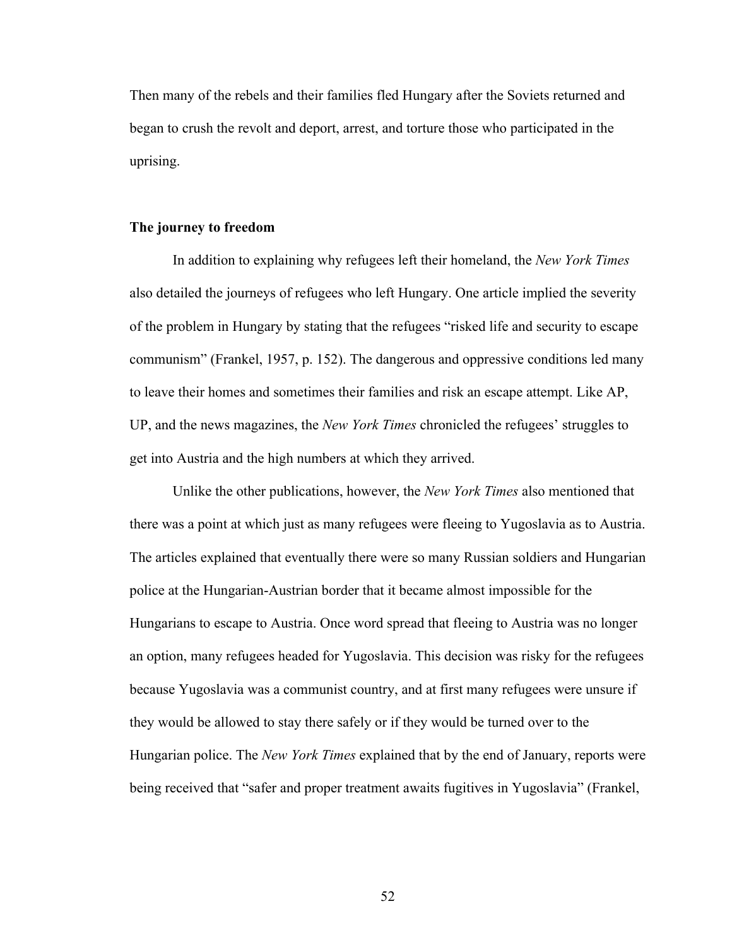Then many of the rebels and their families fled Hungary after the Soviets returned and began to crush the revolt and deport, arrest, and torture those who participated in the uprising.

### **The journey to freedom**

In addition to explaining why refugees left their homeland, the *New York Times* also detailed the journeys of refugees who left Hungary. One article implied the severity of the problem in Hungary by stating that the refugees "risked life and security to escape communism" (Frankel, 1957, p. 152). The dangerous and oppressive conditions led many to leave their homes and sometimes their families and risk an escape attempt. Like AP, UP, and the news magazines, the *New York Times* chronicled the refugees' struggles to get into Austria and the high numbers at which they arrived.

Unlike the other publications, however, the *New York Times* also mentioned that there was a point at which just as many refugees were fleeing to Yugoslavia as to Austria. The articles explained that eventually there were so many Russian soldiers and Hungarian police at the Hungarian-Austrian border that it became almost impossible for the Hungarians to escape to Austria. Once word spread that fleeing to Austria was no longer an option, many refugees headed for Yugoslavia. This decision was risky for the refugees because Yugoslavia was a communist country, and at first many refugees were unsure if they would be allowed to stay there safely or if they would be turned over to the Hungarian police. The *New York Times* explained that by the end of January, reports were being received that "safer and proper treatment awaits fugitives in Yugoslavia" (Frankel,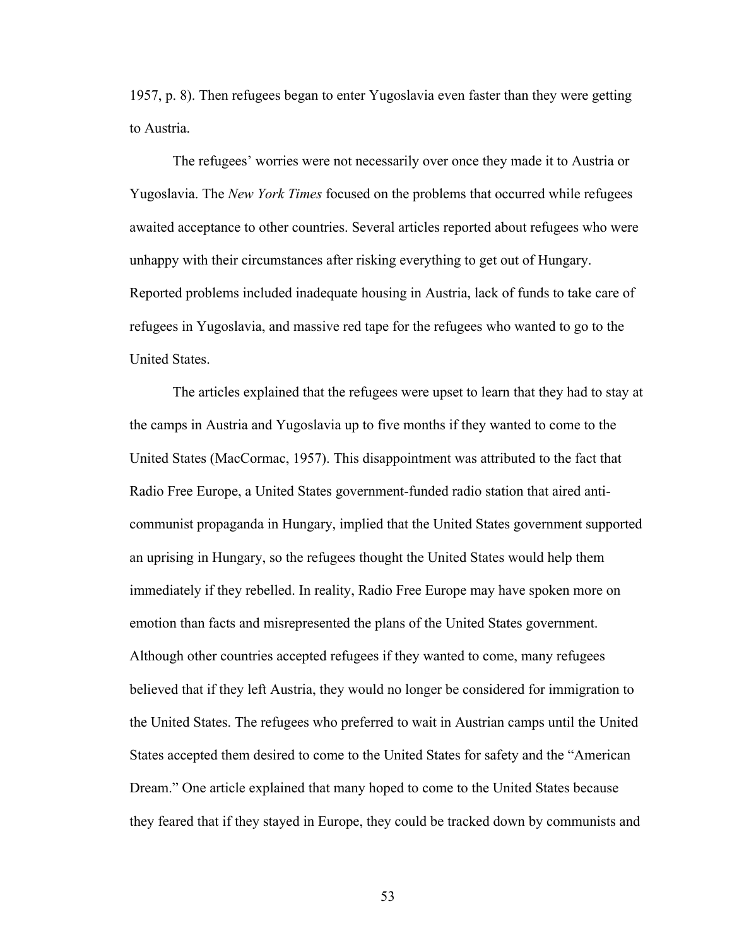1957, p. 8). Then refugees began to enter Yugoslavia even faster than they were getting to Austria.

The refugees' worries were not necessarily over once they made it to Austria or Yugoslavia. The *New York Times* focused on the problems that occurred while refugees awaited acceptance to other countries. Several articles reported about refugees who were unhappy with their circumstances after risking everything to get out of Hungary. Reported problems included inadequate housing in Austria, lack of funds to take care of refugees in Yugoslavia, and massive red tape for the refugees who wanted to go to the United States.

The articles explained that the refugees were upset to learn that they had to stay at the camps in Austria and Yugoslavia up to five months if they wanted to come to the United States (MacCormac, 1957). This disappointment was attributed to the fact that Radio Free Europe, a United States government-funded radio station that aired anticommunist propaganda in Hungary, implied that the United States government supported an uprising in Hungary, so the refugees thought the United States would help them immediately if they rebelled. In reality, Radio Free Europe may have spoken more on emotion than facts and misrepresented the plans of the United States government. Although other countries accepted refugees if they wanted to come, many refugees believed that if they left Austria, they would no longer be considered for immigration to the United States. The refugees who preferred to wait in Austrian camps until the United States accepted them desired to come to the United States for safety and the "American Dream." One article explained that many hoped to come to the United States because they feared that if they stayed in Europe, they could be tracked down by communists and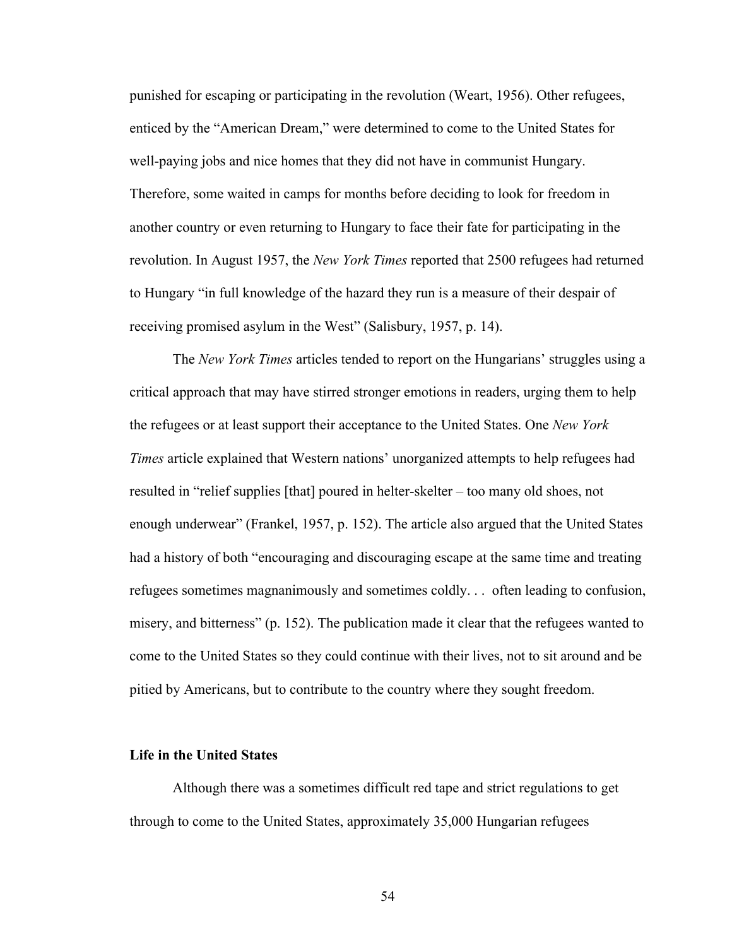punished for escaping or participating in the revolution (Weart, 1956). Other refugees, enticed by the "American Dream," were determined to come to the United States for well-paying jobs and nice homes that they did not have in communist Hungary. Therefore, some waited in camps for months before deciding to look for freedom in another country or even returning to Hungary to face their fate for participating in the revolution. In August 1957, the *New York Times* reported that 2500 refugees had returned to Hungary "in full knowledge of the hazard they run is a measure of their despair of receiving promised asylum in the West" (Salisbury, 1957, p. 14).

The *New York Times* articles tended to report on the Hungarians' struggles using a critical approach that may have stirred stronger emotions in readers, urging them to help the refugees or at least support their acceptance to the United States. One *New York Times* article explained that Western nations' unorganized attempts to help refugees had resulted in "relief supplies [that] poured in helter-skelter – too many old shoes, not enough underwear" (Frankel, 1957, p. 152). The article also argued that the United States had a history of both "encouraging and discouraging escape at the same time and treating refugees sometimes magnanimously and sometimes coldly. . . often leading to confusion, misery, and bitterness" (p. 152). The publication made it clear that the refugees wanted to come to the United States so they could continue with their lives, not to sit around and be pitied by Americans, but to contribute to the country where they sought freedom.

### **Life in the United States**

Although there was a sometimes difficult red tape and strict regulations to get through to come to the United States, approximately 35,000 Hungarian refugees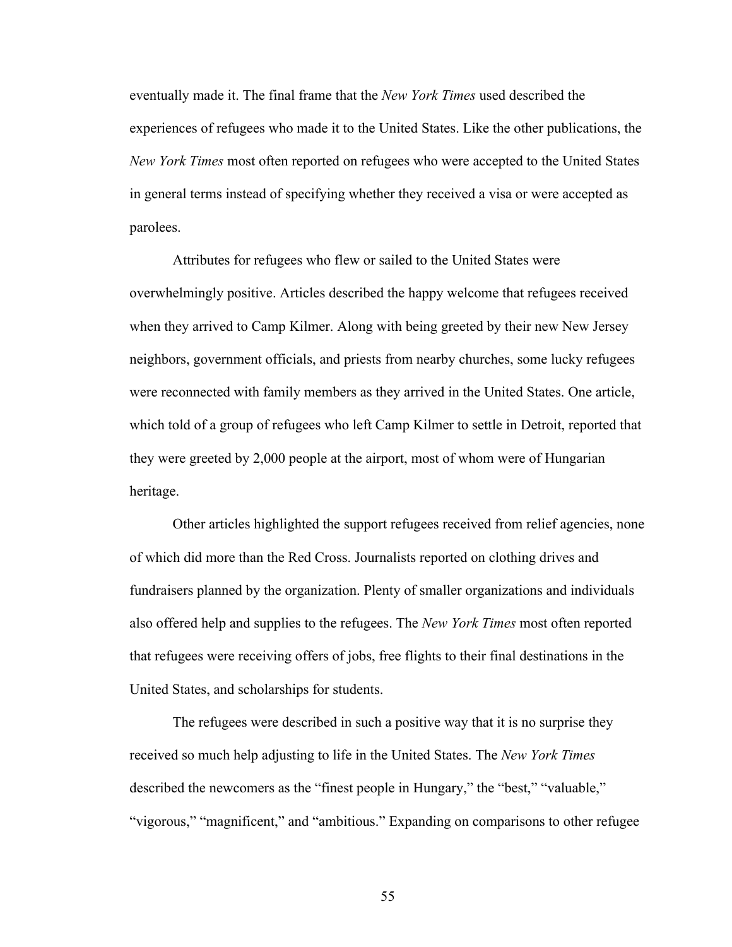eventually made it. The final frame that the *New York Times* used described the experiences of refugees who made it to the United States. Like the other publications, the *New York Times* most often reported on refugees who were accepted to the United States in general terms instead of specifying whether they received a visa or were accepted as parolees.

Attributes for refugees who flew or sailed to the United States were overwhelmingly positive. Articles described the happy welcome that refugees received when they arrived to Camp Kilmer. Along with being greeted by their new New Jersey neighbors, government officials, and priests from nearby churches, some lucky refugees were reconnected with family members as they arrived in the United States. One article, which told of a group of refugees who left Camp Kilmer to settle in Detroit, reported that they were greeted by 2,000 people at the airport, most of whom were of Hungarian heritage.

Other articles highlighted the support refugees received from relief agencies, none of which did more than the Red Cross. Journalists reported on clothing drives and fundraisers planned by the organization. Plenty of smaller organizations and individuals also offered help and supplies to the refugees. The *New York Times* most often reported that refugees were receiving offers of jobs, free flights to their final destinations in the United States, and scholarships for students.

The refugees were described in such a positive way that it is no surprise they received so much help adjusting to life in the United States. The *New York Times* described the newcomers as the "finest people in Hungary," the "best," "valuable," "vigorous," "magnificent," and "ambitious." Expanding on comparisons to other refugee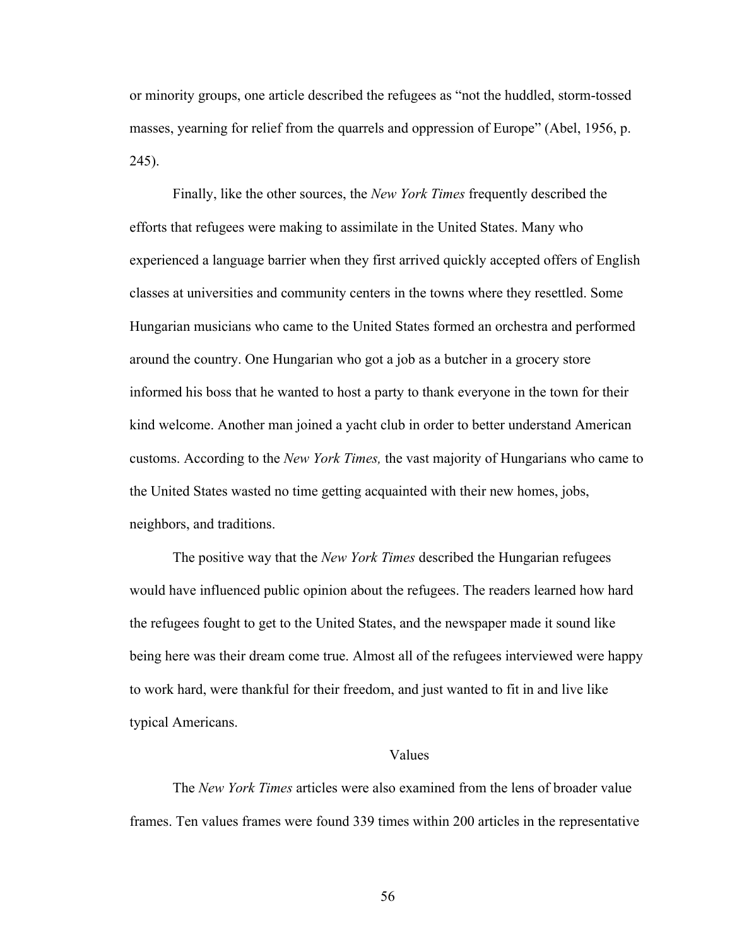or minority groups, one article described the refugees as "not the huddled, storm-tossed masses, yearning for relief from the quarrels and oppression of Europe" (Abel, 1956, p. 245).

Finally, like the other sources, the *New York Times* frequently described the efforts that refugees were making to assimilate in the United States. Many who experienced a language barrier when they first arrived quickly accepted offers of English classes at universities and community centers in the towns where they resettled. Some Hungarian musicians who came to the United States formed an orchestra and performed around the country. One Hungarian who got a job as a butcher in a grocery store informed his boss that he wanted to host a party to thank everyone in the town for their kind welcome. Another man joined a yacht club in order to better understand American customs. According to the *New York Times,* the vast majority of Hungarians who came to the United States wasted no time getting acquainted with their new homes, jobs, neighbors, and traditions.

The positive way that the *New York Times* described the Hungarian refugees would have influenced public opinion about the refugees. The readers learned how hard the refugees fought to get to the United States, and the newspaper made it sound like being here was their dream come true. Almost all of the refugees interviewed were happy to work hard, were thankful for their freedom, and just wanted to fit in and live like typical Americans.

### Values

The *New York Times* articles were also examined from the lens of broader value frames. Ten values frames were found 339 times within 200 articles in the representative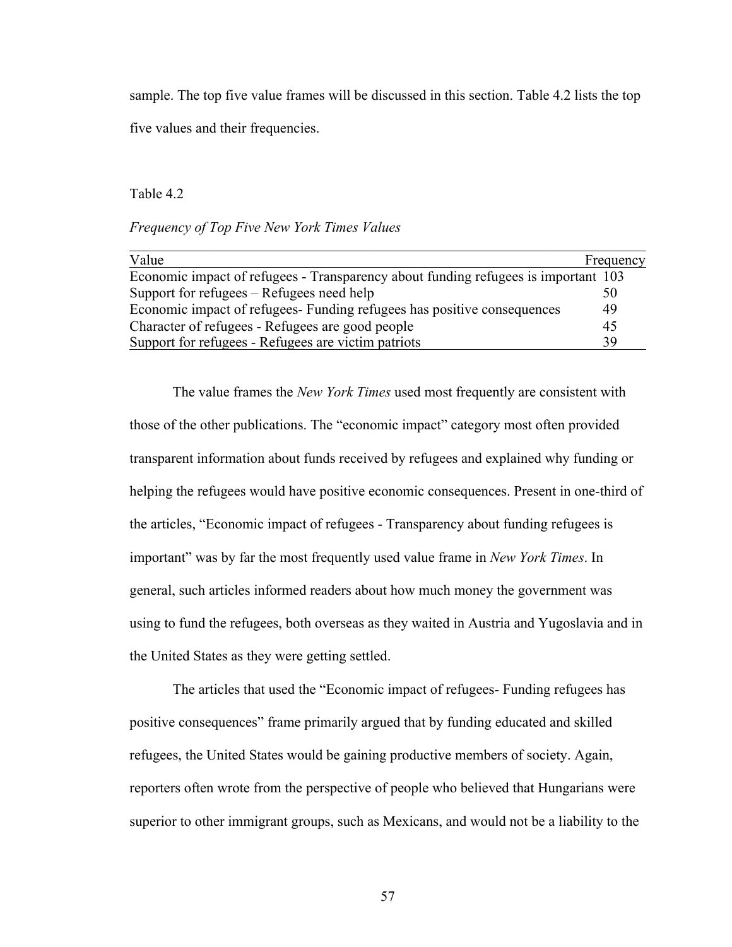sample. The top five value frames will be discussed in this section. Table 4.2 lists the top five values and their frequencies.

### Table 4.2

### *Frequency of Top Five New York Times Values*

| Value                                                                              | Frequency |
|------------------------------------------------------------------------------------|-----------|
| Economic impact of refugees - Transparency about funding refugees is important 103 |           |
| Support for refugees – Refugees need help                                          | 50        |
| Economic impact of refugees- Funding refugees has positive consequences            | 49        |
| Character of refugees - Refugees are good people                                   | 45        |
| Support for refugees - Refugees are victim patriots                                | 39        |

The value frames the *New York Times* used most frequently are consistent with those of the other publications. The "economic impact" category most often provided transparent information about funds received by refugees and explained why funding or helping the refugees would have positive economic consequences. Present in one-third of the articles, "Economic impact of refugees - Transparency about funding refugees is important" was by far the most frequently used value frame in *New York Times*. In general, such articles informed readers about how much money the government was using to fund the refugees, both overseas as they waited in Austria and Yugoslavia and in the United States as they were getting settled.

The articles that used the "Economic impact of refugees- Funding refugees has positive consequences" frame primarily argued that by funding educated and skilled refugees, the United States would be gaining productive members of society. Again, reporters often wrote from the perspective of people who believed that Hungarians were superior to other immigrant groups, such as Mexicans, and would not be a liability to the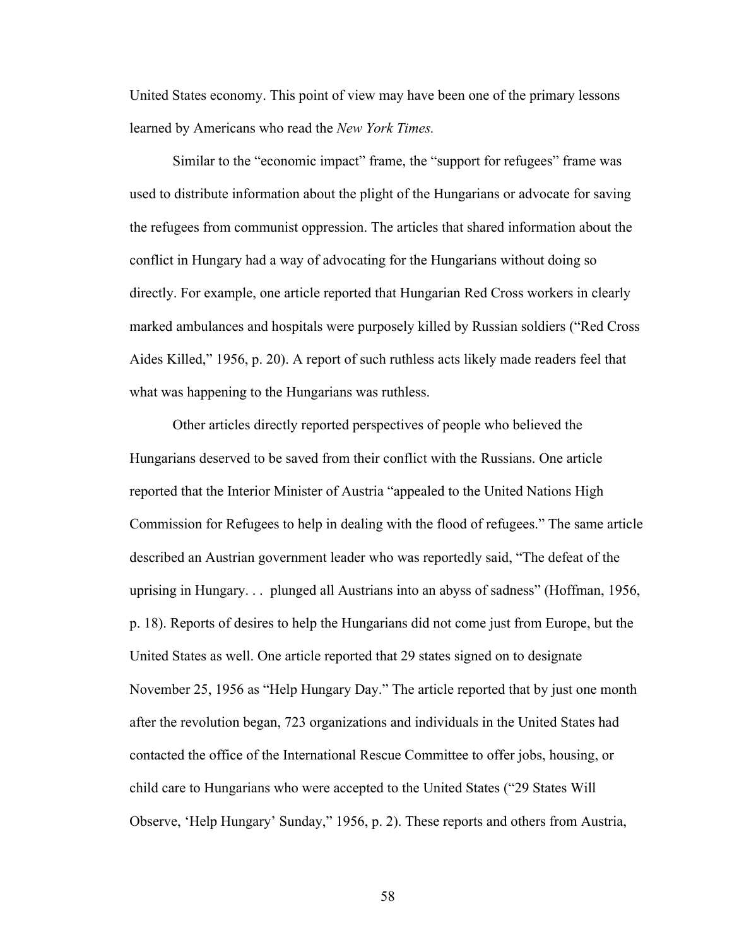United States economy. This point of view may have been one of the primary lessons learned by Americans who read the *New York Times.*

Similar to the "economic impact" frame, the "support for refugees" frame was used to distribute information about the plight of the Hungarians or advocate for saving the refugees from communist oppression. The articles that shared information about the conflict in Hungary had a way of advocating for the Hungarians without doing so directly. For example, one article reported that Hungarian Red Cross workers in clearly marked ambulances and hospitals were purposely killed by Russian soldiers ("Red Cross Aides Killed," 1956, p. 20). A report of such ruthless acts likely made readers feel that what was happening to the Hungarians was ruthless.

Other articles directly reported perspectives of people who believed the Hungarians deserved to be saved from their conflict with the Russians. One article reported that the Interior Minister of Austria "appealed to the United Nations High Commission for Refugees to help in dealing with the flood of refugees." The same article described an Austrian government leader who was reportedly said, "The defeat of the uprising in Hungary. . . plunged all Austrians into an abyss of sadness" (Hoffman, 1956, p. 18). Reports of desires to help the Hungarians did not come just from Europe, but the United States as well. One article reported that 29 states signed on to designate November 25, 1956 as "Help Hungary Day." The article reported that by just one month after the revolution began, 723 organizations and individuals in the United States had contacted the office of the International Rescue Committee to offer jobs, housing, or child care to Hungarians who were accepted to the United States ("29 States Will Observe, 'Help Hungary' Sunday," 1956, p. 2). These reports and others from Austria,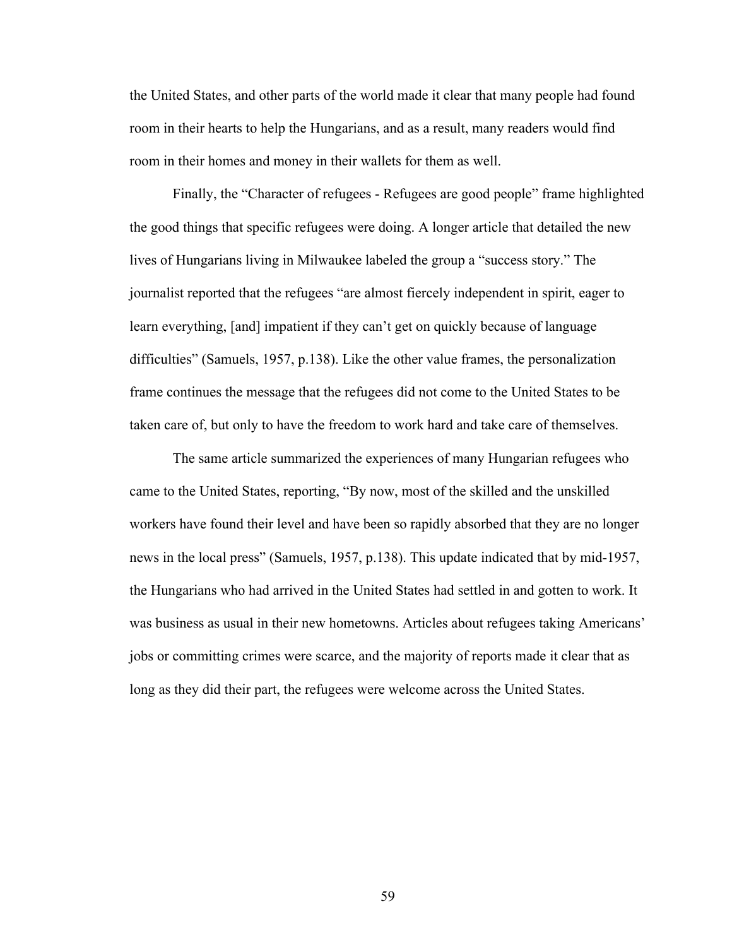the United States, and other parts of the world made it clear that many people had found room in their hearts to help the Hungarians, and as a result, many readers would find room in their homes and money in their wallets for them as well.

Finally, the "Character of refugees - Refugees are good people" frame highlighted the good things that specific refugees were doing. A longer article that detailed the new lives of Hungarians living in Milwaukee labeled the group a "success story." The journalist reported that the refugees "are almost fiercely independent in spirit, eager to learn everything, [and] impatient if they can't get on quickly because of language difficulties" (Samuels, 1957, p.138). Like the other value frames, the personalization frame continues the message that the refugees did not come to the United States to be taken care of, but only to have the freedom to work hard and take care of themselves.

The same article summarized the experiences of many Hungarian refugees who came to the United States, reporting, "By now, most of the skilled and the unskilled workers have found their level and have been so rapidly absorbed that they are no longer news in the local press" (Samuels, 1957, p.138). This update indicated that by mid-1957, the Hungarians who had arrived in the United States had settled in and gotten to work. It was business as usual in their new hometowns. Articles about refugees taking Americans' jobs or committing crimes were scarce, and the majority of reports made it clear that as long as they did their part, the refugees were welcome across the United States.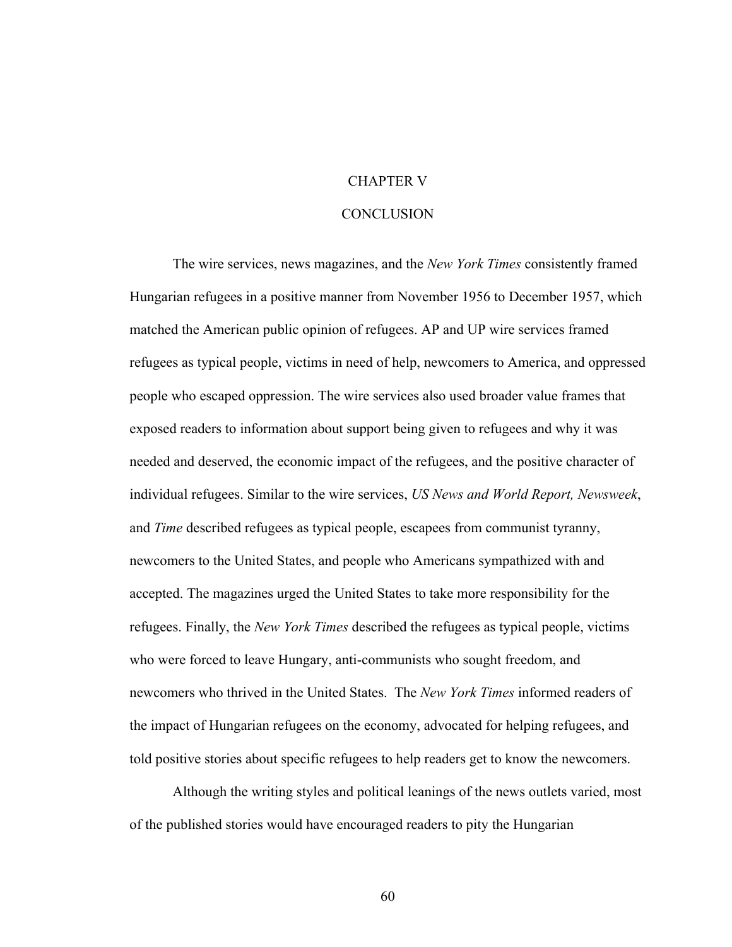## CHAPTER V

### **CONCLUSION**

The wire services, news magazines, and the *New York Times* consistently framed Hungarian refugees in a positive manner from November 1956 to December 1957, which matched the American public opinion of refugees. AP and UP wire services framed refugees as typical people, victims in need of help, newcomers to America, and oppressed people who escaped oppression. The wire services also used broader value frames that exposed readers to information about support being given to refugees and why it was needed and deserved, the economic impact of the refugees, and the positive character of individual refugees. Similar to the wire services, *US News and World Report, Newsweek*, and *Time* described refugees as typical people, escapees from communist tyranny, newcomers to the United States, and people who Americans sympathized with and accepted. The magazines urged the United States to take more responsibility for the refugees. Finally, the *New York Times* described the refugees as typical people, victims who were forced to leave Hungary, anti-communists who sought freedom, and newcomers who thrived in the United States. The *New York Times* informed readers of the impact of Hungarian refugees on the economy, advocated for helping refugees, and told positive stories about specific refugees to help readers get to know the newcomers.

Although the writing styles and political leanings of the news outlets varied, most of the published stories would have encouraged readers to pity the Hungarian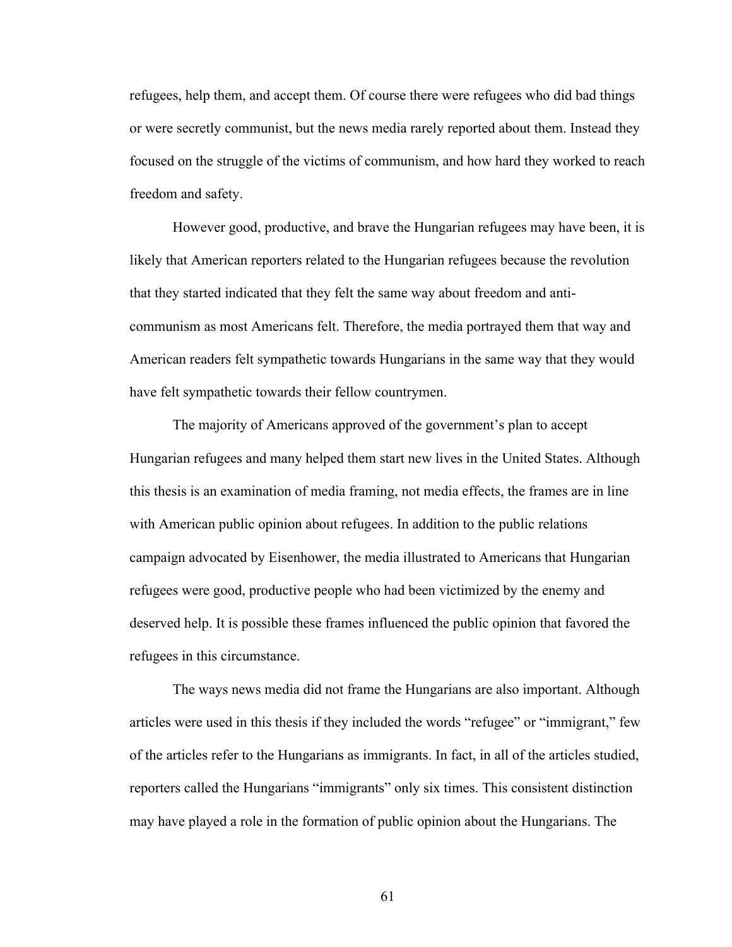refugees, help them, and accept them. Of course there were refugees who did bad things or were secretly communist, but the news media rarely reported about them. Instead they focused on the struggle of the victims of communism, and how hard they worked to reach freedom and safety.

However good, productive, and brave the Hungarian refugees may have been, it is likely that American reporters related to the Hungarian refugees because the revolution that they started indicated that they felt the same way about freedom and anticommunism as most Americans felt. Therefore, the media portrayed them that way and American readers felt sympathetic towards Hungarians in the same way that they would have felt sympathetic towards their fellow countrymen.

The majority of Americans approved of the government's plan to accept Hungarian refugees and many helped them start new lives in the United States. Although this thesis is an examination of media framing, not media effects, the frames are in line with American public opinion about refugees. In addition to the public relations campaign advocated by Eisenhower, the media illustrated to Americans that Hungarian refugees were good, productive people who had been victimized by the enemy and deserved help. It is possible these frames influenced the public opinion that favored the refugees in this circumstance.

The ways news media did not frame the Hungarians are also important. Although articles were used in this thesis if they included the words "refugee" or "immigrant," few of the articles refer to the Hungarians as immigrants. In fact, in all of the articles studied, reporters called the Hungarians "immigrants" only six times. This consistent distinction may have played a role in the formation of public opinion about the Hungarians. The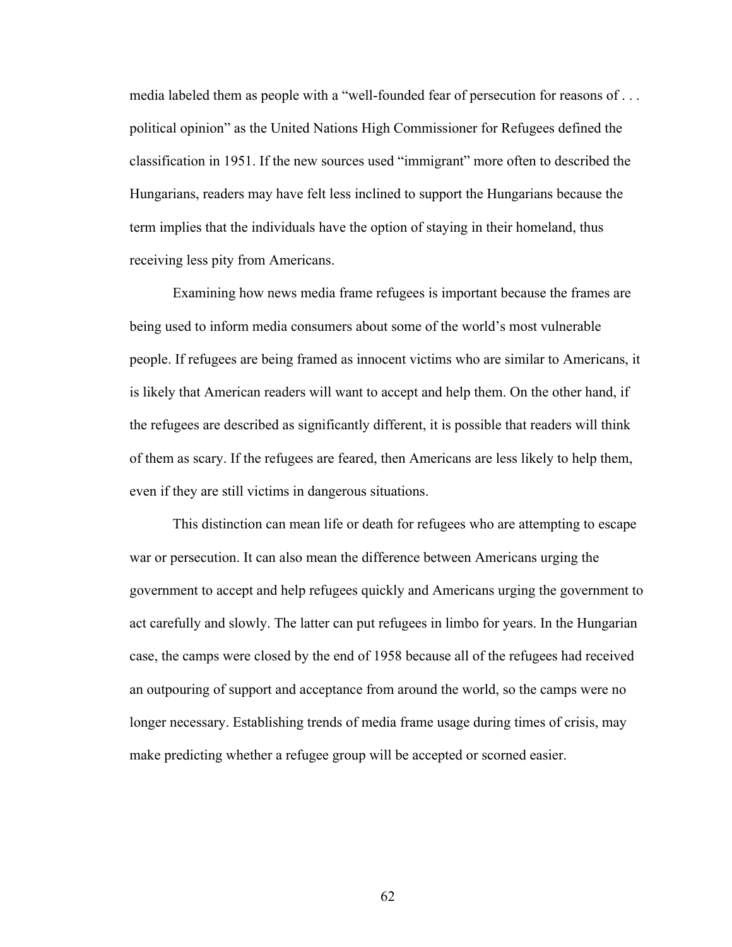media labeled them as people with a "well-founded fear of persecution for reasons of . . . political opinion" as the United Nations High Commissioner for Refugees defined the classification in 1951. If the new sources used "immigrant" more often to described the Hungarians, readers may have felt less inclined to support the Hungarians because the term implies that the individuals have the option of staying in their homeland, thus receiving less pity from Americans.

Examining how news media frame refugees is important because the frames are being used to inform media consumers about some of the world's most vulnerable people. If refugees are being framed as innocent victims who are similar to Americans, it is likely that American readers will want to accept and help them. On the other hand, if the refugees are described as significantly different, it is possible that readers will think of them as scary. If the refugees are feared, then Americans are less likely to help them, even if they are still victims in dangerous situations.

This distinction can mean life or death for refugees who are attempting to escape war or persecution. It can also mean the difference between Americans urging the government to accept and help refugees quickly and Americans urging the government to act carefully and slowly. The latter can put refugees in limbo for years. In the Hungarian case, the camps were closed by the end of 1958 because all of the refugees had received an outpouring of support and acceptance from around the world, so the camps were no longer necessary. Establishing trends of media frame usage during times of crisis, may make predicting whether a refugee group will be accepted or scorned easier.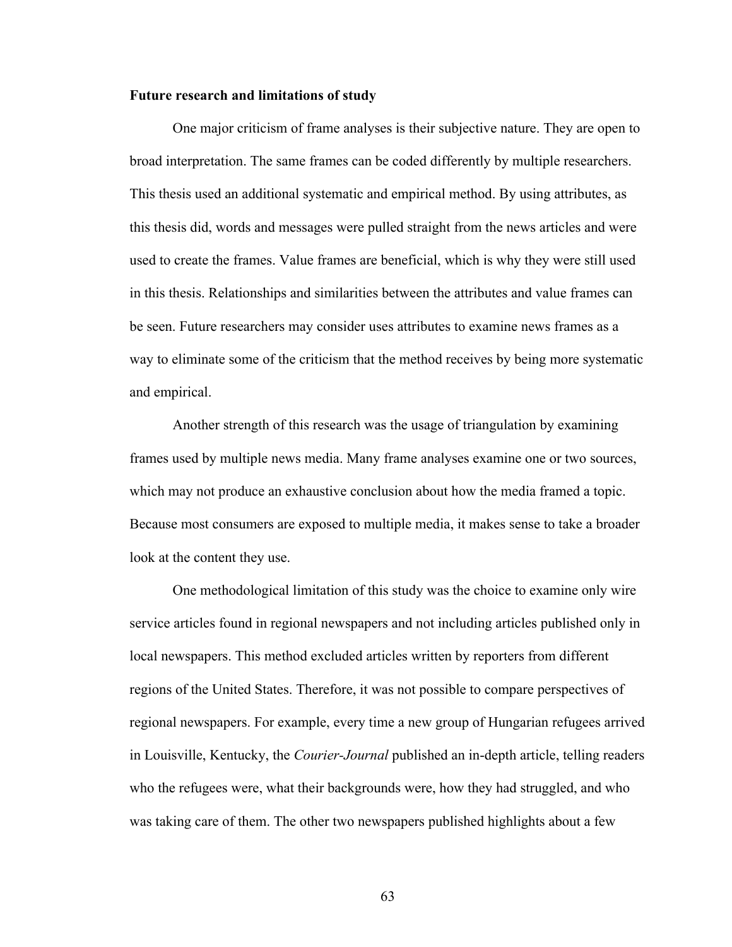### **Future research and limitations of study**

One major criticism of frame analyses is their subjective nature. They are open to broad interpretation. The same frames can be coded differently by multiple researchers. This thesis used an additional systematic and empirical method. By using attributes, as this thesis did, words and messages were pulled straight from the news articles and were used to create the frames. Value frames are beneficial, which is why they were still used in this thesis. Relationships and similarities between the attributes and value frames can be seen. Future researchers may consider uses attributes to examine news frames as a way to eliminate some of the criticism that the method receives by being more systematic and empirical.

Another strength of this research was the usage of triangulation by examining frames used by multiple news media. Many frame analyses examine one or two sources, which may not produce an exhaustive conclusion about how the media framed a topic. Because most consumers are exposed to multiple media, it makes sense to take a broader look at the content they use.

One methodological limitation of this study was the choice to examine only wire service articles found in regional newspapers and not including articles published only in local newspapers. This method excluded articles written by reporters from different regions of the United States. Therefore, it was not possible to compare perspectives of regional newspapers. For example, every time a new group of Hungarian refugees arrived in Louisville, Kentucky, the *Courier-Journal* published an in-depth article, telling readers who the refugees were, what their backgrounds were, how they had struggled, and who was taking care of them. The other two newspapers published highlights about a few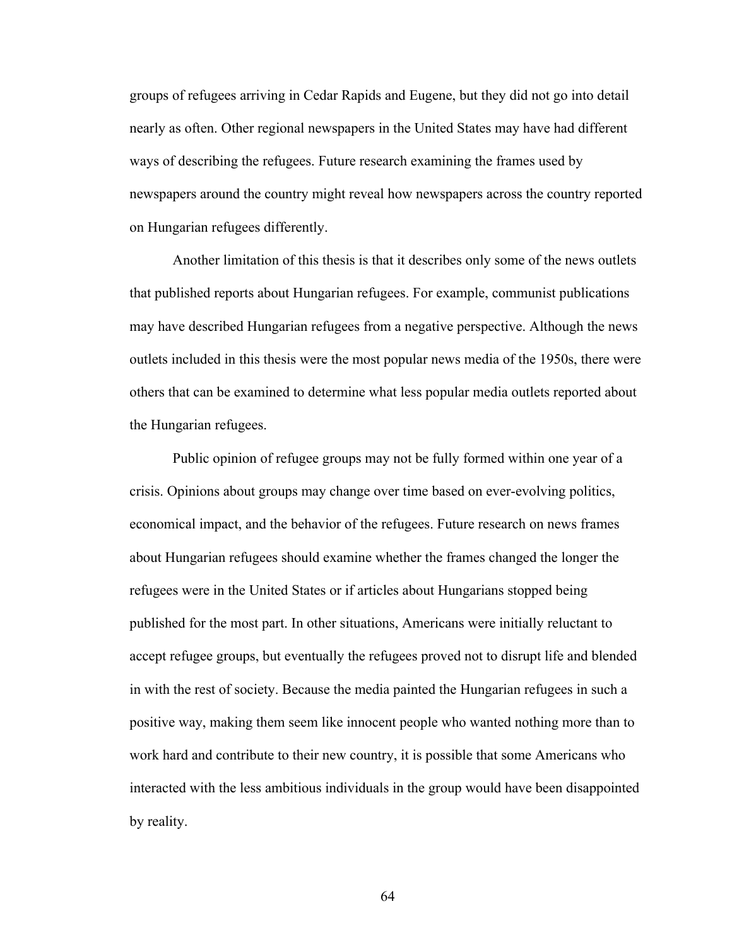groups of refugees arriving in Cedar Rapids and Eugene, but they did not go into detail nearly as often. Other regional newspapers in the United States may have had different ways of describing the refugees. Future research examining the frames used by newspapers around the country might reveal how newspapers across the country reported on Hungarian refugees differently.

Another limitation of this thesis is that it describes only some of the news outlets that published reports about Hungarian refugees. For example, communist publications may have described Hungarian refugees from a negative perspective. Although the news outlets included in this thesis were the most popular news media of the 1950s, there were others that can be examined to determine what less popular media outlets reported about the Hungarian refugees.

Public opinion of refugee groups may not be fully formed within one year of a crisis. Opinions about groups may change over time based on ever-evolving politics, economical impact, and the behavior of the refugees. Future research on news frames about Hungarian refugees should examine whether the frames changed the longer the refugees were in the United States or if articles about Hungarians stopped being published for the most part. In other situations, Americans were initially reluctant to accept refugee groups, but eventually the refugees proved not to disrupt life and blended in with the rest of society. Because the media painted the Hungarian refugees in such a positive way, making them seem like innocent people who wanted nothing more than to work hard and contribute to their new country, it is possible that some Americans who interacted with the less ambitious individuals in the group would have been disappointed by reality.

64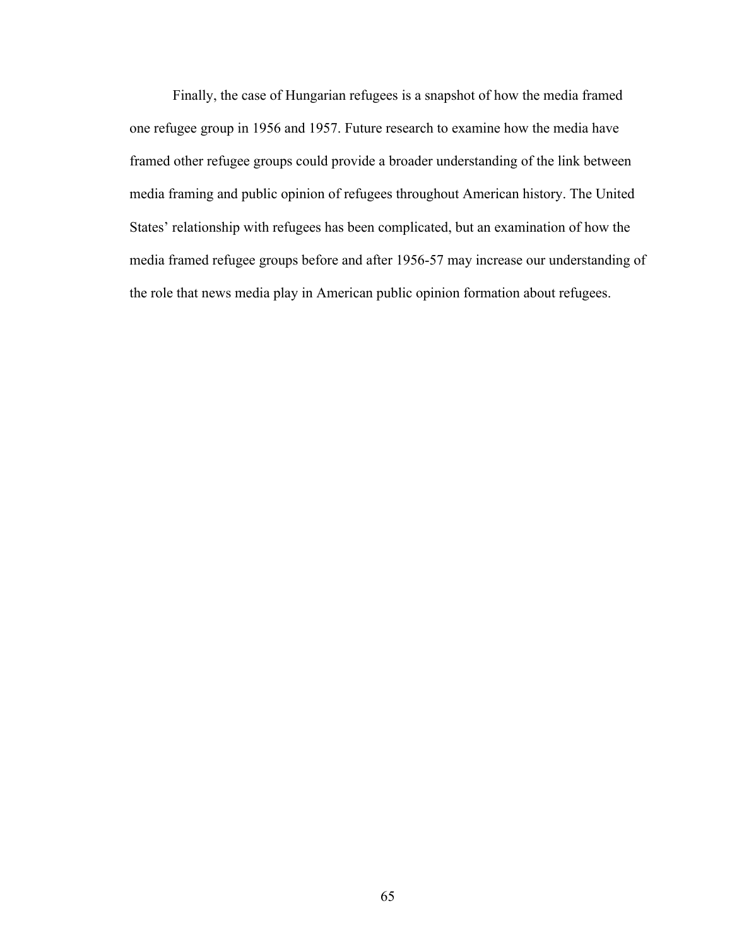Finally, the case of Hungarian refugees is a snapshot of how the media framed one refugee group in 1956 and 1957. Future research to examine how the media have framed other refugee groups could provide a broader understanding of the link between media framing and public opinion of refugees throughout American history. The United States' relationship with refugees has been complicated, but an examination of how the media framed refugee groups before and after 1956-57 may increase our understanding of the role that news media play in American public opinion formation about refugees.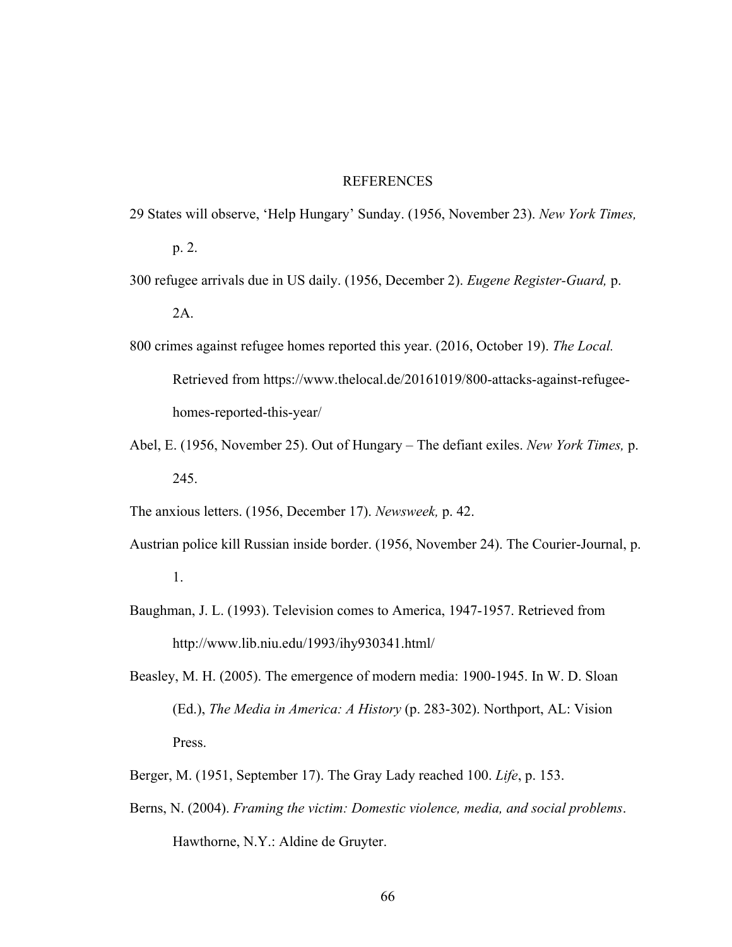#### **REFERENCES**

29 States will observe, 'Help Hungary' Sunday. (1956, November 23). *New York Times,* 

p. 2.

- 300 refugee arrivals due in US daily. (1956, December 2). *Eugene Register-Guard,* p. 2A.
- 800 crimes against refugee homes reported this year. (2016, October 19). *The Local.* Retrieved from https://www.thelocal.de/20161019/800-attacks-against-refugeehomes-reported-this-year/
- Abel, E. (1956, November 25). Out of Hungary The defiant exiles. *New York Times,* p. 245.

The anxious letters. (1956, December 17). *Newsweek,* p. 42.

- Austrian police kill Russian inside border. (1956, November 24). The Courier-Journal, p. 1.
- Baughman, J. L. (1993). Television comes to America, 1947-1957. Retrieved from http://www.lib.niu.edu/1993/ihy930341.html/
- Beasley, M. H. (2005). The emergence of modern media: 1900-1945. In W. D. Sloan (Ed.), *The Media in America: A History* (p. 283-302). Northport, AL: Vision Press.
- Berger, M. (1951, September 17). The Gray Lady reached 100. *Life*, p. 153.
- Berns, N. (2004). *Framing the victim: Domestic violence, media, and social problems*. Hawthorne, N.Y.: Aldine de Gruyter.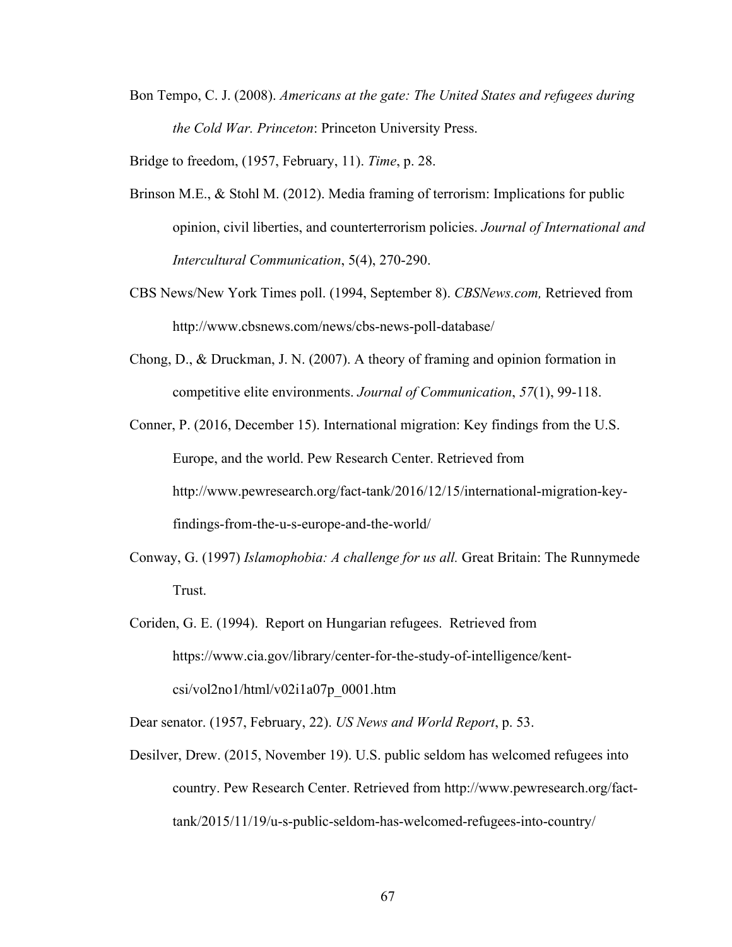Bon Tempo, C. J. (2008). *Americans at the gate: The United States and refugees during the Cold War. Princeton*: Princeton University Press.

Bridge to freedom, (1957, February, 11). *Time*, p. 28.

- Brinson M.E., & Stohl M. (2012). Media framing of terrorism: Implications for public opinion, civil liberties, and counterterrorism policies. *Journal of International and Intercultural Communication*, 5(4), 270-290.
- CBS News/New York Times poll. (1994, September 8). *CBSNews.com,* Retrieved from http://www.cbsnews.com/news/cbs-news-poll-database/
- Chong, D., & Druckman, J. N. (2007). A theory of framing and opinion formation in competitive elite environments. *Journal of Communication*, *57*(1), 99-118.
- Conner, P. (2016, December 15). International migration: Key findings from the U.S. Europe, and the world. Pew Research Center. Retrieved from http://www.pewresearch.org/fact-tank/2016/12/15/international-migration-keyfindings-from-the-u-s-europe-and-the-world/
- Conway, G. (1997) *Islamophobia: A challenge for us all.* Great Britain: The Runnymede Trust.
- Coriden, G. E. (1994). Report on Hungarian refugees. Retrieved from https://www.cia.gov/library/center-for-the-study-of-intelligence/kentcsi/vol2no1/html/v02i1a07p\_0001.htm

Dear senator. (1957, February, 22). *US News and World Report*, p. 53.

Desilver, Drew. (2015, November 19). U.S. public seldom has welcomed refugees into country. Pew Research Center. Retrieved from http://www.pewresearch.org/facttank/2015/11/19/u-s-public-seldom-has-welcomed-refugees-into-country/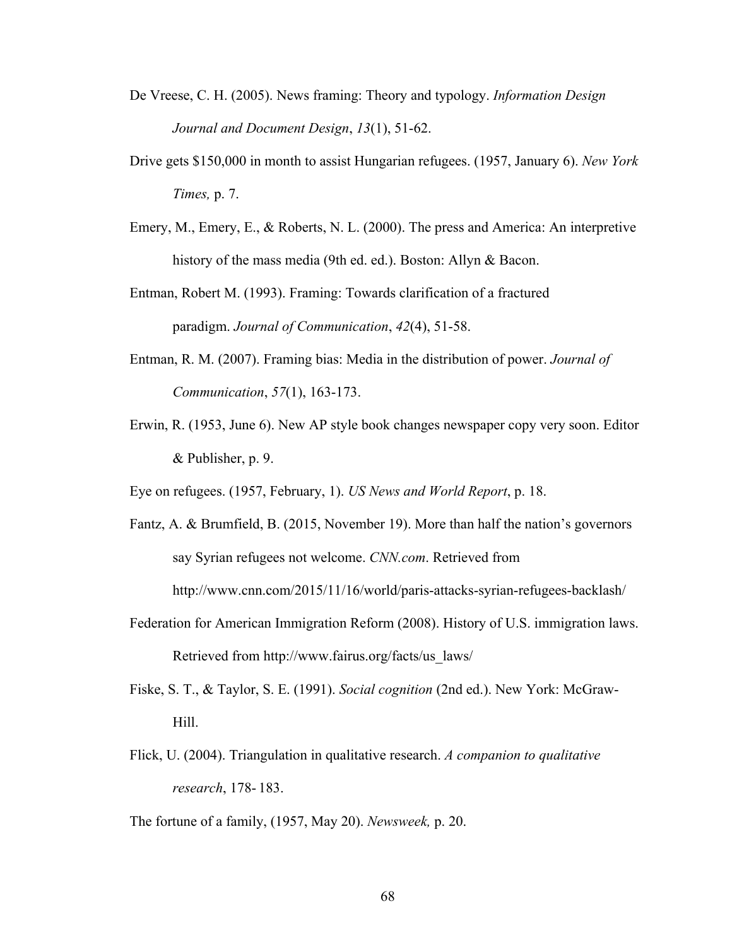- De Vreese, C. H. (2005). News framing: Theory and typology. *Information Design Journal and Document Design*, *13*(1), 51-62.
- Drive gets \$150,000 in month to assist Hungarian refugees. (1957, January 6). *New York Times,* p. 7.
- Emery, M., Emery, E., & Roberts, N. L. (2000). The press and America: An interpretive history of the mass media (9th ed. ed.). Boston: Allyn & Bacon.
- Entman, Robert M. (1993). Framing: Towards clarification of a fractured paradigm. *Journal of Communication*, *42*(4), 51-58.
- Entman, R. M. (2007). Framing bias: Media in the distribution of power. *Journal of Communication*, *57*(1), 163-173.
- Erwin, R. (1953, June 6). New AP style book changes newspaper copy very soon. Editor & Publisher, p. 9.
- Eye on refugees. (1957, February, 1). *US News and World Report*, p. 18.
- Fantz, A. & Brumfield, B. (2015, November 19). More than half the nation's governors say Syrian refugees not welcome. *CNN.com*. Retrieved from http://www.cnn.com/2015/11/16/world/paris-attacks-syrian-refugees-backlash/
- Federation for American Immigration Reform (2008). History of U.S. immigration laws. Retrieved from http://www.fairus.org/facts/us\_laws/
- Fiske, S. T., & Taylor, S. E. (1991). *Social cognition* (2nd ed.). New York: McGraw-Hill.
- Flick, U. (2004). Triangulation in qualitative research. *A companion to qualitative research*, 178- 183.
- The fortune of a family, (1957, May 20). *Newsweek,* p. 20.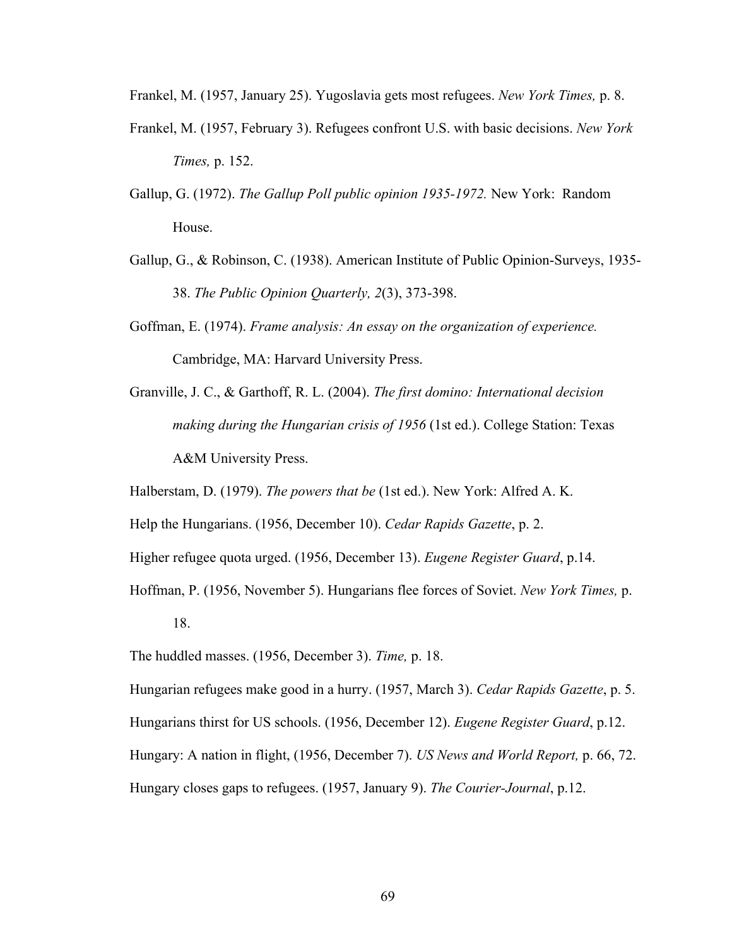Frankel, M. (1957, January 25). Yugoslavia gets most refugees. *New York Times,* p. 8.

- Frankel, M. (1957, February 3). Refugees confront U.S. with basic decisions. *New York Times,* p. 152.
- Gallup, G. (1972). *The Gallup Poll public opinion 1935-1972.* New York: Random House.
- Gallup, G., & Robinson, C. (1938). American Institute of Public Opinion-Surveys, 1935- 38. *The Public Opinion Quarterly, 2*(3), 373-398.
- Goffman, E. (1974). *Frame analysis: An essay on the organization of experience.* Cambridge, MA: Harvard University Press.
- Granville, J. C., & Garthoff, R. L. (2004). *The first domino: International decision making during the Hungarian crisis of 1956* (1st ed.). College Station: Texas A&M University Press.

Halberstam, D. (1979). *The powers that be* (1st ed.). New York: Alfred A. K.

Help the Hungarians. (1956, December 10). *Cedar Rapids Gazette*, p. 2.

Higher refugee quota urged. (1956, December 13). *Eugene Register Guard*, p.14.

Hoffman, P. (1956, November 5). Hungarians flee forces of Soviet. *New York Times,* p. 18.

The huddled masses. (1956, December 3). *Time,* p. 18.

Hungarian refugees make good in a hurry. (1957, March 3). *Cedar Rapids Gazette*, p. 5. Hungarians thirst for US schools. (1956, December 12). *Eugene Register Guard*, p.12. Hungary: A nation in flight, (1956, December 7). *US News and World Report,* p. 66, 72. Hungary closes gaps to refugees. (1957, January 9). *The Courier-Journal*, p.12.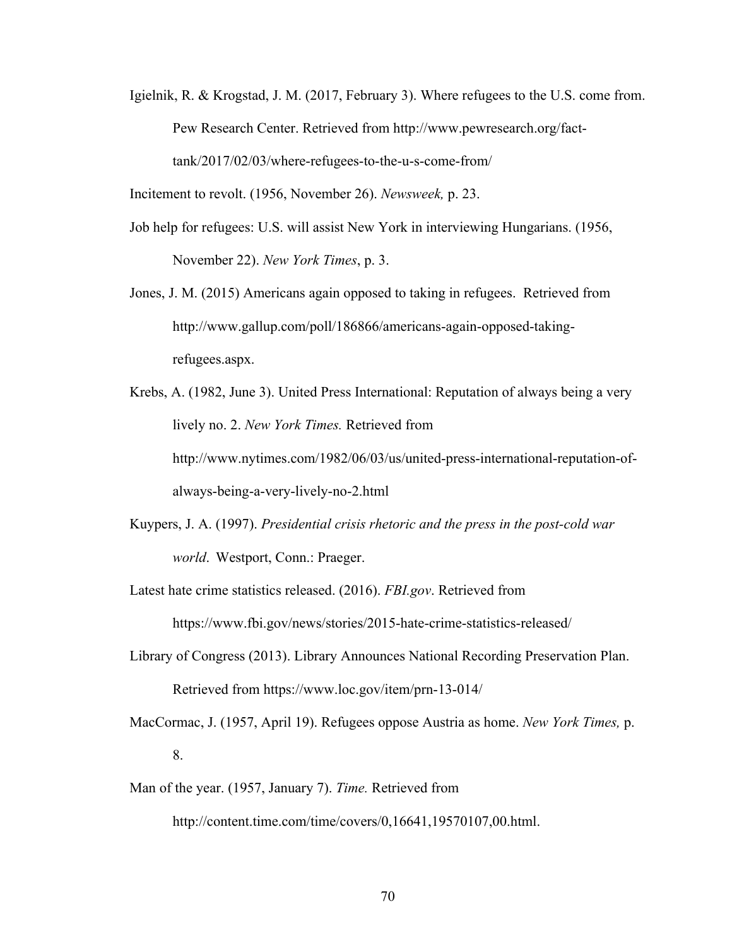Igielnik, R. & Krogstad, J. M. (2017, February 3). Where refugees to the U.S. come from. Pew Research Center. Retrieved from http://www.pewresearch.org/facttank/2017/02/03/where-refugees-to-the-u-s-come-from/

Incitement to revolt. (1956, November 26). *Newsweek,* p. 23.

- Job help for refugees: U.S. will assist New York in interviewing Hungarians. (1956, November 22). *New York Times*, p. 3.
- Jones, J. M. (2015) Americans again opposed to taking in refugees. Retrieved from http://www.gallup.com/poll/186866/americans-again-opposed-takingrefugees.aspx.
- Krebs, A. (1982, June 3). United Press International: Reputation of always being a very lively no. 2. *New York Times.* Retrieved from http://www.nytimes.com/1982/06/03/us/united-press-international-reputation-ofalways-being-a-very-lively-no-2.html
- Kuypers, J. A. (1997). *Presidential crisis rhetoric and the press in the post-cold war world*. Westport, Conn.: Praeger.
- Latest hate crime statistics released. (2016). *FBI.gov*. Retrieved from https://www.fbi.gov/news/stories/2015-hate-crime-statistics-released/
- Library of Congress (2013). Library Announces National Recording Preservation Plan. Retrieved from https://www.loc.gov/item/prn-13-014/
- MacCormac, J. (1957, April 19). Refugees oppose Austria as home. *New York Times,* p. 8.
- Man of the year. (1957, January 7). *Time.* Retrieved from

http://content.time.com/time/covers/0,16641,19570107,00.html.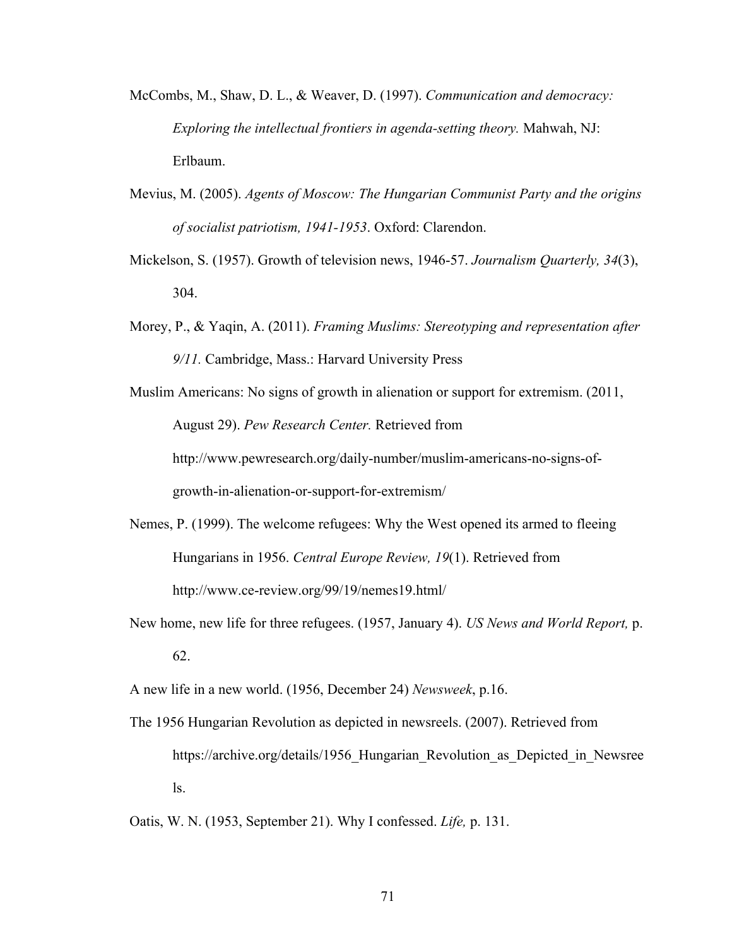- McCombs, M., Shaw, D. L., & Weaver, D. (1997). *Communication and democracy: Exploring the intellectual frontiers in agenda-setting theory.* Mahwah, NJ: Erlbaum.
- Mevius, M. (2005). *Agents of Moscow: The Hungarian Communist Party and the origins of socialist patriotism, 1941-1953*. Oxford: Clarendon.
- Mickelson, S. (1957). Growth of television news, 1946-57. *Journalism Quarterly, 34*(3), 304.
- Morey, P., & Yaqin, A. (2011). *Framing Muslims: Stereotyping and representation after 9/11.* Cambridge, Mass.: Harvard University Press
- Muslim Americans: No signs of growth in alienation or support for extremism. (2011, August 29). *Pew Research Center.* Retrieved from http://www.pewresearch.org/daily-number/muslim-americans-no-signs-ofgrowth-in-alienation-or-support-for-extremism/
- Nemes, P. (1999). The welcome refugees: Why the West opened its armed to fleeing Hungarians in 1956. *Central Europe Review, 19*(1). Retrieved from http://www.ce-review.org/99/19/nemes19.html/
- New home, new life for three refugees. (1957, January 4). *US News and World Report,* p. 62.

A new life in a new world. (1956, December 24) *Newsweek*, p.16.

The 1956 Hungarian Revolution as depicted in newsreels. (2007). Retrieved from https://archive.org/details/1956 Hungarian Revolution as Depicted in Newsree ls.

Oatis, W. N. (1953, September 21). Why I confessed. *Life,* p. 131.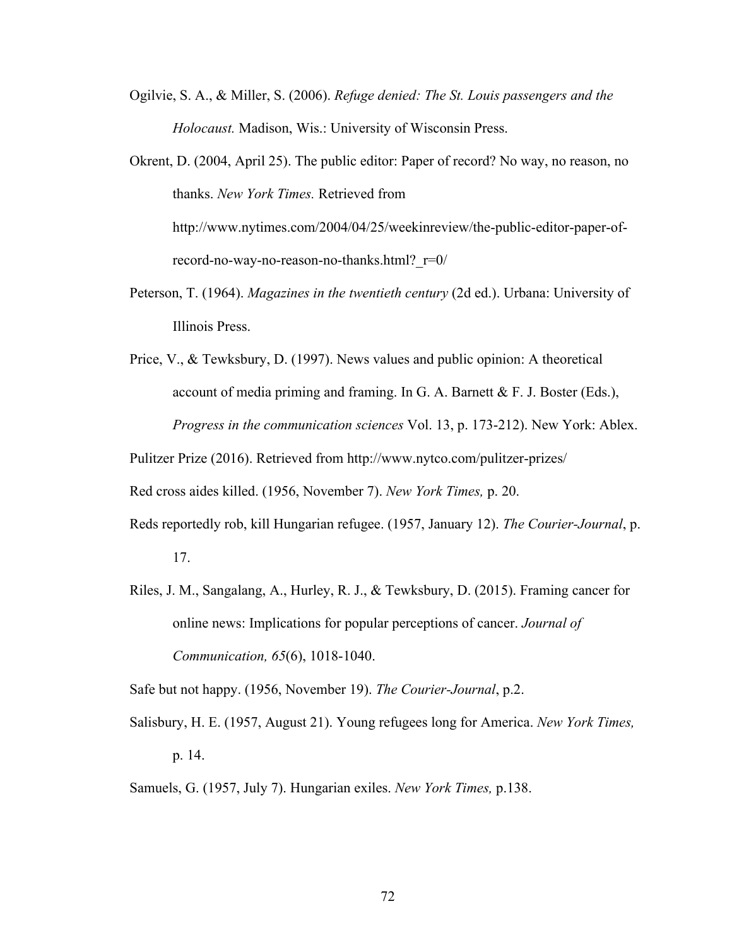- Ogilvie, S. A., & Miller, S. (2006). *Refuge denied: The St. Louis passengers and the Holocaust.* Madison, Wis.: University of Wisconsin Press.
- Okrent, D. (2004, April 25). The public editor: Paper of record? No way, no reason, no thanks. *New York Times.* Retrieved from http://www.nytimes.com/2004/04/25/weekinreview/the-public-editor-paper-ofrecord-no-way-no-reason-no-thanks.html?\_r=0/
- Peterson, T. (1964). *Magazines in the twentieth century* (2d ed.). Urbana: University of Illinois Press.
- Price, V., & Tewksbury, D. (1997). News values and public opinion: A theoretical account of media priming and framing. In G. A. Barnett  $& F. J. Boster (Eds.),$ *Progress in the communication sciences* Vol. 13, p. 173-212). New York: Ablex.

Pulitzer Prize (2016). Retrieved from http://www.nytco.com/pulitzer-prizes/

Red cross aides killed. (1956, November 7). *New York Times,* p. 20.

- Reds reportedly rob, kill Hungarian refugee. (1957, January 12). *The Courier-Journal*, p. 17.
- Riles, J. M., Sangalang, A., Hurley, R. J., & Tewksbury, D. (2015). Framing cancer for online news: Implications for popular perceptions of cancer. *Journal of Communication, 65*(6), 1018-1040.

Safe but not happy. (1956, November 19). *The Courier-Journal*, p.2.

- Salisbury, H. E. (1957, August 21). Young refugees long for America. *New York Times,* p. 14.
- Samuels, G. (1957, July 7). Hungarian exiles. *New York Times,* p.138.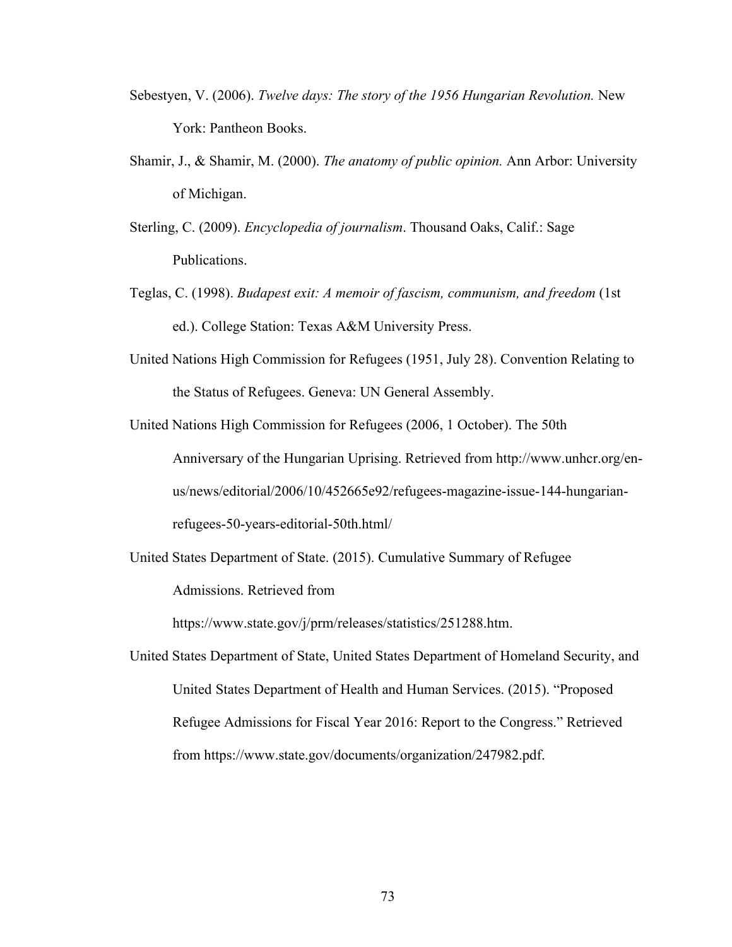- Sebestyen, V. (2006). *Twelve days: The story of the 1956 Hungarian Revolution.* New York: Pantheon Books.
- Shamir, J., & Shamir, M. (2000). *The anatomy of public opinion.* Ann Arbor: University of Michigan.
- Sterling, C. (2009). *Encyclopedia of journalism*. Thousand Oaks, Calif.: Sage Publications.
- Teglas, C. (1998). *Budapest exit: A memoir of fascism, communism, and freedom* (1st ed.). College Station: Texas A&M University Press.
- United Nations High Commission for Refugees (1951, July 28). Convention Relating to the Status of Refugees. Geneva: UN General Assembly.
- United Nations High Commission for Refugees (2006, 1 October). The 50th Anniversary of the Hungarian Uprising. Retrieved from http://www.unhcr.org/enus/news/editorial/2006/10/452665e92/refugees-magazine-issue-144-hungarianrefugees-50-years-editorial-50th.html/
- United States Department of State. (2015). Cumulative Summary of Refugee Admissions. Retrieved from

https://www.state.gov/j/prm/releases/statistics/251288.htm.

United States Department of State, United States Department of Homeland Security, and United States Department of Health and Human Services. (2015). "Proposed Refugee Admissions for Fiscal Year 2016: Report to the Congress." Retrieved from https://www.state.gov/documents/organization/247982.pdf.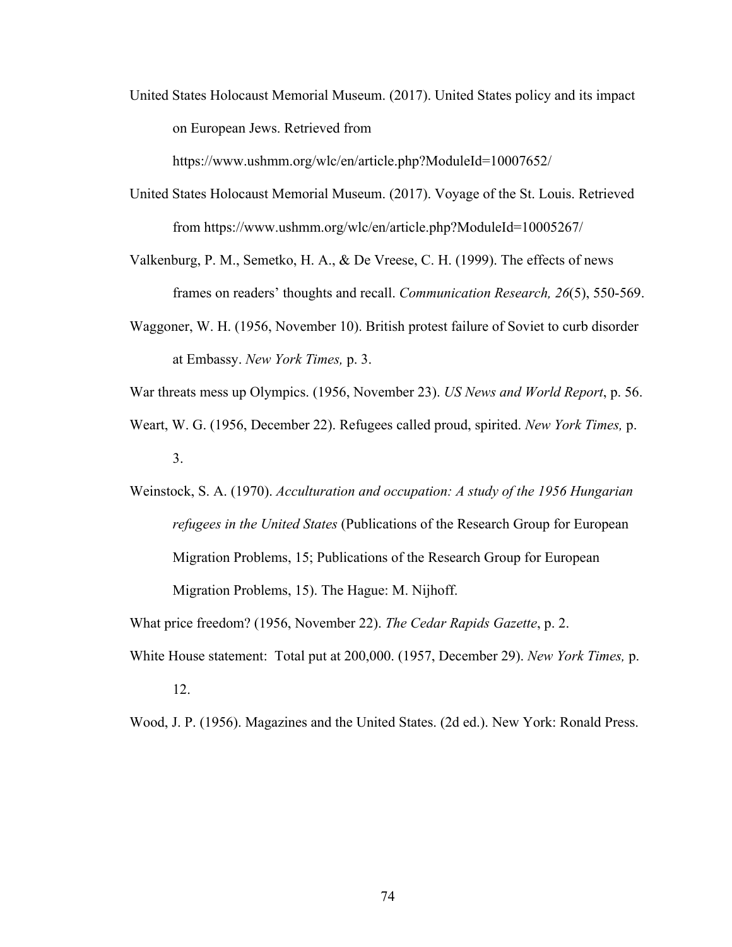United States Holocaust Memorial Museum. (2017). United States policy and its impact on European Jews. Retrieved from

https://www.ushmm.org/wlc/en/article.php?ModuleId=10007652/

- United States Holocaust Memorial Museum. (2017). Voyage of the St. Louis. Retrieved from https://www.ushmm.org/wlc/en/article.php?ModuleId=10005267/
- Valkenburg, P. M., Semetko, H. A., & De Vreese, C. H. (1999). The effects of news frames on readers' thoughts and recall. *Communication Research, 26*(5), 550-569.
- Waggoner, W. H. (1956, November 10). British protest failure of Soviet to curb disorder at Embassy. *New York Times,* p. 3.
- War threats mess up Olympics. (1956, November 23). *US News and World Report*, p. 56.
- Weart, W. G. (1956, December 22). Refugees called proud, spirited. *New York Times,* p. 3.
- Weinstock, S. A. (1970). *Acculturation and occupation: A study of the 1956 Hungarian refugees in the United States* (Publications of the Research Group for European Migration Problems, 15; Publications of the Research Group for European Migration Problems, 15). The Hague: M. Nijhoff.

What price freedom? (1956, November 22). *The Cedar Rapids Gazette*, p. 2.

White House statement: Total put at 200,000. (1957, December 29). *New York Times,* p. 12.

Wood, J. P. (1956). Magazines and the United States. (2d ed.). New York: Ronald Press.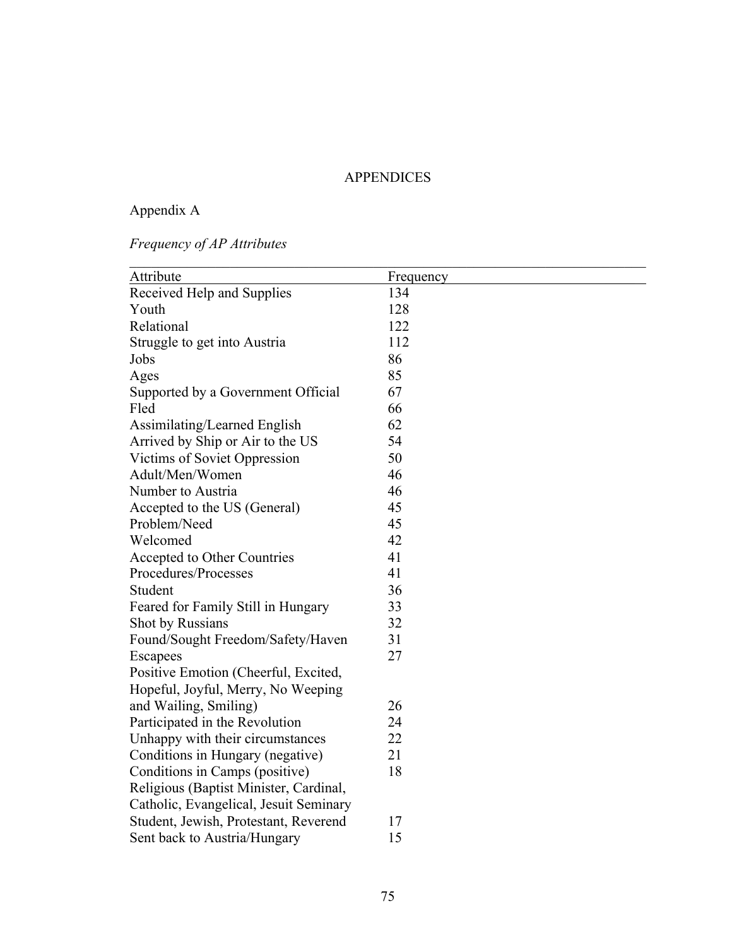### APPENDICES

# Appendix A

# *Frequency of AP Attributes*

| Attribute                              | Frequency |
|----------------------------------------|-----------|
| Received Help and Supplies             | 134       |
| Youth                                  | 128       |
| Relational                             | 122       |
| Struggle to get into Austria           | 112       |
| Jobs                                   | 86        |
| Ages                                   | 85        |
| Supported by a Government Official     | 67        |
| Fled                                   | 66        |
| Assimilating/Learned English           | 62        |
| Arrived by Ship or Air to the US       | 54        |
| Victims of Soviet Oppression           | 50        |
| Adult/Men/Women                        | 46        |
| Number to Austria                      | 46        |
| Accepted to the US (General)           | 45        |
| Problem/Need                           | 45        |
| Welcomed                               | 42        |
| Accepted to Other Countries            | 41        |
| Procedures/Processes                   | 41        |
| Student                                | 36        |
| Feared for Family Still in Hungary     | 33        |
| Shot by Russians                       | 32        |
| Found/Sought Freedom/Safety/Haven      | 31        |
| Escapees                               | 27        |
| Positive Emotion (Cheerful, Excited,   |           |
| Hopeful, Joyful, Merry, No Weeping     |           |
| and Wailing, Smiling)                  | 26        |
| Participated in the Revolution         | 24        |
| Unhappy with their circumstances       | 22        |
| Conditions in Hungary (negative)       | 21        |
| Conditions in Camps (positive)         | 18        |
| Religious (Baptist Minister, Cardinal, |           |
| Catholic, Evangelical, Jesuit Seminary |           |
| Student, Jewish, Protestant, Reverend  | 17        |
| Sent back to Austria/Hungary           | 15        |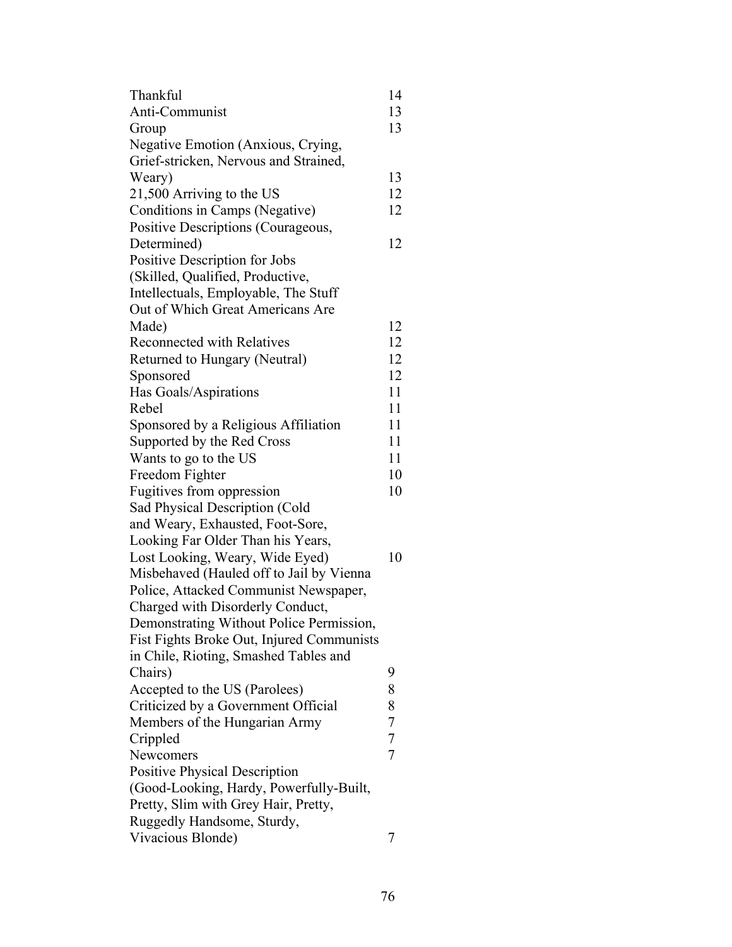| Thankful                                                             | 14                               |
|----------------------------------------------------------------------|----------------------------------|
| Anti-Communist                                                       | 13                               |
| Group                                                                | 13                               |
| Negative Emotion (Anxious, Crying,                                   |                                  |
| Grief-stricken, Nervous and Strained,                                |                                  |
| Weary)                                                               | 13                               |
| 21,500 Arriving to the US                                            | 12                               |
| Conditions in Camps (Negative)                                       | 12                               |
| Positive Descriptions (Courageous,                                   |                                  |
| Determined)                                                          | 12                               |
| Positive Description for Jobs                                        |                                  |
| (Skilled, Qualified, Productive,                                     |                                  |
| Intellectuals, Employable, The Stuff                                 |                                  |
| Out of Which Great Americans Are                                     |                                  |
| Made)                                                                | 12                               |
| <b>Reconnected with Relatives</b>                                    | 12                               |
| Returned to Hungary (Neutral)                                        | 12                               |
| Sponsored                                                            | 12                               |
| Has Goals/Aspirations                                                | 11                               |
| Rebel                                                                | 11                               |
| Sponsored by a Religious Affiliation                                 | 11                               |
| Supported by the Red Cross                                           | 11                               |
| Wants to go to the US                                                | 11                               |
| Freedom Fighter                                                      | 10                               |
| Fugitives from oppression                                            | 10                               |
| Sad Physical Description (Cold                                       |                                  |
| and Weary, Exhausted, Foot-Sore,                                     |                                  |
| Looking Far Older Than his Years,                                    |                                  |
| Lost Looking, Weary, Wide Eyed)                                      | 10                               |
| Misbehaved (Hauled off to Jail by Vienna                             |                                  |
| Police, Attacked Communist Newspaper,                                |                                  |
| Charged with Disorderly Conduct,                                     |                                  |
| Demonstrating Without Police Permission,                             |                                  |
| Fist Fights Broke Out, Injured Communists                            |                                  |
| in Chile, Rioting, Smashed Tables and                                |                                  |
| Chairs)                                                              | 9                                |
|                                                                      | 8                                |
| Accepted to the US (Parolees)                                        | 8                                |
| Criticized by a Government Official<br>Members of the Hungarian Army |                                  |
|                                                                      | $\overline{7}$<br>$\overline{7}$ |
| Crippled                                                             | $\overline{7}$                   |
| Newcomers                                                            |                                  |
| <b>Positive Physical Description</b>                                 |                                  |
| (Good-Looking, Hardy, Powerfully-Built,                              |                                  |
| Pretty, Slim with Grey Hair, Pretty,                                 |                                  |
| Ruggedly Handsome, Sturdy,                                           |                                  |
| Vivacious Blonde)                                                    | 7                                |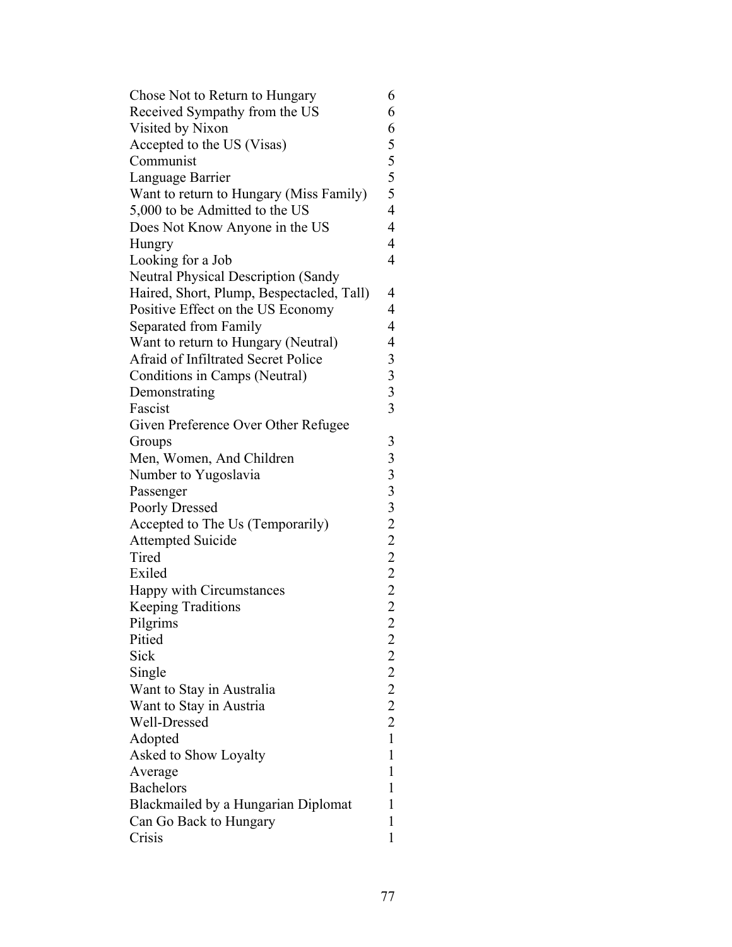| Chose Not to Return to Hungary             | 6                                                 |
|--------------------------------------------|---------------------------------------------------|
| Received Sympathy from the US              | 6                                                 |
| Visited by Nixon                           | 6                                                 |
| Accepted to the US (Visas)                 | 5                                                 |
| Communist                                  |                                                   |
| Language Barrier                           | $rac{5}{5}$                                       |
| Want to return to Hungary (Miss Family)    | 5                                                 |
| 5,000 to be Admitted to the US             | $\overline{4}$                                    |
| Does Not Know Anyone in the US             | $\overline{4}$                                    |
| Hungry                                     | $\overline{4}$                                    |
| Looking for a Job                          | 4                                                 |
| <b>Neutral Physical Description (Sandy</b> |                                                   |
| Haired, Short, Plump, Bespectacled, Tall)  | $\overline{4}$                                    |
| Positive Effect on the US Economy          | $\overline{4}$                                    |
| Separated from Family                      | $\overline{4}$                                    |
| Want to return to Hungary (Neutral)        | $\overline{4}$                                    |
| Afraid of Infiltrated Secret Police        | 3                                                 |
| Conditions in Camps (Neutral)              | $\overline{\mathbf{3}}$                           |
| Demonstrating                              | $\overline{3}$                                    |
| Fascist                                    | $\overline{3}$                                    |
|                                            |                                                   |
| Given Preference Over Other Refugee        |                                                   |
| Groups                                     | 3                                                 |
| Men, Women, And Children                   |                                                   |
| Number to Yugoslavia                       | 333222222                                         |
| Passenger                                  |                                                   |
| <b>Poorly Dressed</b>                      |                                                   |
| Accepted to The Us (Temporarily)           |                                                   |
| <b>Attempted Suicide</b>                   |                                                   |
| Tired                                      |                                                   |
| Exiled                                     |                                                   |
| Happy with Circumstances                   |                                                   |
| <b>Keeping Traditions</b>                  |                                                   |
| Pilgrims                                   | $\overline{c}$                                    |
| Pitied                                     | $\begin{smallmatrix}2&2\2&2\2&2\end{smallmatrix}$ |
| Sick                                       |                                                   |
| Single                                     |                                                   |
| Want to Stay in Australia                  |                                                   |
| Want to Stay in Austria                    |                                                   |
| Well-Dressed                               |                                                   |
| Adopted                                    | $\mathbf{1}$                                      |
| Asked to Show Loyalty                      | $\mathbf{1}$                                      |
| Average                                    | $\mathbf{1}$                                      |
| <b>Bachelors</b>                           | $\mathbf{1}$                                      |
| Blackmailed by a Hungarian Diplomat        | 1                                                 |
| Can Go Back to Hungary                     | 1                                                 |
| Crisis                                     | $\mathbf{1}$                                      |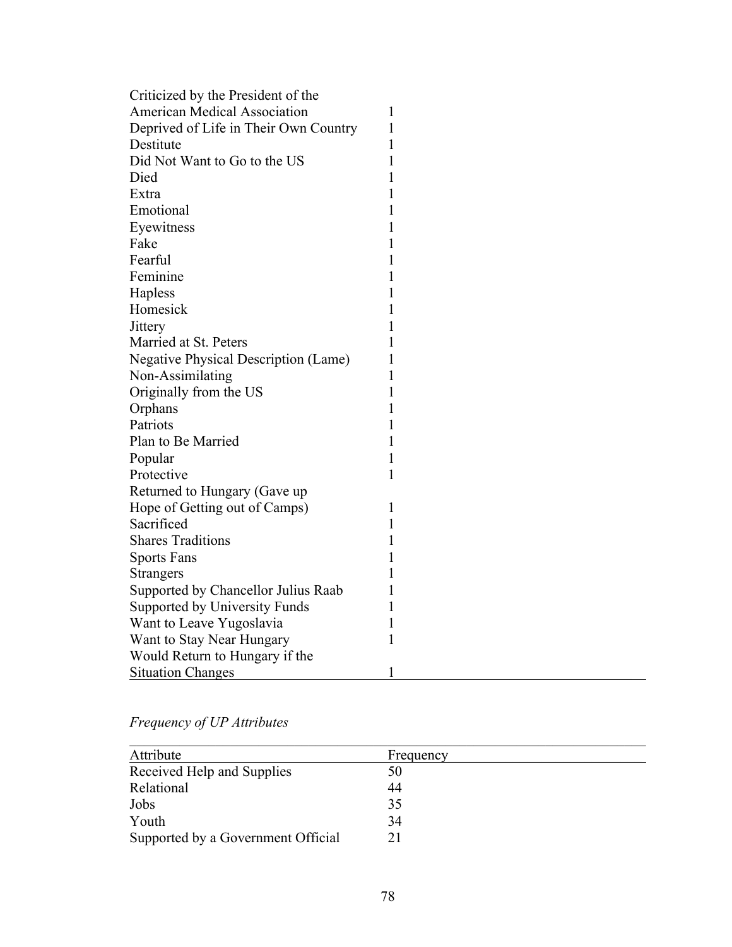| Criticized by the President of the          |              |
|---------------------------------------------|--------------|
| <b>American Medical Association</b>         | 1            |
| Deprived of Life in Their Own Country       | 1            |
| Destitute                                   | 1            |
| Did Not Want to Go to the US                | 1            |
| Died                                        | 1            |
| Extra                                       | 1            |
| Emotional                                   | 1            |
| Eyewitness                                  | 1            |
| Fake                                        | $\mathbf{1}$ |
| Fearful                                     | 1            |
| Feminine                                    | $\mathbf{1}$ |
| Hapless                                     | $\mathbf{1}$ |
| Homesick                                    | 1            |
| Jittery                                     | 1            |
| Married at St. Peters                       | 1            |
| <b>Negative Physical Description (Lame)</b> | 1            |
| Non-Assimilating                            | 1            |
| Originally from the US                      | 1            |
| Orphans                                     | $\mathbf{1}$ |
| Patriots                                    | $\mathbf{1}$ |
| Plan to Be Married                          | 1            |
| Popular                                     | 1            |
| Protective                                  | 1            |
| Returned to Hungary (Gave up)               |              |
| Hope of Getting out of Camps)               | 1            |
| Sacrificed                                  | $\mathbf{1}$ |
| <b>Shares Traditions</b>                    | 1            |
| <b>Sports Fans</b>                          | 1            |
| <b>Strangers</b>                            | 1            |
| Supported by Chancellor Julius Raab         | 1            |
| Supported by University Funds               | 1            |
| Want to Leave Yugoslavia                    | 1            |
| Want to Stay Near Hungary                   | $\mathbf{1}$ |
| Would Return to Hungary if the              |              |
| <b>Situation Changes</b>                    | $\mathbf{1}$ |

*Frequency of UP Attributes*

| Attribute                          | Frequency |
|------------------------------------|-----------|
| Received Help and Supplies         | 50        |
| Relational                         | 44        |
| Jobs                               | 35        |
| Youth                              | 34        |
| Supported by a Government Official | 21        |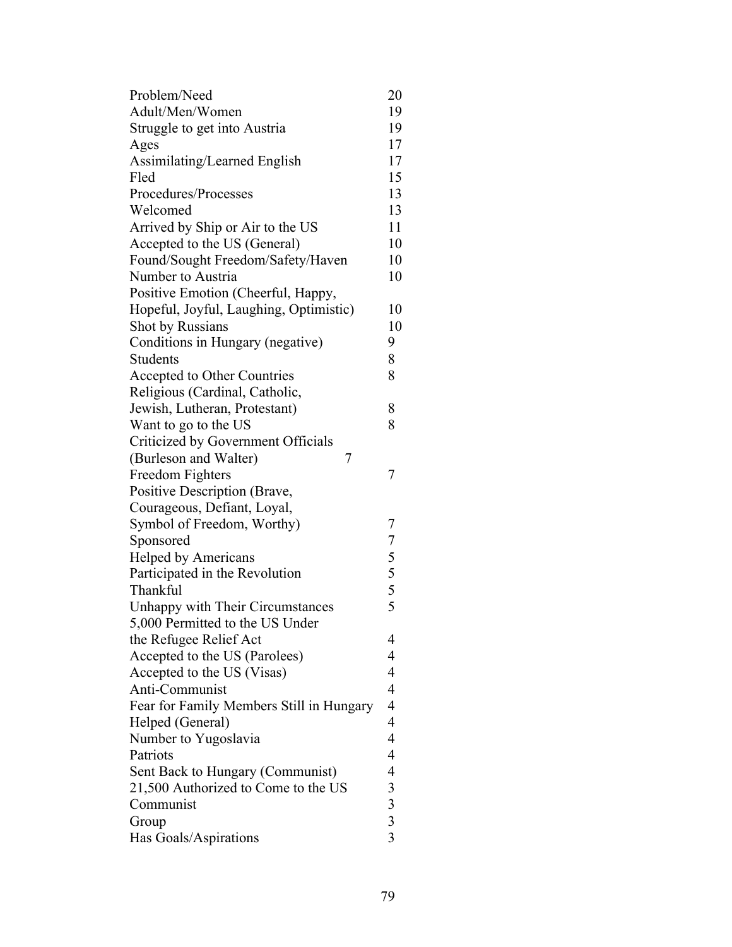| Problem/Need                             | 20                                         |
|------------------------------------------|--------------------------------------------|
| Adult/Men/Women                          | 19                                         |
| Struggle to get into Austria             | 19                                         |
| Ages                                     | 17                                         |
| Assimilating/Learned English             | 17                                         |
| Fled                                     | 15                                         |
| Procedures/Processes                     | 13                                         |
| Welcomed                                 | 13                                         |
| Arrived by Ship or Air to the US         | 11                                         |
| Accepted to the US (General)             | 10                                         |
| Found/Sought Freedom/Safety/Haven        | 10                                         |
| Number to Austria                        | 10                                         |
| Positive Emotion (Cheerful, Happy,       |                                            |
| Hopeful, Joyful, Laughing, Optimistic)   | 10                                         |
| Shot by Russians                         | 10                                         |
| Conditions in Hungary (negative)         | 9                                          |
| <b>Students</b>                          | 8                                          |
| Accepted to Other Countries              | 8                                          |
| Religious (Cardinal, Catholic,           |                                            |
| Jewish, Lutheran, Protestant)            | 8                                          |
| Want to go to the US                     | 8                                          |
| Criticized by Government Officials       |                                            |
| 7                                        |                                            |
| (Burleson and Walter)                    |                                            |
| Freedom Fighters                         | 7                                          |
| Positive Description (Brave,             |                                            |
| Courageous, Defiant, Loyal,              |                                            |
| Symbol of Freedom, Worthy)               | 7                                          |
| Sponsored                                | $755$<br>$55$                              |
| <b>Helped by Americans</b>               |                                            |
| Participated in the Revolution           |                                            |
| Thankful                                 |                                            |
| <b>Unhappy with Their Circumstances</b>  |                                            |
| 5,000 Permitted to the US Under          |                                            |
| the Refugee Relief Act                   | 4                                          |
| Accepted to the US (Parolees)            | 4                                          |
| Accepted to the US (Visas)               | 4                                          |
| Anti-Communist                           | 4                                          |
| Fear for Family Members Still in Hungary | $\overline{4}$                             |
| Helped (General)                         | 4                                          |
| Number to Yugoslavia                     | $\overline{4}$                             |
| Patriots                                 | 4                                          |
| Sent Back to Hungary (Communist)         | 4                                          |
| 21,500 Authorized to Come to the US      | 3                                          |
| Communist                                |                                            |
| Group                                    | $\begin{array}{c} 3 \\ 3 \\ 3 \end{array}$ |
| Has Goals/Aspirations                    |                                            |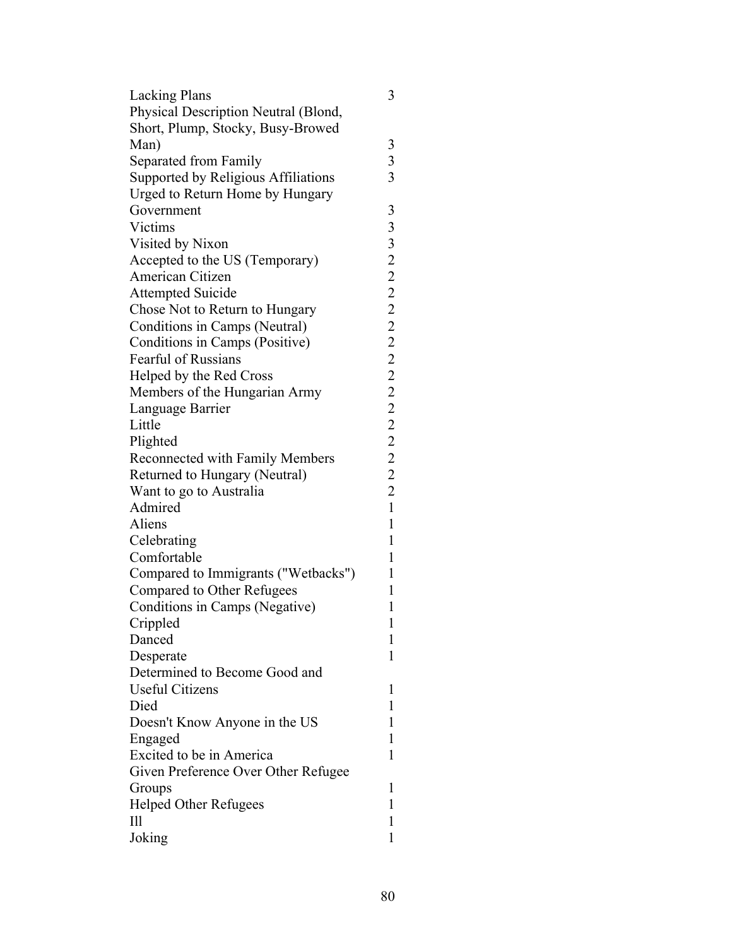| <b>Lacking Plans</b>                 | 3               |
|--------------------------------------|-----------------|
| Physical Description Neutral (Blond, |                 |
| Short, Plump, Stocky, Busy-Browed    |                 |
| Man)                                 | 3               |
| Separated from Family                | 3               |
| Supported by Religious Affiliations  | 3               |
| Urged to Return Home by Hungary      |                 |
| Government                           | 3               |
| Victims                              | 3               |
| Visited by Nixon                     |                 |
| Accepted to the US (Temporary)       |                 |
| American Citizen                     |                 |
| <b>Attempted Suicide</b>             |                 |
| Chose Not to Return to Hungary       |                 |
| Conditions in Camps (Neutral)        |                 |
| Conditions in Camps (Positive)       |                 |
| <b>Fearful of Russians</b>           |                 |
| Helped by the Red Cross              |                 |
| Members of the Hungarian Army        |                 |
| Language Barrier                     |                 |
| Little                               |                 |
| Plighted                             |                 |
| Reconnected with Family Members      |                 |
| Returned to Hungary (Neutral)        | 322222222222222 |
| Want to go to Australia              |                 |
| Admired                              | $\mathbf{1}$    |
| Aliens                               | $\mathbf{1}$    |
| Celebrating                          | $\mathbf{1}$    |
| Comfortable                          | $\mathbf{1}$    |
| Compared to Immigrants ("Wetbacks")  | $\mathbf{1}$    |
| Compared to Other Refugees           | 1               |
| Conditions in Camps (Negative)       | $\mathbf{1}$    |
| Crippled                             | $\mathbf{1}$    |
| Danced                               | 1               |
| Desperate                            | 1               |
| Determined to Become Good and        |                 |
| <b>Useful Citizens</b>               | 1               |
| Died                                 | 1               |
| Doesn't Know Anyone in the US        | 1               |
| Engaged                              | 1               |
| Excited to be in America             | 1               |
| Given Preference Over Other Refugee  |                 |
| Groups                               | 1               |
| <b>Helped Other Refugees</b>         | 1               |
| $\mathop{\mathrm{III}}\nolimits$     | 1               |
| Joking                               | 1               |
|                                      |                 |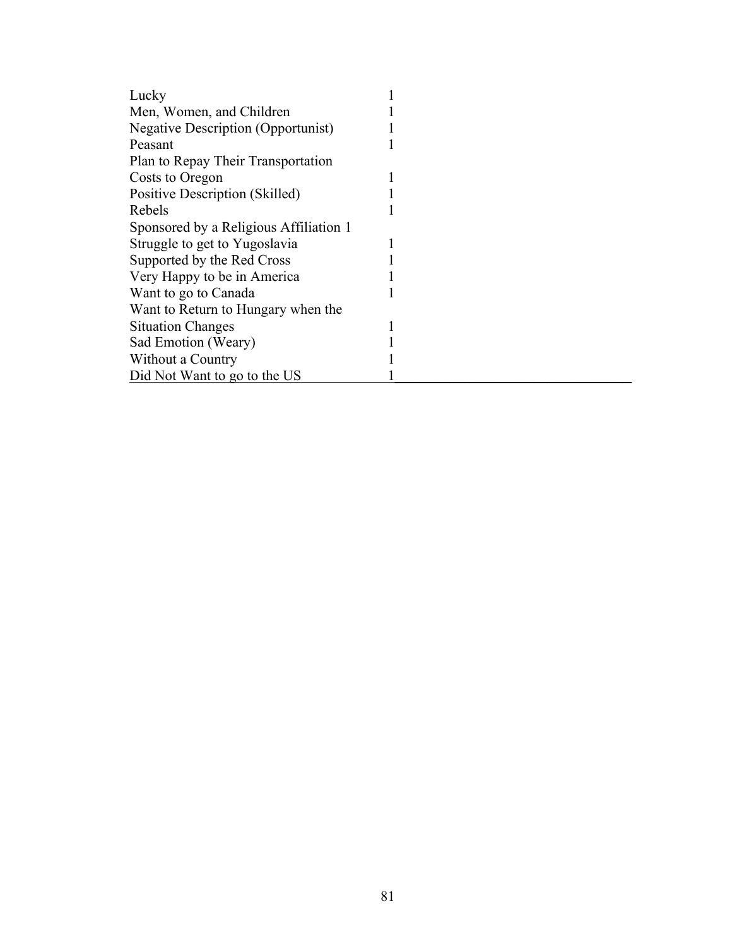| Lucky                                     |  |
|-------------------------------------------|--|
| Men, Women, and Children                  |  |
| <b>Negative Description (Opportunist)</b> |  |
| Peasant                                   |  |
| Plan to Repay Their Transportation        |  |
| Costs to Oregon                           |  |
| Positive Description (Skilled)            |  |
| Rebels                                    |  |
| Sponsored by a Religious Affiliation 1    |  |
| Struggle to get to Yugoslavia             |  |
| Supported by the Red Cross                |  |
| Very Happy to be in America               |  |
| Want to go to Canada                      |  |
| Want to Return to Hungary when the        |  |
| <b>Situation Changes</b>                  |  |
| Sad Emotion (Weary)                       |  |
| Without a Country                         |  |
| Did Not Want to go to the US              |  |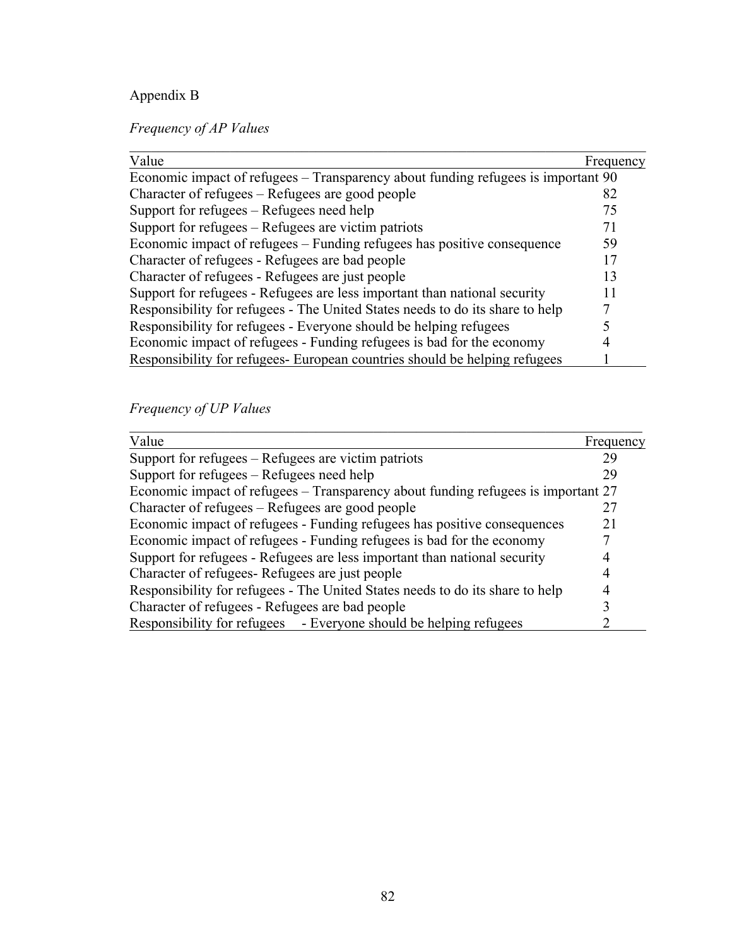# Appendix B

*Frequency of AP Values*

| Value                                                                             | Frequency |
|-----------------------------------------------------------------------------------|-----------|
| Economic impact of refugees – Transparency about funding refugees is important 90 |           |
| Character of refugees – Refugees are good people                                  | 82        |
| Support for refugees – Refugees need help                                         | 75        |
| Support for refugees – Refugees are victim patriots                               | 71        |
| Economic impact of refugees – Funding refugees has positive consequence           | 59        |
| Character of refugees - Refugees are bad people                                   | 17        |
| Character of refugees - Refugees are just people                                  | 13        |
| Support for refugees - Refugees are less important than national security         | 11        |
| Responsibility for refugees - The United States needs to do its share to help     |           |
| Responsibility for refugees - Everyone should be helping refugees                 |           |
| Economic impact of refugees - Funding refugees is bad for the economy             |           |
| Responsibility for refugees European countries should be helping refugees         |           |

*Frequency of UP Values*

| Value                                                                             | Frequency |
|-----------------------------------------------------------------------------------|-----------|
| Support for refugees – Refugees are victim patriots                               | 29        |
| Support for refugees – Refugees need help                                         | 29        |
| Economic impact of refugees – Transparency about funding refugees is important 27 |           |
| Character of refugees – Refugees are good people                                  |           |
| Economic impact of refugees - Funding refugees has positive consequences          | 21        |
| Economic impact of refugees - Funding refugees is bad for the economy             |           |
| Support for refugees - Refugees are less important than national security         |           |
| Character of refugees Refugees are just people                                    |           |
| Responsibility for refugees - The United States needs to do its share to help     |           |
| Character of refugees - Refugees are bad people                                   |           |
| Responsibility for refugees - Everyone should be helping refugees                 |           |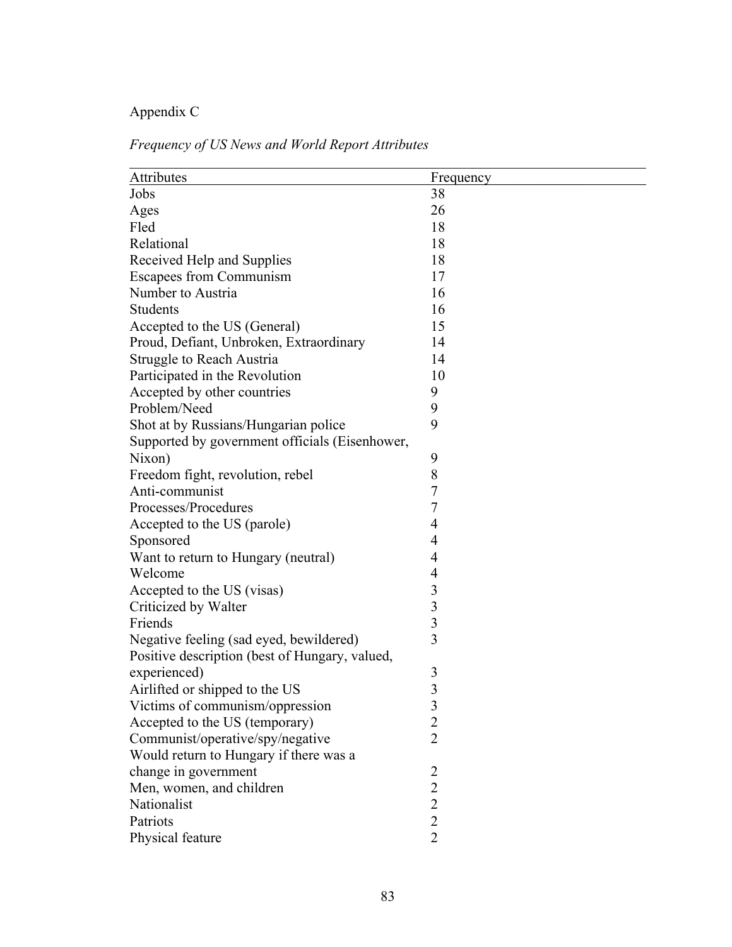# Appendix C

| Attributes                                     | Frequency      |
|------------------------------------------------|----------------|
| Jobs                                           | 38             |
| Ages                                           | 26             |
| Fled                                           | 18             |
| Relational                                     | 18             |
| Received Help and Supplies                     | 18             |
| <b>Escapees from Communism</b>                 | 17             |
| Number to Austria                              | 16             |
| <b>Students</b>                                | 16             |
| Accepted to the US (General)                   | 15             |
| Proud, Defiant, Unbroken, Extraordinary        | 14             |
| Struggle to Reach Austria                      | 14             |
| Participated in the Revolution                 | 10             |
| Accepted by other countries                    | 9              |
| Problem/Need                                   | 9              |
| Shot at by Russians/Hungarian police           | 9              |
| Supported by government officials (Eisenhower, |                |
| Nixon)                                         | 9              |
| Freedom fight, revolution, rebel               | 8              |
| Anti-communist                                 | 7              |
| Processes/Procedures                           | $\overline{7}$ |
| Accepted to the US (parole)                    | $\overline{4}$ |
| Sponsored                                      | $\overline{4}$ |
| Want to return to Hungary (neutral)            | $\overline{4}$ |
| Welcome                                        | 4              |
| Accepted to the US (visas)                     | 3              |
| Criticized by Walter                           | 3              |
| Friends                                        | 3              |
| Negative feeling (sad eyed, bewildered)        | $\overline{3}$ |
| Positive description (best of Hungary, valued, |                |
| experienced)                                   | 3              |
| Airlifted or shipped to the US                 | 3              |
| Victims of communism/oppression                | $\mathfrak{Z}$ |
| Accepted to the US (temporary)                 | $\overline{2}$ |
| Communist/operative/spy/negative               | $\overline{2}$ |
| Would return to Hungary if there was a         |                |
| change in government                           | $\overline{2}$ |
| Men, women, and children                       | $\overline{2}$ |
| Nationalist                                    | $\overline{2}$ |
| Patriots                                       | $\overline{2}$ |
| Physical feature                               | $\overline{2}$ |
|                                                |                |

# *Frequency of US News and World Report Attributes*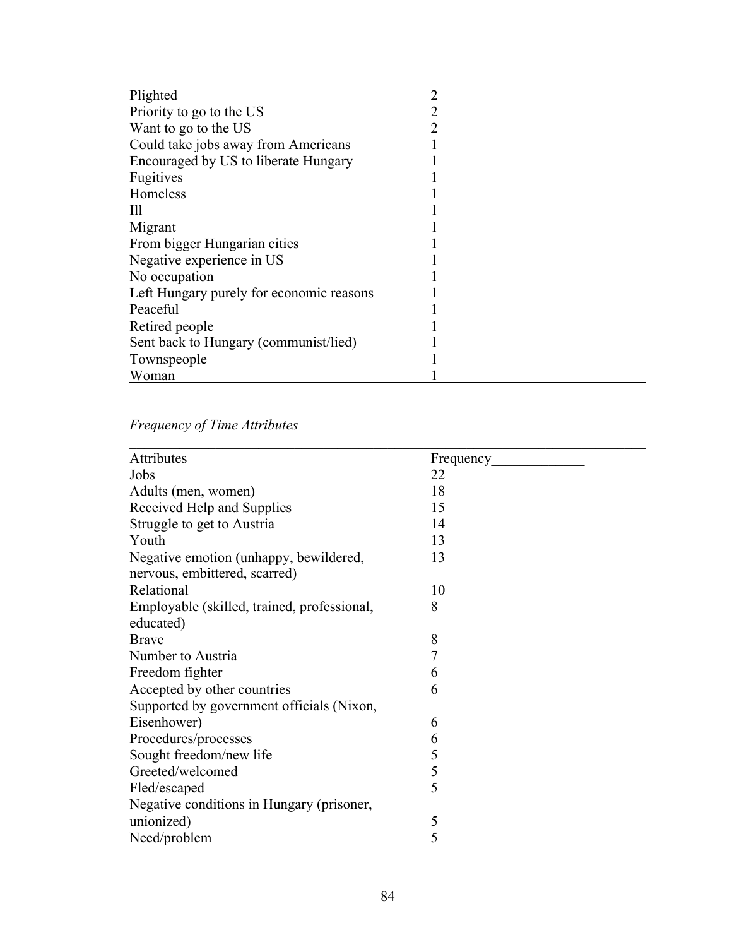| Plighted                                 |  |
|------------------------------------------|--|
| Priority to go to the US                 |  |
| Want to go to the US                     |  |
| Could take jobs away from Americans      |  |
| Encouraged by US to liberate Hungary     |  |
| Fugitives                                |  |
| Homeless                                 |  |
| Ш                                        |  |
| Migrant                                  |  |
| From bigger Hungarian cities             |  |
| Negative experience in US                |  |
| No occupation                            |  |
| Left Hungary purely for economic reasons |  |
| Peaceful                                 |  |
| Retired people                           |  |
| Sent back to Hungary (communist/lied)    |  |
| Townspeople                              |  |
| Woman                                    |  |

# *Frequency of Time Attributes*

| Attributes                                  | Frequency |
|---------------------------------------------|-----------|
| Jobs                                        | 22        |
| Adults (men, women)                         | 18        |
| Received Help and Supplies                  | 15        |
| Struggle to get to Austria                  | 14        |
| Youth                                       | 13        |
| Negative emotion (unhappy, bewildered,      | 13        |
| nervous, embittered, scarred)               |           |
| Relational                                  | 10        |
| Employable (skilled, trained, professional, | 8         |
| educated)                                   |           |
| <b>Brave</b>                                | 8         |
| Number to Austria                           | 7         |
| Freedom fighter                             | 6         |
| Accepted by other countries                 | 6         |
| Supported by government officials (Nixon,   |           |
| Eisenhower)                                 | 6         |
| Procedures/processes                        | 6         |
| Sought freedom/new life                     | 5         |
| Greeted/welcomed                            | 5         |
| Fled/escaped                                | 5         |
| Negative conditions in Hungary (prisoner,   |           |
| unionized)                                  | 5         |
| Need/problem                                | 5         |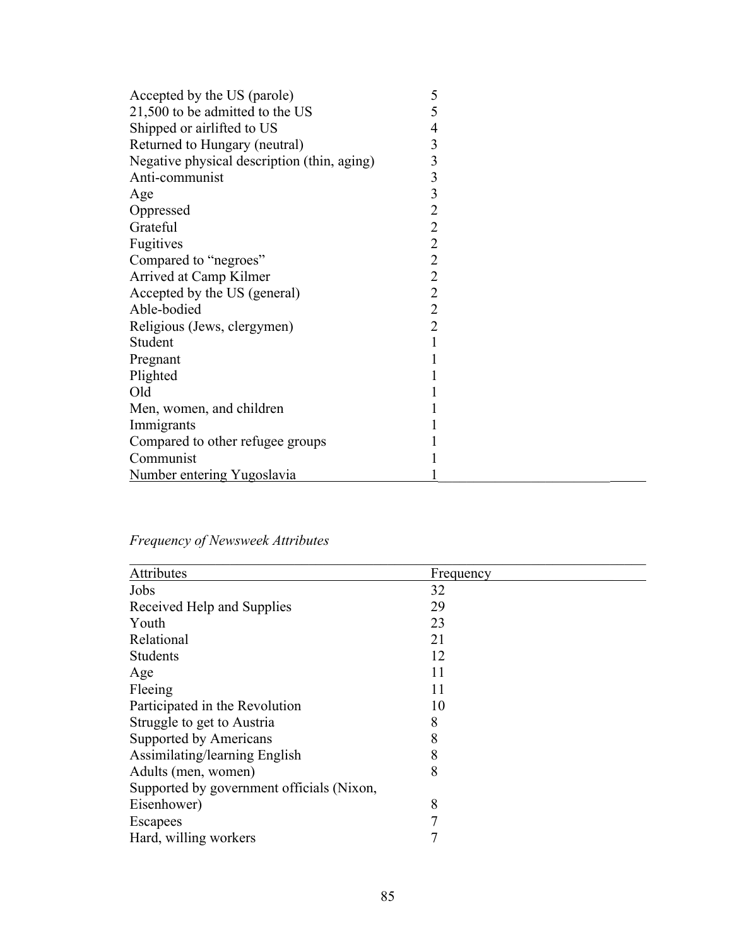| Accepted by the US (parole)                 | 5              |
|---------------------------------------------|----------------|
| 21,500 to be admitted to the US             | 5              |
| Shipped or airlifted to US                  | 4              |
| Returned to Hungary (neutral)               | 3              |
| Negative physical description (thin, aging) | 3              |
| Anti-communist                              | 3              |
| Age                                         | 3              |
| Oppressed                                   | $\overline{2}$ |
| Grateful                                    | $\overline{2}$ |
| Fugitives                                   | $\overline{2}$ |
| Compared to "negroes"                       | $\overline{c}$ |
| Arrived at Camp Kilmer                      | $\overline{2}$ |
| Accepted by the US (general)                | $\overline{2}$ |
| Able-bodied                                 | $\overline{2}$ |
| Religious (Jews, clergymen)                 | $\overline{2}$ |
| Student                                     |                |
| Pregnant                                    |                |
| Plighted                                    |                |
| Old                                         |                |
| Men, women, and children                    |                |
| Immigrants                                  |                |
| Compared to other refugee groups            |                |
| Communist                                   |                |
| Number entering Yugoslavia                  |                |

# *Frequency of Newsweek Attributes*

| Attributes                                | Frequency |
|-------------------------------------------|-----------|
| Jobs                                      | 32        |
| Received Help and Supplies                | 29        |
| Youth                                     | 23        |
| Relational                                | 21        |
| <b>Students</b>                           | 12        |
| Age                                       | 11        |
| Fleeing                                   | 11        |
| Participated in the Revolution            | 10        |
| Struggle to get to Austria                | 8         |
| Supported by Americans                    | 8         |
| Assimilating/learning English             | 8         |
| Adults (men, women)                       | 8         |
| Supported by government officials (Nixon, |           |
| Eisenhower)                               | 8         |
| Escapees                                  | 7         |
| Hard, willing workers                     |           |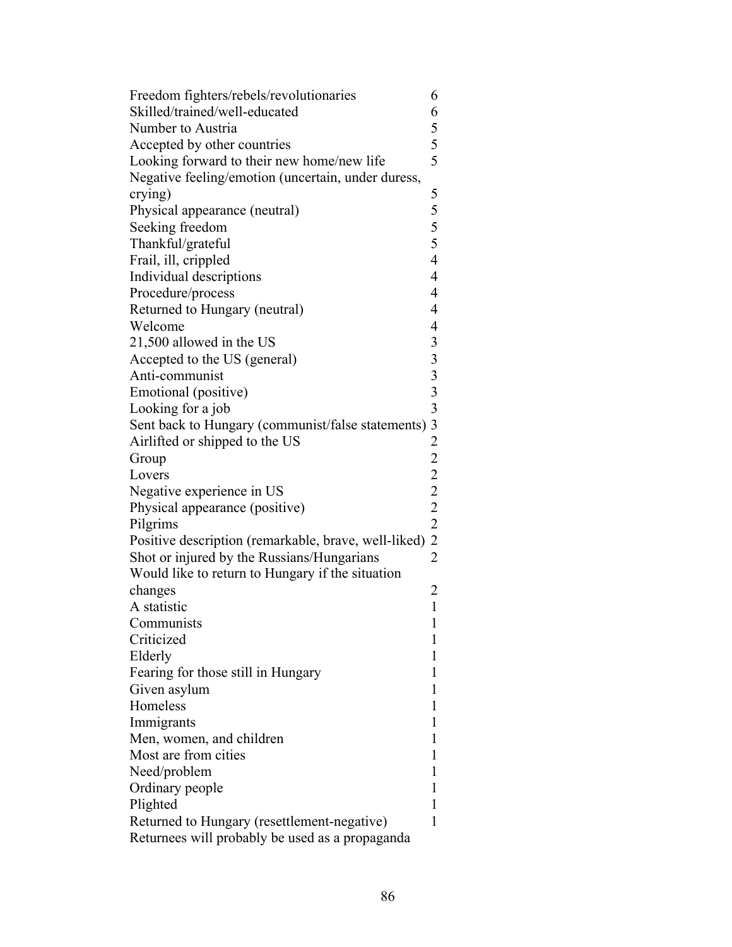| Freedom fighters/rebels/revolutionaries              | 6                                          |
|------------------------------------------------------|--------------------------------------------|
| Skilled/trained/well-educated                        | 6                                          |
| Number to Austria                                    |                                            |
| Accepted by other countries                          | $\begin{array}{c} 5 \\ 5 \\ 5 \end{array}$ |
| Looking forward to their new home/new life           |                                            |
| Negative feeling/emotion (uncertain, under duress,   |                                            |
| crying)                                              |                                            |
| Physical appearance (neutral)                        |                                            |
| Seeking freedom                                      | 5<br>5<br>5<br>5<br>5                      |
| Thankful/grateful                                    |                                            |
| Frail, ill, crippled                                 | $\overline{4}$                             |
| Individual descriptions                              | $\overline{4}$                             |
| Procedure/process                                    | $\overline{4}$                             |
| Returned to Hungary (neutral)                        | $\overline{4}$                             |
| Welcome                                              | $\overline{4}$                             |
| 21,500 allowed in the US                             |                                            |
| Accepted to the US (general)                         |                                            |
| Anti-communist                                       |                                            |
| Emotional (positive)                                 |                                            |
| Looking for a job                                    |                                            |
| Sent back to Hungary (communist/false statements)    |                                            |
| Airlifted or shipped to the US                       |                                            |
| Group                                                |                                            |
| Lovers                                               | 3333322222222                              |
| Negative experience in US                            |                                            |
| Physical appearance (positive)                       |                                            |
| Pilgrims                                             |                                            |
| Positive description (remarkable, brave, well-liked) |                                            |
| Shot or injured by the Russians/Hungarians           |                                            |
| Would like to return to Hungary if the situation     |                                            |
| changes                                              | $\overline{c}$                             |
| A statistic                                          | $\mathbf{1}$                               |
| Communists                                           | $\mathbf{1}$                               |
| Criticized                                           | 1                                          |
| Elderly                                              | 1                                          |
| Fearing for those still in Hungary                   | 1                                          |
| Given asylum                                         | 1                                          |
| Homeless                                             | 1                                          |
| Immigrants                                           | 1                                          |
| Men, women, and children                             | 1                                          |
| Most are from cities                                 | 1                                          |
| Need/problem                                         | 1                                          |
|                                                      | 1                                          |
| Ordinary people<br>Plighted                          | 1                                          |
| Returned to Hungary (resettlement-negative)          | 1                                          |
| Returnees will probably be used as a propaganda      |                                            |
|                                                      |                                            |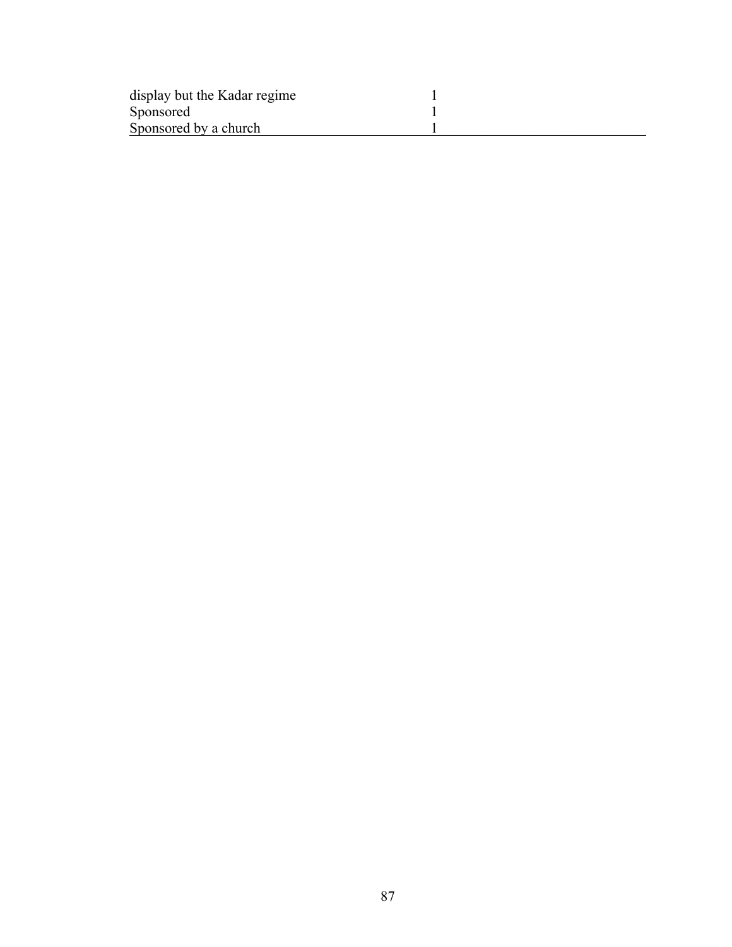| display but the Kadar regime |  |
|------------------------------|--|
| Sponsored                    |  |
| Sponsored by a church        |  |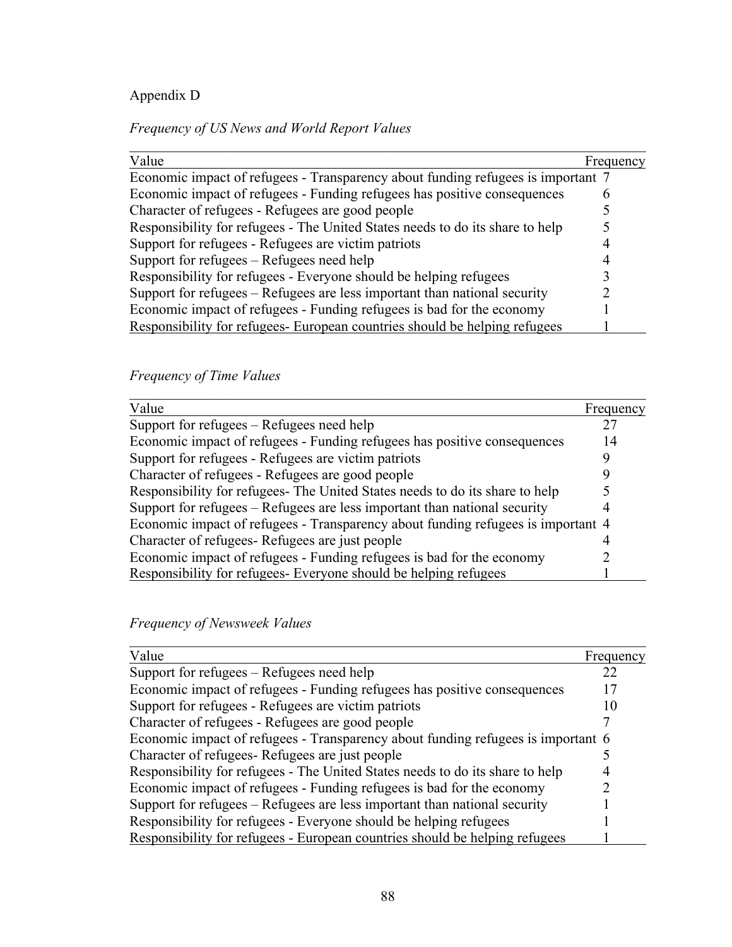# Appendix D

*Frequency of US News and World Report Values*

| Value                                                                            | Frequency |
|----------------------------------------------------------------------------------|-----------|
| Economic impact of refugees - Transparency about funding refugees is important 7 |           |
| Economic impact of refugees - Funding refugees has positive consequences         |           |
| Character of refugees - Refugees are good people                                 |           |
| Responsibility for refugees - The United States needs to do its share to help    |           |
| Support for refugees - Refugees are victim patriots                              |           |
| Support for refugees – Refugees need help                                        |           |
| Responsibility for refugees - Everyone should be helping refugees                |           |
| Support for refugees – Refugees are less important than national security        |           |
| Economic impact of refugees - Funding refugees is bad for the economy            |           |
| Responsibility for refugees- European countries should be helping refugees       |           |

# *Frequency of Time Values*

| Value                                                                            | Frequency |
|----------------------------------------------------------------------------------|-----------|
| Support for refugees – Refugees need help                                        |           |
| Economic impact of refugees - Funding refugees has positive consequences         | 14        |
| Support for refugees - Refugees are victim patriots                              |           |
| Character of refugees - Refugees are good people                                 |           |
| Responsibility for refugees- The United States needs to do its share to help     |           |
| Support for refugees – Refugees are less important than national security        |           |
| Economic impact of refugees - Transparency about funding refugees is important 4 |           |
| Character of refugees - Refugees are just people                                 |           |
| Economic impact of refugees - Funding refugees is bad for the economy            |           |
| Responsibility for refugees- Everyone should be helping refugees                 |           |

|  | Frequency of Newsweek Values |  |
|--|------------------------------|--|
|--|------------------------------|--|

| Value                                                                            | Frequency |
|----------------------------------------------------------------------------------|-----------|
| Support for refugees – Refugees need help                                        | 22        |
| Economic impact of refugees - Funding refugees has positive consequences         |           |
| Support for refugees - Refugees are victim patriots                              | 10        |
| Character of refugees - Refugees are good people                                 |           |
| Economic impact of refugees - Transparency about funding refugees is important 6 |           |
| Character of refugees Refugees are just people                                   |           |
| Responsibility for refugees - The United States needs to do its share to help    |           |
| Economic impact of refugees - Funding refugees is bad for the economy            |           |
| Support for refugees – Refugees are less important than national security        |           |
| Responsibility for refugees - Everyone should be helping refugees                |           |
| Responsibility for refugees - European countries should be helping refugees      |           |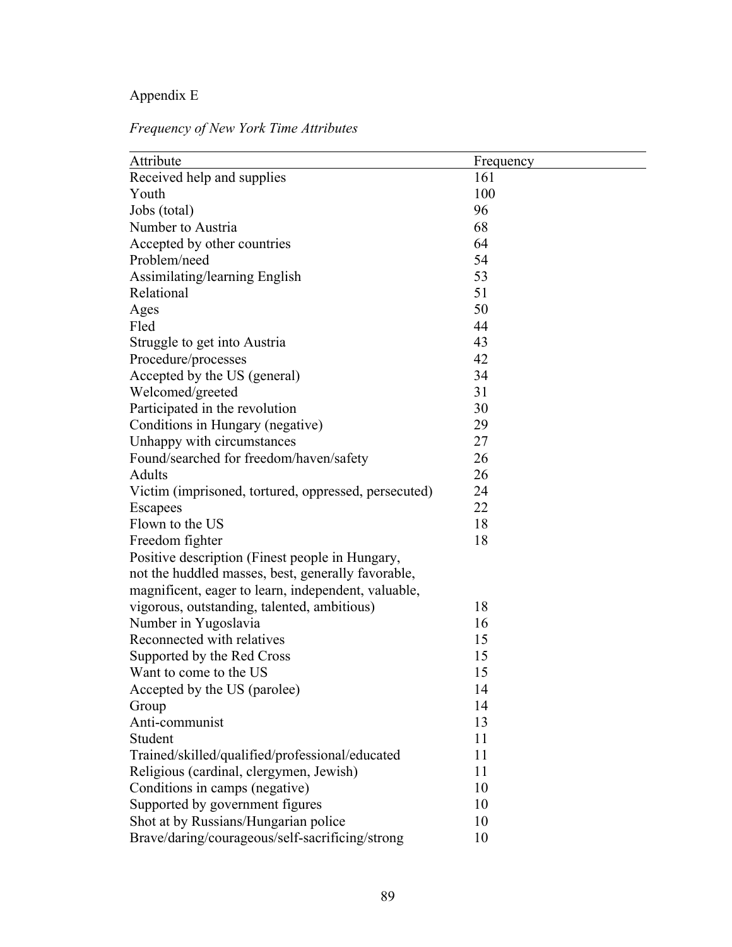# Appendix E

*Frequency of New York Time Attributes*

| Attribute                                            | Frequency |
|------------------------------------------------------|-----------|
| Received help and supplies                           | 161       |
| Youth                                                | 100       |
| Jobs (total)                                         | 96        |
| Number to Austria                                    | 68        |
| Accepted by other countries                          | 64        |
| Problem/need                                         | 54        |
| Assimilating/learning English                        | 53        |
| Relational                                           | 51        |
| Ages                                                 | 50        |
| Fled                                                 | 44        |
| Struggle to get into Austria                         | 43        |
| Procedure/processes                                  | 42        |
| Accepted by the US (general)                         | 34        |
| Welcomed/greeted                                     | 31        |
| Participated in the revolution                       | 30        |
| Conditions in Hungary (negative)                     | 29        |
| Unhappy with circumstances                           | 27        |
| Found/searched for freedom/haven/safety              | 26        |
| <b>Adults</b>                                        | 26        |
| Victim (imprisoned, tortured, oppressed, persecuted) | 24        |
| Escapees                                             | 22        |
| Flown to the US                                      | 18        |
| Freedom fighter                                      | 18        |
| Positive description (Finest people in Hungary,      |           |
| not the huddled masses, best, generally favorable,   |           |
| magnificent, eager to learn, independent, valuable,  |           |
| vigorous, outstanding, talented, ambitious)          | 18        |
| Number in Yugoslavia                                 | 16        |
| Reconnected with relatives                           | 15        |
| Supported by the Red Cross                           | 15        |
| Want to come to the US                               | 15        |
| Accepted by the US (parolee)                         | 14        |
| Group                                                | 14        |
| Anti-communist                                       | 13        |
| Student                                              | 11        |
| Trained/skilled/qualified/professional/educated      | 11        |
| Religious (cardinal, clergymen, Jewish)              | 11        |
| Conditions in camps (negative)                       | 10        |
| Supported by government figures                      | 10        |
| Shot at by Russians/Hungarian police                 | 10        |
| Brave/daring/courageous/self-sacrificing/strong      | 10        |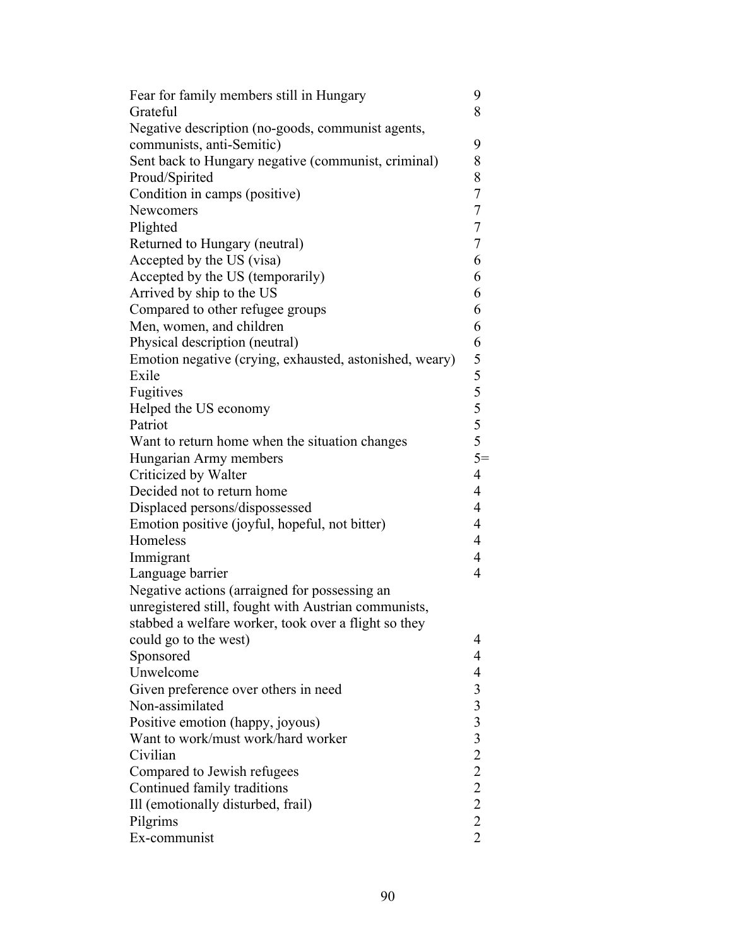| Fear for family members still in Hungary                | 9                |
|---------------------------------------------------------|------------------|
| Grateful                                                | 8                |
| Negative description (no-goods, communist agents,       |                  |
| communists, anti-Semitic)                               | 9                |
| Sent back to Hungary negative (communist, criminal)     | 8                |
| Proud/Spirited                                          | 8                |
| Condition in camps (positive)                           | $\boldsymbol{7}$ |
| Newcomers                                               | $\overline{7}$   |
| Plighted                                                | $\overline{7}$   |
| Returned to Hungary (neutral)                           | $\overline{7}$   |
| Accepted by the US (visa)                               | 6                |
| Accepted by the US (temporarily)                        | 6                |
| Arrived by ship to the US                               | 6                |
| Compared to other refugee groups                        | 6                |
| Men, women, and children                                | 6                |
| Physical description (neutral)                          | 6                |
| Emotion negative (crying, exhausted, astonished, weary) |                  |
| Exile                                                   |                  |
| Fugitives                                               |                  |
| Helped the US economy                                   |                  |
| Patriot                                                 |                  |
| Want to return home when the situation changes          | $5 5 5 5 5 =$    |
| Hungarian Army members                                  |                  |
| Criticized by Walter                                    | $\overline{4}$   |
| Decided not to return home                              | $\overline{4}$   |
| Displaced persons/dispossessed                          | $\overline{4}$   |
| Emotion positive (joyful, hopeful, not bitter)          | 4                |
| Homeless                                                | $\overline{4}$   |
|                                                         | 4                |
| Immigrant                                               | $\overline{4}$   |
| Language barrier                                        |                  |
| Negative actions (arraigned for possessing an           |                  |
| unregistered still, fought with Austrian communists,    |                  |
| stabbed a welfare worker, took over a flight so they    |                  |
| could go to the west)                                   | 4                |
| Sponsored                                               | 4                |
| Unwelcome                                               | 4                |
| Given preference over others in need                    |                  |
| Non-assimilated                                         |                  |
| Positive emotion (happy, joyous)                        |                  |
| Want to work/must work/hard worker                      |                  |
| Civilian                                                |                  |
| Compared to Jewish refugees                             |                  |
| Continued family traditions                             | 33322222         |
| Ill (emotionally disturbed, frail)                      |                  |
| Pilgrims                                                |                  |
| Ex-communist                                            |                  |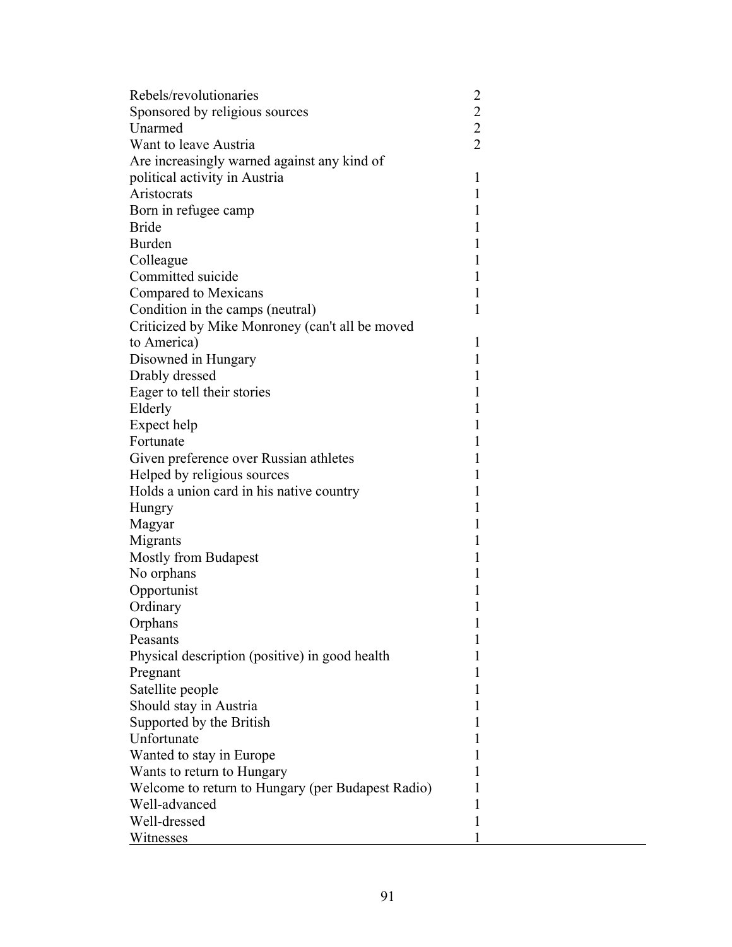| Rebels/revolutionaries                            | $\overline{\mathbf{c}}$ |  |
|---------------------------------------------------|-------------------------|--|
| Sponsored by religious sources                    | $\overline{c}$          |  |
| Unarmed                                           | $\overline{2}$          |  |
| Want to leave Austria                             | $\overline{2}$          |  |
| Are increasingly warned against any kind of       |                         |  |
| political activity in Austria                     | 1                       |  |
| Aristocrats                                       | 1                       |  |
| Born in refugee camp                              | 1                       |  |
| <b>Bride</b>                                      | 1                       |  |
| Burden                                            | 1                       |  |
| Colleague                                         | 1                       |  |
| Committed suicide                                 | 1                       |  |
| Compared to Mexicans                              | 1                       |  |
| Condition in the camps (neutral)                  | 1                       |  |
| Criticized by Mike Monroney (can't all be moved   |                         |  |
| to America)                                       | 1                       |  |
| Disowned in Hungary                               | 1                       |  |
| Drably dressed                                    | 1                       |  |
| Eager to tell their stories                       | 1                       |  |
| Elderly                                           | 1                       |  |
| Expect help                                       | 1                       |  |
| Fortunate                                         | 1                       |  |
| Given preference over Russian athletes            | 1                       |  |
| Helped by religious sources                       | 1                       |  |
| Holds a union card in his native country          | 1                       |  |
| Hungry                                            | 1                       |  |
| Magyar                                            | 1                       |  |
| Migrants                                          | 1                       |  |
| <b>Mostly from Budapest</b>                       | 1                       |  |
| No orphans                                        | 1                       |  |
| Opportunist                                       | 1                       |  |
| Ordinary                                          | 1                       |  |
| Orphans                                           | 1                       |  |
| Peasants                                          | 1                       |  |
| Physical description (positive) in good health    | 1                       |  |
| Pregnant                                          | 1                       |  |
| Satellite people                                  | 1                       |  |
| Should stay in Austria                            | 1                       |  |
| Supported by the British                          | 1                       |  |
| Unfortunate                                       | 1                       |  |
| Wanted to stay in Europe                          | 1                       |  |
| Wants to return to Hungary                        | 1                       |  |
| Welcome to return to Hungary (per Budapest Radio) | 1                       |  |
| Well-advanced                                     | I                       |  |
| Well-dressed                                      | 1                       |  |
| Witnesses                                         | 1                       |  |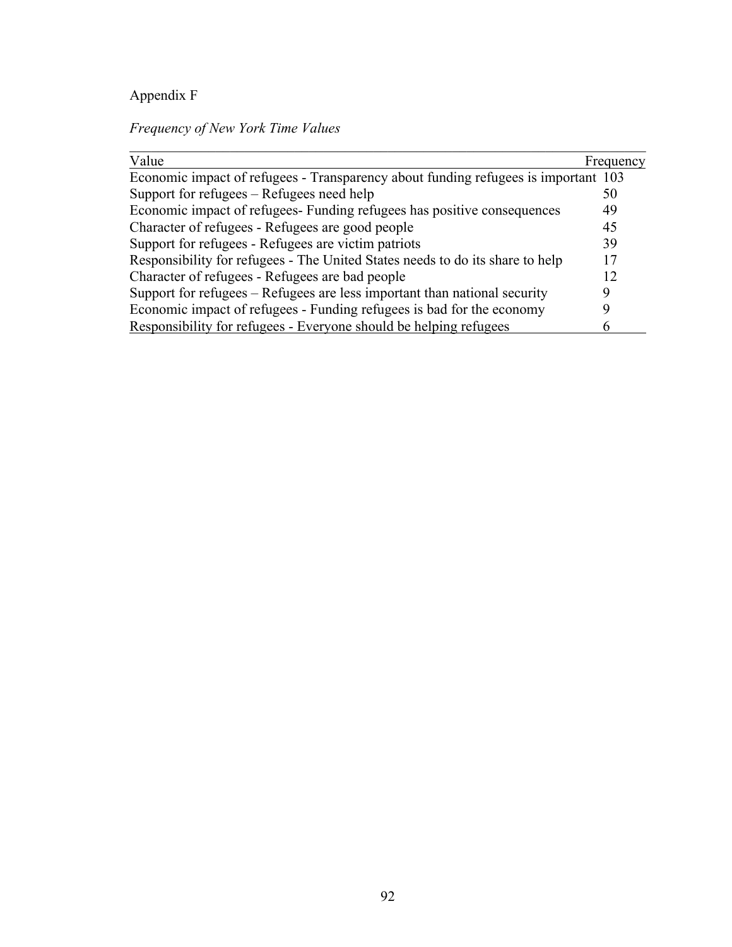# Appendix F

# *Frequency of New York Time Values*

| Value                                                                              | Frequency |
|------------------------------------------------------------------------------------|-----------|
| Economic impact of refugees - Transparency about funding refugees is important 103 |           |
| Support for refugees – Refugees need help                                          | 50        |
| Economic impact of refugees- Funding refugees has positive consequences            | 49        |
| Character of refugees - Refugees are good people                                   | 45        |
| Support for refugees - Refugees are victim patriots                                | 39        |
| Responsibility for refugees - The United States needs to do its share to help      | 17        |
| Character of refugees - Refugees are bad people                                    | 12        |
| Support for refugees – Refugees are less important than national security          |           |
| Economic impact of refugees - Funding refugees is bad for the economy              |           |
| Responsibility for refugees - Everyone should be helping refugees                  |           |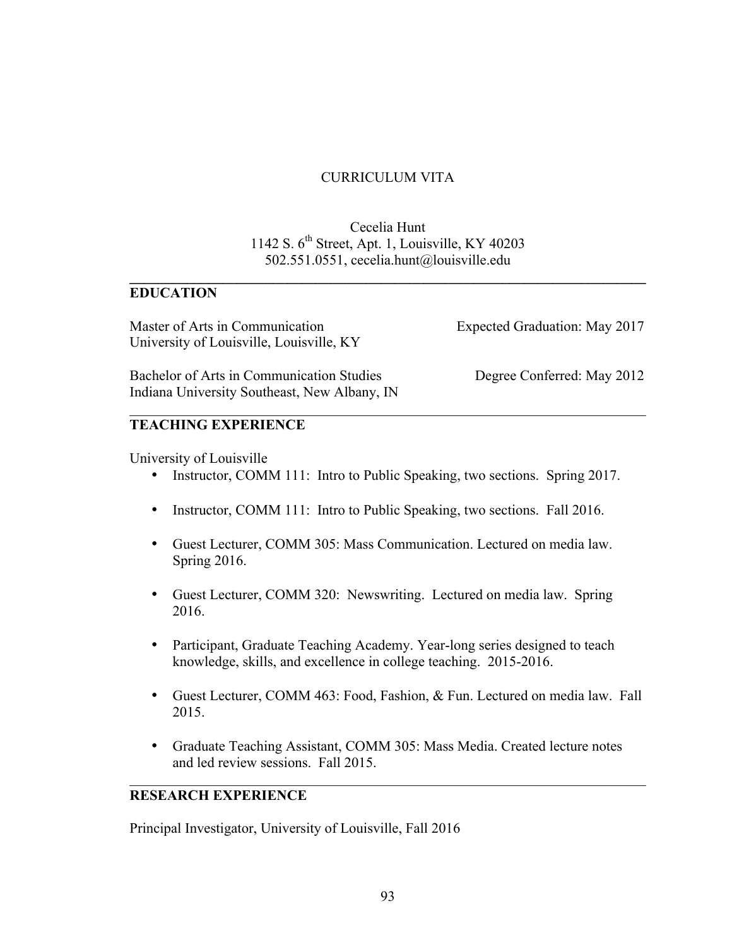### CURRICULUM VITA

### Cecelia Hunt 1142 S.  $6<sup>th</sup>$  Street, Apt. 1, Louisville, KY 40203 502.551.0551, cecelia.hunt@louisville.edu

 $\mathcal{L}_\mathcal{L} = \mathcal{L}_\mathcal{L} - \mathcal{L}_\mathcal{L}$ 

### **EDUCATION**

Master of Arts in Communication Expected Graduation: May 2017 University of Louisville, Louisville, KY

Bachelor of Arts in Communication Studies Degree Conferred: May 2012 Indiana University Southeast, New Albany, IN

#### **TEACHING EXPERIENCE**

University of Louisville

• Instructor, COMM 111: Intro to Public Speaking, two sections. Spring 2017.

 $\mathcal{L}_\text{max} = \mathcal{L}_\text{max} = \mathcal{L}_\text{max} = \mathcal{L}_\text{max} = \mathcal{L}_\text{max} = \mathcal{L}_\text{max} = \mathcal{L}_\text{max} = \mathcal{L}_\text{max} = \mathcal{L}_\text{max} = \mathcal{L}_\text{max} = \mathcal{L}_\text{max} = \mathcal{L}_\text{max} = \mathcal{L}_\text{max} = \mathcal{L}_\text{max} = \mathcal{L}_\text{max} = \mathcal{L}_\text{max} = \mathcal{L}_\text{max} = \mathcal{L}_\text{max} = \mathcal{$ 

- Instructor, COMM 111: Intro to Public Speaking, two sections. Fall 2016.
- Guest Lecturer, COMM 305: Mass Communication. Lectured on media law. Spring 2016.
- Guest Lecturer, COMM 320: Newswriting. Lectured on media law. Spring 2016.
- Participant, Graduate Teaching Academy. Year-long series designed to teach knowledge, skills, and excellence in college teaching. 2015-2016.
- Guest Lecturer, COMM 463: Food, Fashion, & Fun. Lectured on media law. Fall 2015.
- Graduate Teaching Assistant, COMM 305: Mass Media. Created lecture notes and led review sessions. Fall 2015.

 $\mathcal{L}_\text{max}$  , and the contribution of the contribution of the contribution of the contribution of the contribution of the contribution of the contribution of the contribution of the contribution of the contribution of t

### **RESEARCH EXPERIENCE**

Principal Investigator, University of Louisville, Fall 2016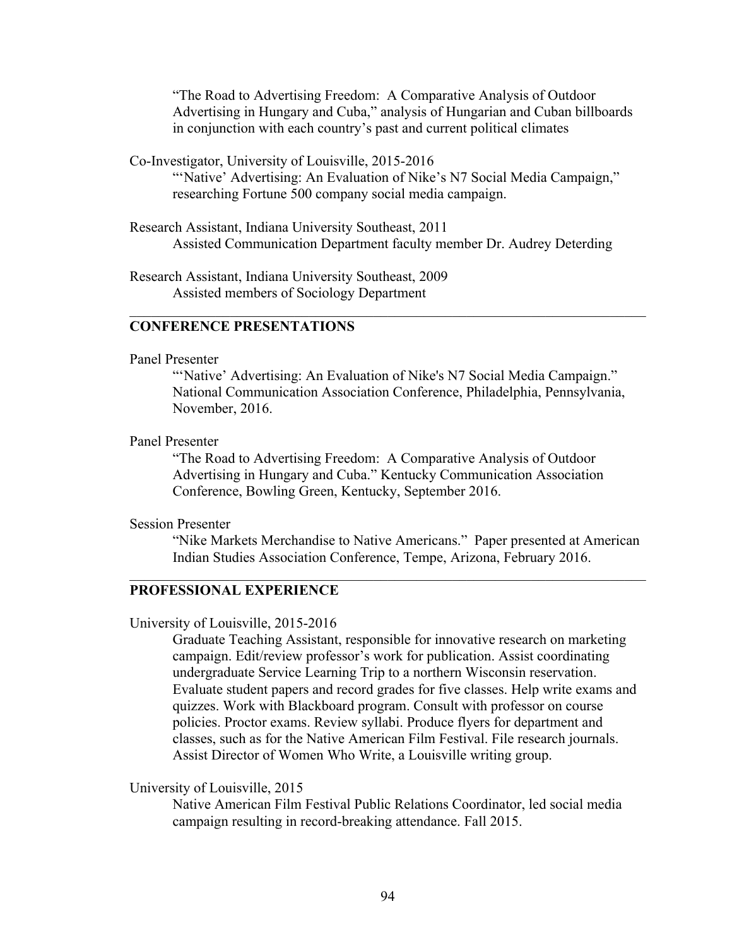"The Road to Advertising Freedom: A Comparative Analysis of Outdoor Advertising in Hungary and Cuba," analysis of Hungarian and Cuban billboards in conjunction with each country's past and current political climates

Co-Investigator, University of Louisville, 2015-2016

"'Native' Advertising: An Evaluation of Nike's N7 Social Media Campaign," researching Fortune 500 company social media campaign.

 $\mathcal{L}_\text{max}$  , and the contribution of the contribution of the contribution of the contribution of the contribution of the contribution of the contribution of the contribution of the contribution of the contribution of t

Research Assistant, Indiana University Southeast, 2011 Assisted Communication Department faculty member Dr. Audrey Deterding

Research Assistant, Indiana University Southeast, 2009 Assisted members of Sociology Department

#### **CONFERENCE PRESENTATIONS**

#### Panel Presenter

"'Native' Advertising: An Evaluation of Nike's N7 Social Media Campaign." National Communication Association Conference, Philadelphia, Pennsylvania, November, 2016.

Panel Presenter

"The Road to Advertising Freedom: A Comparative Analysis of Outdoor Advertising in Hungary and Cuba." Kentucky Communication Association Conference, Bowling Green, Kentucky, September 2016.

 $\mathcal{L}_\text{max} = \mathcal{L}_\text{max} = \mathcal{L}_\text{max} = \mathcal{L}_\text{max} = \mathcal{L}_\text{max} = \mathcal{L}_\text{max} = \mathcal{L}_\text{max} = \mathcal{L}_\text{max} = \mathcal{L}_\text{max} = \mathcal{L}_\text{max} = \mathcal{L}_\text{max} = \mathcal{L}_\text{max} = \mathcal{L}_\text{max} = \mathcal{L}_\text{max} = \mathcal{L}_\text{max} = \mathcal{L}_\text{max} = \mathcal{L}_\text{max} = \mathcal{L}_\text{max} = \mathcal{$ 

Session Presenter

"Nike Markets Merchandise to Native Americans." Paper presented at American Indian Studies Association Conference, Tempe, Arizona, February 2016.

#### **PROFESSIONAL EXPERIENCE**

University of Louisville, 2015-2016

Graduate Teaching Assistant, responsible for innovative research on marketing campaign. Edit/review professor's work for publication. Assist coordinating undergraduate Service Learning Trip to a northern Wisconsin reservation. Evaluate student papers and record grades for five classes. Help write exams and quizzes. Work with Blackboard program. Consult with professor on course policies. Proctor exams. Review syllabi. Produce flyers for department and classes, such as for the Native American Film Festival. File research journals. Assist Director of Women Who Write, a Louisville writing group.

University of Louisville, 2015

Native American Film Festival Public Relations Coordinator, led social media campaign resulting in record-breaking attendance. Fall 2015.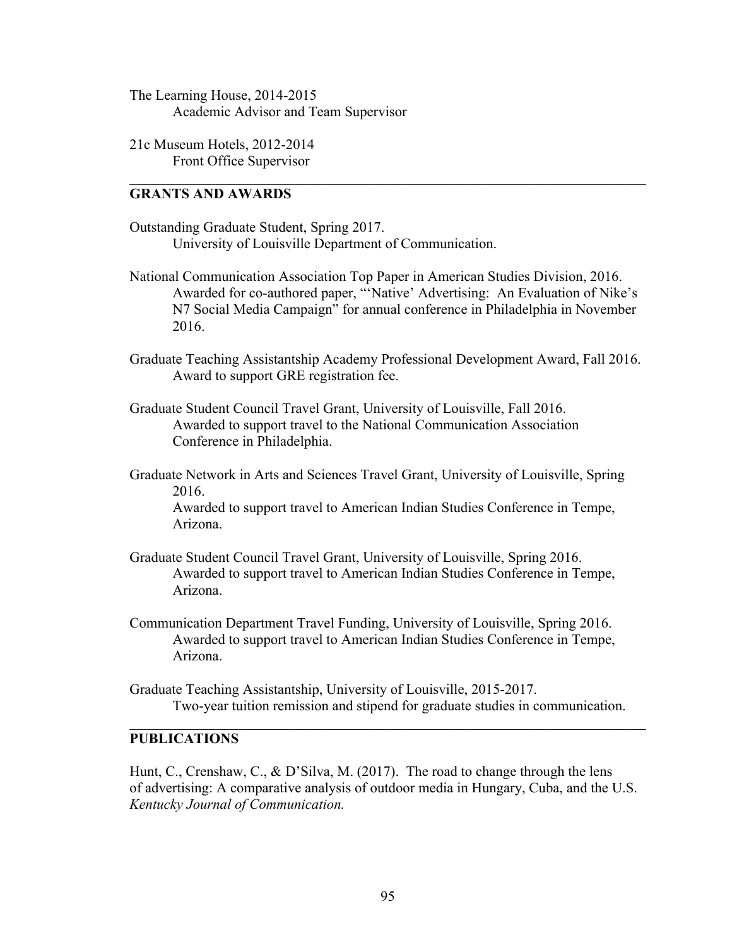- The Learning House, 2014-2015 Academic Advisor and Team Supervisor
- 21c Museum Hotels, 2012-2014 Front Office Supervisor

#### **GRANTS AND AWARDS**

- Outstanding Graduate Student, Spring 2017. University of Louisville Department of Communication.
- National Communication Association Top Paper in American Studies Division, 2016. Awarded for co-authored paper, "'Native' Advertising: An Evaluation of Nike's N7 Social Media Campaign" for annual conference in Philadelphia in November 2016.

 $\mathcal{L}_\text{max}$  , and the contribution of the contribution of the contribution of the contribution of the contribution of the contribution of the contribution of the contribution of the contribution of the contribution of t

- Graduate Teaching Assistantship Academy Professional Development Award, Fall 2016. Award to support GRE registration fee.
- Graduate Student Council Travel Grant, University of Louisville, Fall 2016. Awarded to support travel to the National Communication Association Conference in Philadelphia.
- Graduate Network in Arts and Sciences Travel Grant, University of Louisville, Spring 2016. Awarded to support travel to American Indian Studies Conference in Tempe, Arizona.
- Graduate Student Council Travel Grant, University of Louisville, Spring 2016. Awarded to support travel to American Indian Studies Conference in Tempe, Arizona.
- Communication Department Travel Funding, University of Louisville, Spring 2016. Awarded to support travel to American Indian Studies Conference in Tempe, Arizona.
- Graduate Teaching Assistantship, University of Louisville, 2015-2017. Two-year tuition remission and stipend for graduate studies in communication.

 $\mathcal{L}_\text{max}$  , and the contribution of the contribution of the contribution of the contribution of the contribution of the contribution of the contribution of the contribution of the contribution of the contribution of t

### **PUBLICATIONS**

Hunt, C., Crenshaw, C., & D'Silva, M. (2017). The road to change through the lens of advertising: A comparative analysis of outdoor media in Hungary, Cuba, and the U.S. *Kentucky Journal of Communication.*